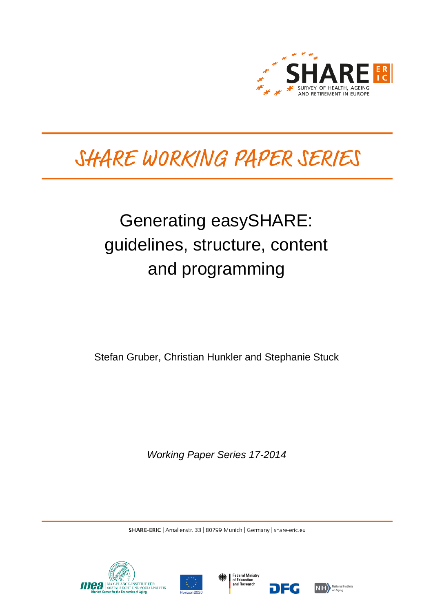

# SHARE WORKING PAPER SERIES

## Generating easySHARE: guidelines, structure, content and programming

Stefan Gruber, Christian Hunkler and Stephanie Stuck

*Working Paper Series 17-2014*

SHARE-ERIC | Amalienstr. 33 | 80799 Munich | Germany | share-eric.eu







DEG

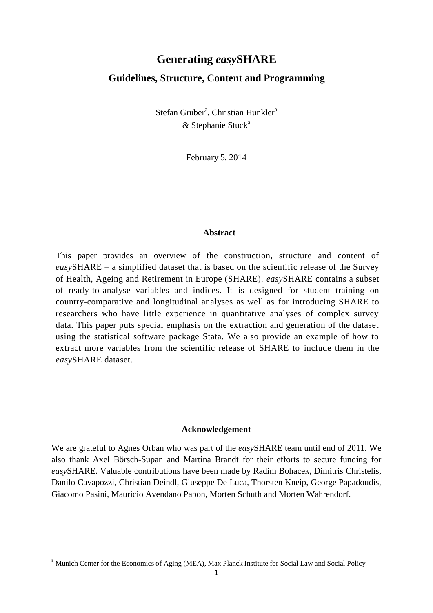## **Generating** *easy***SHARE Guidelines, Structure, Content and Programming**

Stefan Gruber<sup>a</sup>, Christian Hunkler<sup>a</sup>  $&$  Stephanie Stuck<sup>a</sup>

February 5, 2014

#### **Abstract**

This paper provides an overview of the construction, structure and content of *easy*SHARE – a simplified dataset that is based on the scientific release of the Survey of Health, Ageing and Retirement in Europe (SHARE). *easy*SHARE contains a subset of ready-to-analyse variables and indices. It is designed for student training on country-comparative and longitudinal analyses as well as for introducing SHARE to researchers who have little experience in quantitative analyses of complex survey data. This paper puts special emphasis on the extraction and generation of the dataset using the statistical software package Stata. We also provide an example of how to extract more variables from the scientific release of SHARE to include them in the *easy*SHARE dataset.

#### **Acknowledgement**

We are grateful to Agnes Orban who was part of the *easy*SHARE team until end of 2011. We also thank Axel Börsch-Supan and Martina Brandt for their efforts to secure funding for *easy*SHARE. Valuable contributions have been made by Radim Bohacek, Dimitris Christelis, Danilo Cavapozzi, Christian Deindl, Giuseppe De Luca, Thorsten Kneip, George Papadoudis, Giacomo Pasini, Mauricio Avendano Pabon, Morten Schuth and Morten Wahrendorf.

**.** 

<sup>&</sup>lt;sup>a</sup> Munich Center for the Economics of Aging (MEA), Max Planck Institute for Social Law and Social Policy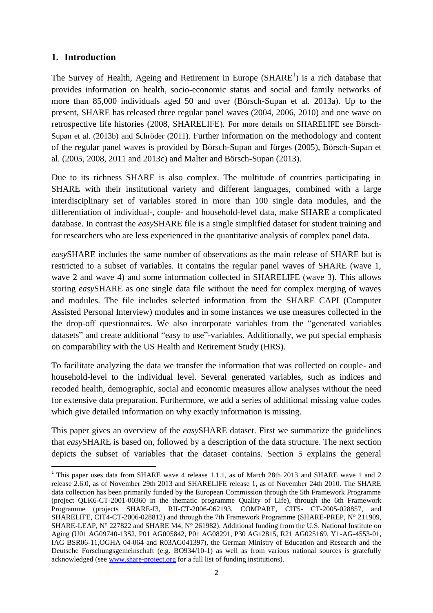#### **1. Introduction**

**.** 

The Survey of Health, Ageing and Retirement in Europe  $(SHARE<sup>1</sup>)$  is a rich database that provides information on health, socio-economic status and social and family networks of more than 85,000 individuals aged 50 and over (Börsch-Supan et al. 2013a). Up to the present, SHARE has released three regular panel waves (2004, 2006, 2010) and one wave on retrospective life histories (2008, SHARELIFE). For more details on SHARELIFE see Börsch-Supan et al. (2013b) and Schröder (2011). Further information on the methodology and content of the regular panel waves is provided by Börsch-Supan and Jürges (2005), Börsch-Supan et al. (2005, 2008, 2011 and 2013c) and Malter and Börsch-Supan (2013).

Due to its richness SHARE is also complex. The multitude of countries participating in SHARE with their institutional variety and different languages, combined with a large interdisciplinary set of variables stored in more than 100 single data modules, and the differentiation of individual-, couple- and household-level data, make SHARE a complicated database. In contrast the *easy*SHARE file is a single simplified dataset for student training and for researchers who are less experienced in the quantitative analysis of complex panel data.

*easy*SHARE includes the same number of observations as the main release of SHARE but is restricted to a subset of variables. It contains the regular panel waves of SHARE (wave 1, wave 2 and wave 4) and some information collected in SHARELIFE (wave 3). This allows storing *easy*SHARE as one single data file without the need for complex merging of waves and modules. The file includes selected information from the SHARE CAPI (Computer Assisted Personal Interview) modules and in some instances we use measures collected in the the drop-off questionnaires. We also incorporate variables from the "generated variables datasets" and create additional "easy to use"-variables. Additionally, we put special emphasis on comparability with the US Health and Retirement Study (HRS).

To facilitate analyzing the data we transfer the information that was collected on couple- and household-level to the individual level. Several generated variables, such as indices and recoded health, demographic, social and economic measures allow analyses without the need for extensive data preparation. Furthermore, we add a series of additional missing value codes which give detailed information on why exactly information is missing.

This paper gives an overview of the *easy*SHARE dataset. First we summarize the guidelines that *easy*SHARE is based on, followed by a description of the data structure. The next section depicts the subset of variables that the dataset contains. Section 5 explains the general

<sup>&</sup>lt;sup>1</sup> This paper uses data from SHARE wave 4 release 1.1.1, as of March 28th 2013 and SHARE wave 1 and 2 release 2.6.0, as of November 29th 2013 and SHARELIFE release 1, as of November 24th 2010. The SHARE data collection has been primarily funded by the European Commission through the 5th Framework Programme (project QLK6-CT-2001-00360 in the thematic programme Quality of Life), through the 6th Framework Programme (projects SHARE-I3, RII-CT-2006-062193, COMPARE, CIT5- CT-2005-028857, and SHARELIFE, CIT4-CT-2006-028812) and through the 7th Framework Programme (SHARE-PREP, N° 211909, SHARE-LEAP, N° 227822 and SHARE M4, N° 261982). Additional funding from the U.S. National Institute on Aging (U01 AG09740-13S2, P01 AG005842, P01 AG08291, P30 AG12815, R21 AG025169, Y1-AG-4553-01, IAG BSR06-11,OGHA 04-064 and R03AG041397), the German Ministry of Education and Research and the Deutsche Forschungsgemeinschaft (e.g. BO934/10-1) as well as from various national sources is gratefully acknowledged (se[e www.share-project.org](http://www.share-project.org/) for a full list of funding institutions).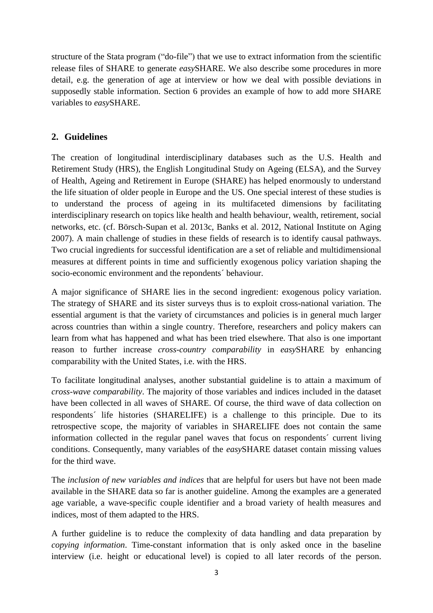structure of the Stata program ("do-file") that we use to extract information from the scientific release files of SHARE to generate *easy*SHARE. We also describe some procedures in more detail, e.g. the generation of age at interview or how we deal with possible deviations in supposedly stable information. Section 6 provides an example of how to add more SHARE variables to *easy*SHARE.

### **2. Guidelines**

The creation of longitudinal interdisciplinary databases such as the U.S. Health and Retirement Study (HRS), the English Longitudinal Study on Ageing (ELSA), and the Survey of Health, Ageing and Retirement in Europe (SHARE) has helped enormously to understand the life situation of older people in Europe and the US. One special interest of these studies is to understand the process of ageing in its multifaceted dimensions by facilitating interdisciplinary research on topics like health and health behaviour, wealth, retirement, social networks, etc. (cf. Börsch-Supan et al. 2013c, Banks et al. 2012, National Institute on Aging 2007). A main challenge of studies in these fields of research is to identify causal pathways. Two crucial ingredients for successful identification are a set of reliable and multidimensional measures at different points in time and sufficiently exogenous policy variation shaping the socio-economic environment and the repondents´ behaviour.

A major significance of SHARE lies in the second ingredient: exogenous policy variation. The strategy of SHARE and its sister surveys thus is to exploit cross-national variation. The essential argument is that the variety of circumstances and policies is in general much larger across countries than within a single country. Therefore, researchers and policy makers can learn from what has happened and what has been tried elsewhere. That also is one important reason to further increase *cross-country comparability* in *easy*SHARE by enhancing comparability with the United States, i.e. with the HRS.

To facilitate longitudinal analyses, another substantial guideline is to attain a maximum of *cross-wave comparability*. The majority of those variables and indices included in the dataset have been collected in all waves of SHARE. Of course, the third wave of data collection on respondents´ life histories (SHARELIFE) is a challenge to this principle. Due to its retrospective scope, the majority of variables in SHARELIFE does not contain the same information collected in the regular panel waves that focus on respondents´ current living conditions. Consequently, many variables of the *easy*SHARE dataset contain missing values for the third wave.

The *inclusion of new variables and indices* that are helpful for users but have not been made available in the SHARE data so far is another guideline. Among the examples are a generated age variable, a wave-specific couple identifier and a broad variety of health measures and indices, most of them adapted to the HRS.

A further guideline is to reduce the complexity of data handling and data preparation by *copying information*. Time-constant information that is only asked once in the baseline interview (i.e. height or educational level) is copied to all later records of the person.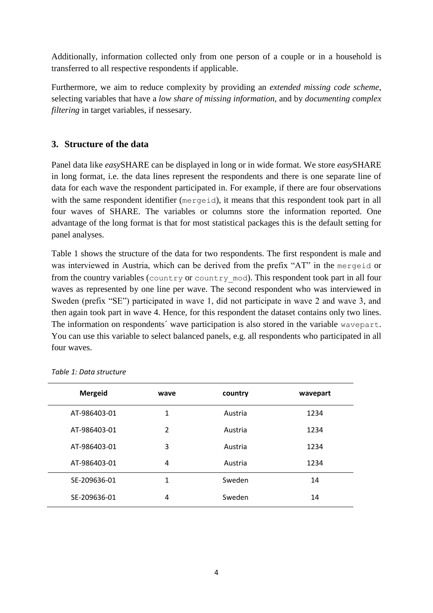Additionally, information collected only from one person of a couple or in a household is transferred to all respective respondents if applicable.

Furthermore, we aim to reduce complexity by providing an *extended missing code scheme*, selecting variables that have a *low share of missing information,* and by *documenting complex filtering* in target variables, if nessesary.

## **3. Structure of the data**

Panel data like *easy*SHARE can be displayed in long or in wide format. We store *easy*SHARE in long format, i.e. the data lines represent the respondents and there is one separate line of data for each wave the respondent participated in. For example, if there are four observations with the same respondent identifier (mergeid), it means that this respondent took part in all four waves of SHARE. The variables or columns store the information reported. One advantage of the long format is that for most statistical packages this is the default setting for panel analyses.

Table 1 shows the structure of the data for two respondents. The first respondent is male and was interviewed in Austria, which can be derived from the prefix "AT" in the mergeid or from the country variables (country or country mod). This respondent took part in all four waves as represented by one line per wave. The second respondent who was interviewed in Sweden (prefix "SE") participated in wave 1, did not participate in wave 2 and wave 3, and then again took part in wave 4. Hence, for this respondent the dataset contains only two lines. The information on respondents' wave participation is also stored in the variable wavepart. You can use this variable to select balanced panels, e.g. all respondents who participated in all four waves.

| <b>Mergeid</b> | wave           | country | wavepart |
|----------------|----------------|---------|----------|
| AT-986403-01   | 1              | Austria | 1234     |
| AT-986403-01   | $\overline{2}$ | Austria | 1234     |
| AT-986403-01   | 3              | Austria | 1234     |
| AT-986403-01   | 4              | Austria | 1234     |
| SE-209636-01   | 1              | Sweden  | 14       |
| SE-209636-01   | 4              | Sweden  | 14       |

*Table 1: Data structure*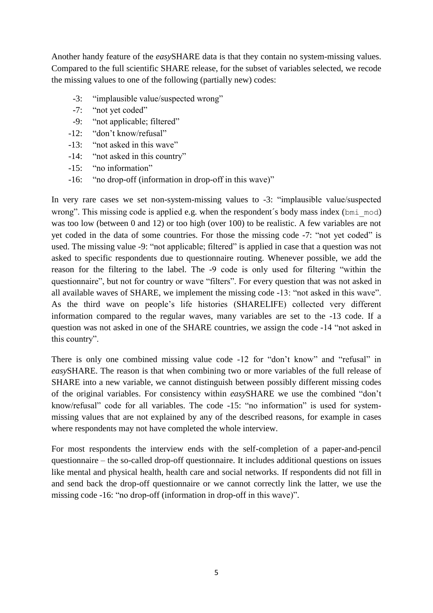Another handy feature of the *easy*SHARE data is that they contain no system-missing values. Compared to the full scientific SHARE release, for the subset of variables selected, we recode the missing values to one of the following (partially new) codes:

- -3: "implausible value/suspected wrong"
- -7: "not yet coded"
- -9: "not applicable; filtered"
- -12: "don't know/refusal"
- -13: "not asked in this wave"
- -14: "not asked in this country"
- -15: "no information"
- -16: "no drop-off (information in drop-off in this wave)"

In very rare cases we set non-system-missing values to -3: "implausible value/suspected wrong". This missing code is applied e.g. when the respondent's body mass index (bmi\_mod) was too low (between 0 and 12) or too high (over 100) to be realistic. A few variables are not yet coded in the data of some countries. For those the missing code -7: "not yet coded" is used. The missing value -9: "not applicable; filtered" is applied in case that a question was not asked to specific respondents due to questionnaire routing. Whenever possible, we add the reason for the filtering to the label. The -9 code is only used for filtering "within the questionnaire", but not for country or wave "filters". For every question that was not asked in all available waves of SHARE, we implement the missing code -13: "not asked in this wave". As the third wave on people's life histories (SHARELIFE) collected very different information compared to the regular waves, many variables are set to the -13 code. If a question was not asked in one of the SHARE countries, we assign the code -14 "not asked in this country".

There is only one combined missing value code -12 for "don't know" and "refusal" in *easy*SHARE. The reason is that when combining two or more variables of the full release of SHARE into a new variable, we cannot distinguish between possibly different missing codes of the original variables. For consistency within *easy*SHARE we use the combined "don't know/refusal" code for all variables. The code -15: "no information" is used for systemmissing values that are not explained by any of the described reasons, for example in cases where respondents may not have completed the whole interview.

For most respondents the interview ends with the self-completion of a paper-and-pencil questionnaire – the so-called drop-off questionnaire. It includes additional questions on issues like mental and physical health, health care and social networks. If respondents did not fill in and send back the drop-off questionnaire or we cannot correctly link the latter, we use the missing code -16: "no drop-off (information in drop-off in this wave)".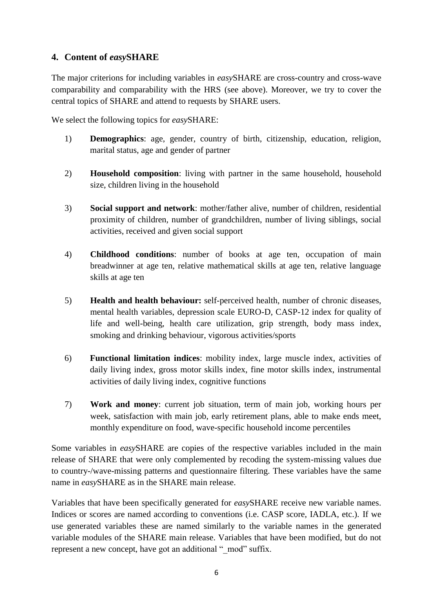## **4. Content of** *easy***SHARE**

The major criterions for including variables in *easy*SHARE are cross-country and cross-wave comparability and comparability with the HRS (see above). Moreover, we try to cover the central topics of SHARE and attend to requests by SHARE users.

We select the following topics for *easy*SHARE:

- 1) **Demographics**: age, gender, country of birth, citizenship, education, religion, marital status, age and gender of partner
- 2) **Household composition**: living with partner in the same household, household size, children living in the household
- 3) **Social support and network**: mother/father alive, number of children, residential proximity of children, number of grandchildren, number of living siblings, social activities, received and given social support
- 4) **Childhood conditions**: number of books at age ten, occupation of main breadwinner at age ten, relative mathematical skills at age ten, relative language skills at age ten
- 5) **Health and health behaviour:** self-perceived health, number of chronic diseases, mental health variables, depression scale EURO-D, CASP-12 index for quality of life and well-being, health care utilization, grip strength, body mass index, smoking and drinking behaviour, vigorous activities/sports
- 6) **Functional limitation indices**: mobility index, large muscle index, activities of daily living index, gross motor skills index, fine motor skills index, instrumental activities of daily living index, cognitive functions
- 7) **Work and money**: current job situation, term of main job, working hours per week, satisfaction with main job, early retirement plans, able to make ends meet, monthly expenditure on food, wave-specific household income percentiles

Some variables in *easy*SHARE are copies of the respective variables included in the main release of SHARE that were only complemented by recoding the system-missing values due to country-/wave-missing patterns and questionnaire filtering. These variables have the same name in *easy*SHARE as in the SHARE main release.

Variables that have been specifically generated for *easy*SHARE receive new variable names. Indices or scores are named according to conventions (i.e. CASP score, IADLA, etc.). If we use generated variables these are named similarly to the variable names in the generated variable modules of the SHARE main release. Variables that have been modified, but do not represent a new concept, have got an additional " mod" suffix.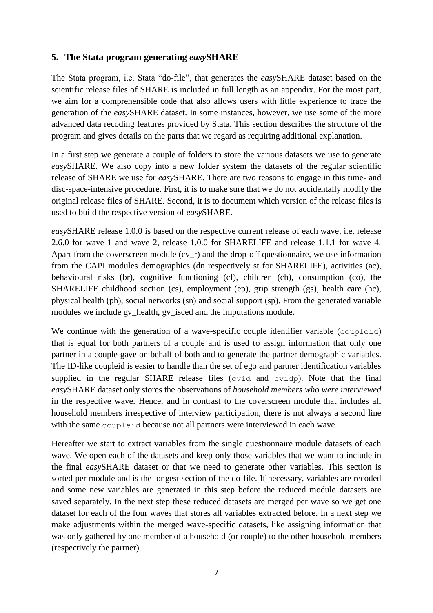#### **5. The Stata program generating** *easy***SHARE**

The Stata program, i.e. Stata "do-file", that generates the *easy*SHARE dataset based on the scientific release files of SHARE is included in full length as an appendix. For the most part, we aim for a comprehensible code that also allows users with little experience to trace the generation of the *easy*SHARE dataset. In some instances, however, we use some of the more advanced data recoding features provided by Stata. This section describes the structure of the program and gives details on the parts that we regard as requiring additional explanation.

In a first step we generate a couple of folders to store the various datasets we use to generate *easy*SHARE. We also copy into a new folder system the datasets of the regular scientific release of SHARE we use for *easy*SHARE. There are two reasons to engage in this time- and disc-space-intensive procedure. First, it is to make sure that we do not accidentally modify the original release files of SHARE. Second, it is to document which version of the release files is used to build the respective version of *easy*SHARE.

*easy*SHARE release 1.0.0 is based on the respective current release of each wave, i.e. release 2.6.0 for wave 1 and wave 2, release 1.0.0 for SHARELIFE and release 1.1.1 for wave 4. Apart from the coverscreen module  $\left(\text{cv}_r\right)$  and the drop-off questionnaire, we use information from the CAPI modules demographics (dn respectively st for SHARELIFE), activities (ac), behavioural risks (br), cognitive functioning (cf), children (ch), consumption (co), the SHARELIFE childhood section (cs), employment (ep), grip strength (gs), health care (hc), physical health (ph), social networks (sn) and social support (sp). From the generated variable modules we include gv\_health, gv\_isced and the imputations module.

We continue with the generation of a wave-specific couple identifier variable (coupleid) that is equal for both partners of a couple and is used to assign information that only one partner in a couple gave on behalf of both and to generate the partner demographic variables. The ID-like coupleid is easier to handle than the set of ego and partner identification variables supplied in the regular SHARE release files (cvid and cvidp). Note that the final *easy*SHARE dataset only stores the observations of *household members who were interviewed* in the respective wave. Hence, and in contrast to the coverscreen module that includes all household members irrespective of interview participation, there is not always a second line with the same coupleid because not all partners were interviewed in each wave.

Hereafter we start to extract variables from the single questionnaire module datasets of each wave. We open each of the datasets and keep only those variables that we want to include in the final *easy*SHARE dataset or that we need to generate other variables. This section is sorted per module and is the longest section of the do-file. If necessary, variables are recoded and some new variables are generated in this step before the reduced module datasets are saved separately. In the next step these reduced datasets are merged per wave so we get one dataset for each of the four waves that stores all variables extracted before. In a next step we make adjustments within the merged wave-specific datasets, like assigning information that was only gathered by one member of a household (or couple) to the other household members (respectively the partner).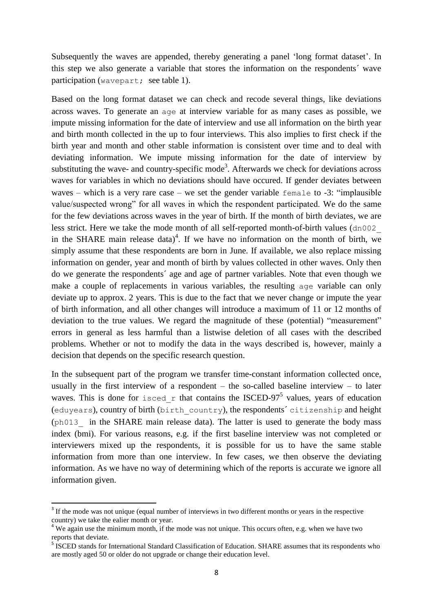Subsequently the waves are appended, thereby generating a panel 'long format dataset'. In this step we also generate a variable that stores the information on the respondents´ wave participation (wavepart; see table 1).

Based on the long format dataset we can check and recode several things, like deviations across waves. To generate an age at interview variable for as many cases as possible, we impute missing information for the date of interview and use all information on the birth year and birth month collected in the up to four interviews. This also implies to first check if the birth year and month and other stable information is consistent over time and to deal with deviating information. We impute missing information for the date of interview by substituting the wave- and country-specific mode<sup>3</sup>. Afterwards we check for deviations across waves for variables in which no deviations should have occured. If gender deviates between waves – which is a very rare case – we set the gender variable female to -3: "implausible value/suspected wrong" for all waves in which the respondent participated. We do the same for the few deviations across waves in the year of birth. If the month of birth deviates, we are less strict. Here we take the mode month of all self-reported month-of-birth values (dn002\_ in the SHARE main release data)<sup>4</sup>. If we have no information on the month of birth, we simply assume that these respondents are born in June. If available, we also replace missing information on gender, year and month of birth by values collected in other waves. Only then do we generate the respondents´ age and age of partner variables. Note that even though we make a couple of replacements in various variables, the resulting age variable can only deviate up to approx. 2 years. This is due to the fact that we never change or impute the year of birth information, and all other changes will introduce a maximum of 11 or 12 months of deviation to the true values. We regard the magnitude of these (potential) "measurement" errors in general as less harmful than a listwise deletion of all cases with the described problems. Whether or not to modify the data in the ways described is, however, mainly a decision that depends on the specific research question.

In the subsequent part of the program we transfer time-constant information collected once, usually in the first interview of a respondent – the so-called baseline interview – to later waves. This is done for isced r that contains the ISCED-97<sup>5</sup> values, years of education (eduyears), country of birth (birth\_country), the respondents´ citizenship and height (ph013\_ in the SHARE main release data). The latter is used to generate the body mass index (bmi). For various reasons, e.g. if the first baseline interview was not completed or interviewers mixed up the respondents, it is possible for us to have the same stable information from more than one interview. In few cases, we then observe the deviating information. As we have no way of determining which of the reports is accurate we ignore all information given.

1

<sup>&</sup>lt;sup>3</sup> If the mode was not unique (equal number of interviews in two different months or years in the respective country) we take the ealier month or year.

<sup>&</sup>lt;sup>4</sup> We again use the minimum month, if the mode was not unique. This occurs often, e.g. when we have two reports that deviate.

<sup>&</sup>lt;sup>5</sup> ISCED stands for International Standard Classification of Education. SHARE assumes that its respondents who are mostly aged 50 or older do not upgrade or change their education level.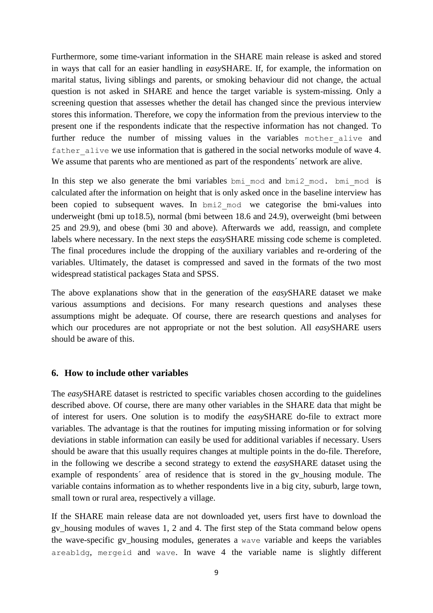Furthermore, some time-variant information in the SHARE main release is asked and stored in ways that call for an easier handling in *easy*SHARE. If, for example, the information on marital status, living siblings and parents, or smoking behaviour did not change, the actual question is not asked in SHARE and hence the target variable is system-missing. Only a screening question that assesses whether the detail has changed since the previous interview stores this information. Therefore, we copy the information from the previous interview to the present one if the respondents indicate that the respective information has not changed. To further reduce the number of missing values in the variables mother alive and father alive we use information that is gathered in the social networks module of wave 4. We assume that parents who are mentioned as part of the respondents' network are alive.

In this step we also generate the bmi variables bmi\_mod and bmi2\_mod. bmi\_mod is calculated after the information on height that is only asked once in the baseline interview has been copied to subsequent waves. In bmi2\_mod we categorise the bmi-values into underweight (bmi up to18.5), normal (bmi between 18.6 and 24.9), overweight (bmi between 25 and 29.9), and obese (bmi 30 and above). Afterwards we add, reassign, and complete labels where necessary. In the next steps the *easy*SHARE missing code scheme is completed. The final procedures include the dropping of the auxiliary variables and re-ordering of the variables. Ultimately, the dataset is compressed and saved in the formats of the two most widespread statistical packages Stata and SPSS.

The above explanations show that in the generation of the *easy*SHARE dataset we make various assumptions and decisions. For many research questions and analyses these assumptions might be adequate. Of course, there are research questions and analyses for which our procedures are not appropriate or not the best solution. All *easy*SHARE users should be aware of this.

#### **6. How to include other variables**

The *easy*SHARE dataset is restricted to specific variables chosen according to the guidelines described above. Of course, there are many other variables in the SHARE data that might be of interest for users. One solution is to modify the *easy*SHARE do-file to extract more variables. The advantage is that the routines for imputing missing information or for solving deviations in stable information can easily be used for additional variables if necessary. Users should be aware that this usually requires changes at multiple points in the do-file. Therefore, in the following we describe a second strategy to extend the *easy*SHARE dataset using the example of respondents´ area of residence that is stored in the gv\_housing module. The variable contains information as to whether respondents live in a big city, suburb, large town, small town or rural area, respectively a village.

If the SHARE main release data are not downloaded yet, users first have to download the gv\_housing modules of waves 1, 2 and 4. The first step of the Stata command below opens the wave-specific gv\_housing modules, generates a wave variable and keeps the variables areabldg, mergeid and wave. In wave 4 the variable name is slightly different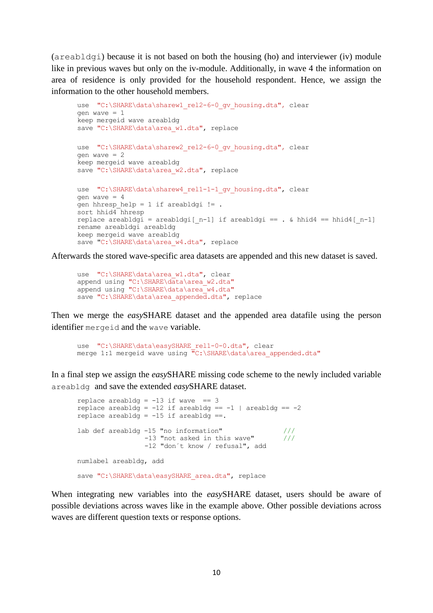(areabldgi) because it is not based on both the housing (ho) and interviewer (iv) module like in previous waves but only on the iv-module. Additionally, in wave 4 the information on area of residence is only provided for the household respondent. Hence, we assign the information to the other household members.

```
use "C:\SHARE\data\sharew1 rel2-6-0 gv housing.dta", clear
gen wave = 1keep mergeid wave areabldg
save "C:\SHARE\data\area w1.dta", replace
use "C:\SHARE\data\sharew2_rel2-6-0_gv_housing.dta", clear
gen wave = 2keep mergeid wave areabldg
save "C:\SHARE\data\area w2.dta", replace
use "C:\SHARE\data\sharew4_rel1-1-1_qv_housing.dta", clear
gen wave = 4gen hhresp help = 1 if areabldgi != .
sort hhid4 hhresp
replace areabldgi = areabldgi[ n-1] if areabldgi == . & hhid4 == hhid4[ n-1]
rename areabldgi areabldg
keep mergeid wave areabldg
save "C:\SHARE\data\area w4.dta", replace
```
Afterwards the stored wave-specific area datasets are appended and this new dataset is saved.

```
use "C:\SHARE\data\area w1.dta", clear
append using "C:\SHARE\data\area w2.dta"
append using "C:\SHARE\data\area_w4.dta"
save "C:\SHARE\data\area appended.dta", replace
```
Then we merge the *easy*SHARE dataset and the appended area datafile using the person identifier mergeid and the wave variable.

```
use "C:\SHARE\data\easySHARE_rel1-0-0.dta", clear
merge 1:1 mergeid wave using "C:\SHARE\data\area appended.dta"
```
In a final step we assign the *easy*SHARE missing code scheme to the newly included variable areabldg and save the extended *easy*SHARE dataset.

```
replace areabldg = -13 if wave == 3
replace areabldg = -12 if areabldg == -1 | areabldg == -2replace areabldg = -15 if areabldg ==.
lab def areabldg -15 "no information" ///
                -13 "not asked in this wave" /// -12 "don´t know / refusal", add
numlabel areabldg, add
save "C:\SHARE\data\easySHARE_area.dta", replace
```
When integrating new variables into the *easy*SHARE dataset, users should be aware of possible deviations across waves like in the example above. Other possible deviations across waves are different question texts or response options.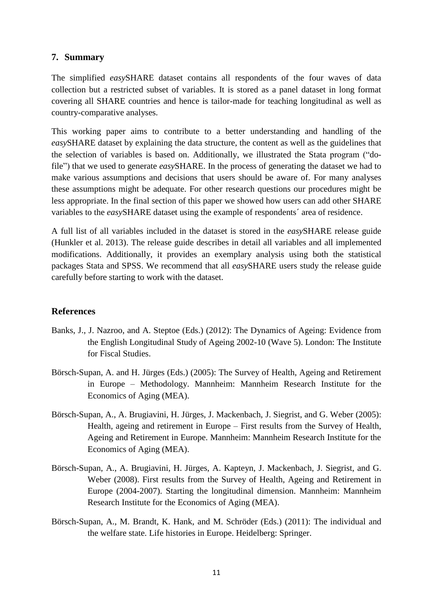#### **7. Summary**

The simplified *easy*SHARE dataset contains all respondents of the four waves of data collection but a restricted subset of variables. It is stored as a panel dataset in long format covering all SHARE countries and hence is tailor-made for teaching longitudinal as well as country-comparative analyses.

This working paper aims to contribute to a better understanding and handling of the *easy*SHARE dataset by explaining the data structure, the content as well as the guidelines that the selection of variables is based on. Additionally, we illustrated the Stata program ("dofile") that we used to generate *easy*SHARE. In the process of generating the dataset we had to make various assumptions and decisions that users should be aware of. For many analyses these assumptions might be adequate. For other research questions our procedures might be less appropriate. In the final section of this paper we showed how users can add other SHARE variables to the *easy*SHARE dataset using the example of respondents´ area of residence.

A full list of all variables included in the dataset is stored in the *easy*SHARE release guide (Hunkler et al. 2013). The release guide describes in detail all variables and all implemented modifications. Additionally, it provides an exemplary analysis using both the statistical packages Stata and SPSS. We recommend that all *easy*SHARE users study the release guide carefully before starting to work with the dataset.

## **References**

- Banks, J., J. Nazroo, and A. Steptoe (Eds.) (2012): The Dynamics of Ageing: Evidence from the English Longitudinal Study of Ageing 2002-10 (Wave 5). London: The Institute for Fiscal Studies.
- Börsch-Supan, A. and H. Jürges (Eds.) (2005): The Survey of Health, Ageing and Retirement in Europe – Methodology. Mannheim: Mannheim Research Institute for the Economics of Aging (MEA).
- Börsch-Supan, A., A. Brugiavini, H. Jürges, J. Mackenbach, J. Siegrist, and G. Weber (2005): Health, ageing and retirement in Europe – First results from the Survey of Health, Ageing and Retirement in Europe. Mannheim: Mannheim Research Institute for the Economics of Aging (MEA).
- Börsch-Supan, A., A. Brugiavini, H. Jürges, A. Kapteyn, J. Mackenbach, J. Siegrist, and G. Weber (2008). First results from the Survey of Health, Ageing and Retirement in Europe (2004-2007). Starting the longitudinal dimension. Mannheim: Mannheim Research Institute for the Economics of Aging (MEA).
- Börsch-Supan, A., M. Brandt, K. Hank, and M. Schröder (Eds.) (2011): The individual and the welfare state. Life histories in Europe. Heidelberg: Springer.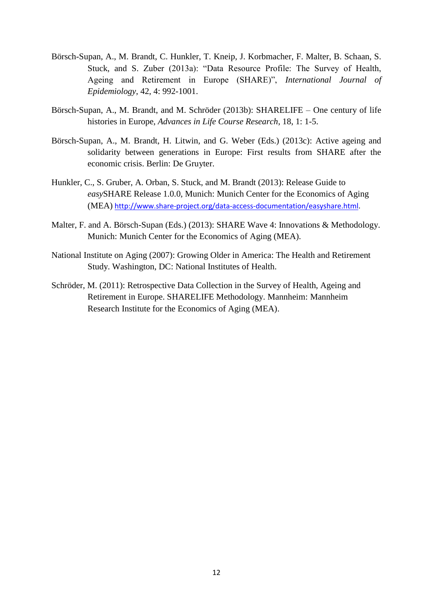- Börsch-Supan, A., M. Brandt, C. Hunkler, T. Kneip, J. Korbmacher, F. Malter, B. Schaan, S. Stuck, and S. Zuber (2013a): "Data Resource Profile: The Survey of Health, Ageing and Retirement in Europe (SHARE)", *International Journal of Epidemiology*, 42, 4: 992-1001.
- Börsch-Supan, A., M. Brandt, and M. Schröder (2013b): SHARELIFE One century of life histories in Europe, *Advances in Life Course Research*, 18, 1: 1-5.
- Börsch-Supan, A., M. Brandt, H. Litwin, and G. Weber (Eds.) (2013c): Active ageing and solidarity between generations in Europe: First results from SHARE after the economic crisis. Berlin: De Gruyter.
- Hunkler, C., S. Gruber, A. Orban, S. Stuck, and M. Brandt (2013): Release Guide to *easy*SHARE Release 1.0.0, Munich: Munich Center for the Economics of Aging (MEA) [http://www.share-project.org/data-access-documentation/easyshare.html.](http://www.share-project.org/data-access-documentation/easyshare.html)
- Malter, F. and A. Börsch-Supan (Eds.) (2013): SHARE Wave 4: Innovations & Methodology. Munich: Munich Center for the Economics of Aging (MEA).
- National Institute on Aging (2007): Growing Older in America: The Health and Retirement Study. Washington, DC: National Institutes of Health.
- Schröder, M. (2011): Retrospective Data Collection in the Survey of Health, Ageing and Retirement in Europe. SHARELIFE Methodology. Mannheim: Mannheim Research Institute for the Economics of Aging (MEA).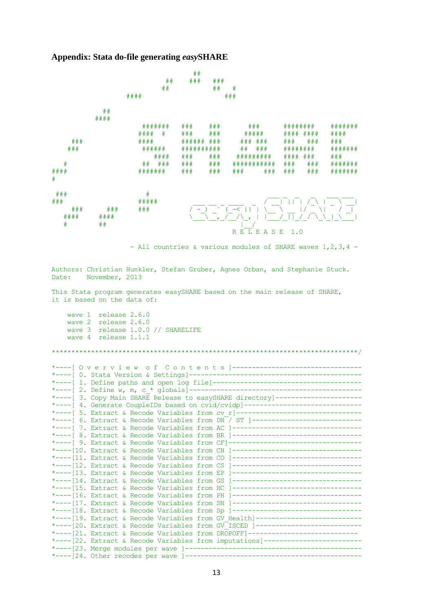#### **Appendix: Stata do-file generating** *easy***SHARE**



- All countries & various modules of SHARE waves 1,2,3,4 -

Authors: Christian Hunkler, Stefan Gruber, Agnes Orban, and Stephanie Stuck. Date: November, 2013

This Stata program generates easySHARE based on the main release of SHARE, it is based on the data of:

 wave 1 release 2.6.0 wave 2 release 2.6.0 wave 3 release 1.0.0 // SHARELIFE wave 4 release 1.1.1

\*\*\*\*\*\*\*\*\*\*\*\*\*\*\*\*\*\*\*\*\*\*\*\*\*\*\*\*\*\*\*\*\*\*\*\*\*\*\*\*\*\*\*\*\*\*\*\*\*\*\*\*\*\*\*\*\*\*\*\*\*\*\*\*\*\*\*\*\*\*\*\*\*\*\*\*\*\*/ \*----[ O v e r v i e w o f C o n t e n t s ]--------------------------------- \*----[ 0. Stata Version & Settings]-------------------------------------------- \*----[ 1. Define paths and open log file]-------------------------------------- \*----[ 2. Define w, m, c\_\* globals]-------------------------------------------- \*----[ 3. Copy Main SHARE Release to easySHARE directory]---------------------- \*----[ 4. Generate CoupleIDs based on cvid/cvidp]------------------------------\*----[ 5. Extract & Recode Variables from cv r]---------------------------------\*----[ 6. Extract & Recode Variables from DN / ST ]----------------------------\*----[ 7. Extract & Recode Variables from AC ]----------------------------------\*----[ 8. Extract & Recode Variables from BR ]----------------------------------\*----[ 9. Extract & Recode Variables from CF]-----------------------------------\*----[10. Extract & Recode Variables from CH ]--------------------------------- \*----[11. Extract & Recode Variables from CO ]----------------------------------<br>\*----[12. Extract & Recode Variables from CS 1----------------------------------\*----[12. Extract & Recode Variables from CS \*----[13. Extract & Recode Variables from EP ]--------------------------------- \*----[14. Extract & Recode Variables from GS ]--------------------------------- \*----[15. Extract & Recode Variables from HC ]--------------------------------- \*----[16. Extract & Recode Variables from PH ]--------------------------------- \*----[17. Extract & Recode Variables from SN ]----------------------------------\*----[18. Extract & Recode Variables from Sp ]----------------------------------\*----[19. Extract & Recode Variables from GV Health]--------------------------\*----[20. Extract & Recode Variables from GV ISCED ]---------------------------\*----[21. Extract & Recode Variables from DROPOFF]---------------------------- \*----[22. Extract & Recode Variables from imputations]------------------------- \*----[23. Merge modules per wave ]--------------------------------------------- \*----[24. Other recodes per wave ]---------------------------------------------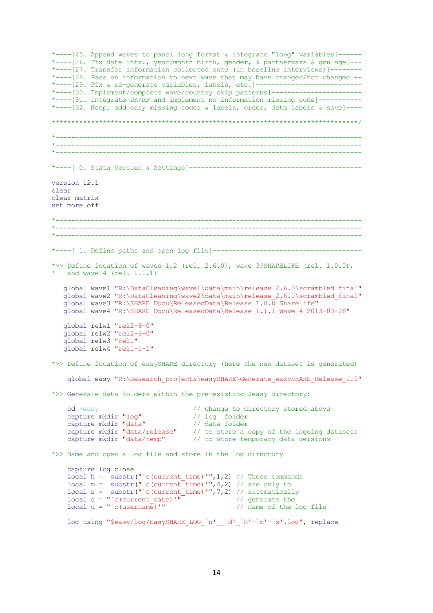\*----[25. Append waves to panel long format & integrate "long" variables]------ \*----[26. Fix date intv., year/month birth, gender, & partnervars & gen age]--- \*----[27. Transfer information collected once (in baseline interviews)]-------- \*----[28. Pass on information to next wave that may have changed/not changed]-- \*----[29. Fix & re-generate variables, labels, etc.]----------------------------\*----[30. Implement/complete wave/country skip patterns]-----------------------\*----[31. Integrate DK/RF and implement no information missing code]----------- \*----[32. Keep, add easy missing codes & labels, order, data labels & save]---- \*\*\*\*\*\*\*\*\*\*\*\*\*\*\*\*\*\*\*\*\*\*\*\*\*\*\*\*\*\*\*\*\*\*\*\*\*\*\*\*\*\*\*\*\*\*\*\*\*\*\*\*\*\*\*\*\*\*\*\*\*\*\*\*\*\*\*\*\*\*\*\*\*\*\*\*\*\*/ \*------------------------------------------------------------------------------ \*------------------------------------------------------------------------------ \*------------------------------------------------------------------------------ \*----[ 0. Stata Version & Settings]------------------------------------------- version 12.1 clear clear matrix set more off \*------------------------------------------------------------------------------ \*------------------------------------------------------------------------------ \*------------------------------------------------------------------------------ \*----[ 1. Define paths and open log file]-------------------------------------- \*>> Define location of waves 1,2 (rel. 2.6.0), wave 3/SHARELIFE (rel. 1.0.0), and wave  $4$  (rel.  $1.1.1$ ) global wave1 "R:\DataCleaning\wave1\data\main\release\_2.6.0\scrambled\_final" global wave2 "R:\DataCleaning\wave2\data\main\release<sup>-2</sup>.6.0\scrambled<sup>-final"</sup> global wave3 "R:\SHARE Docu\ReleasedData\Release  $1.0.\overline{0}$  Sharelife" global wave4 "R:\SHARE<sup>T</sup>Docu\ReleasedData\Release<sup>T</sup>1.1.1<sup>T</sup>Wave 4 2013-03-28" global relw1 "rel2-6-0" global relw2 "rel2-6-0" global relw3 "rel1" global relw4 "rel1-1-1" \*>> Define location of easySHARE directory (here the new dataset is generated) global easy "R:\Research\_projects\easySHARE\Generate\_easySHARE\_Release\_1.0" \*>> Generate data folders within the pre-existing \$easy directory: cd \$easy // change to directory stored above capture mkdir "log" // log folder capture mkdir "data" // data folder capture mkdir "cy" // is folder<br>capture mkdir "data" // data folder<br>capture mkdir "data/release" // to store a copy of the ingoing datasets capture mkdir "data/temp" // to store temporary data versions \*>> Name and open a log file and store in the log directory capture log close local h =  $\sqrt{\frac{1}{2}}$  substr(" `c(current time)'",1,2) // These commands local m =  $\frac{1}{2}$  substr(" c(current time)'", 4,2) // are only to local s = substr("`c(current\_time)'",7,2) // automatically<br>local d = "`c(current\_date)'" // generate the local d = " $c$ (current\_date)'" // generate the<br>local u = " $c$ (username)'" // name of the log file  $local u = "c(username) "$ log using "\$easy/log/EasySHARE\_LOG\_`u'\_\_`d'\_`h'-`m'-`s'.log", replace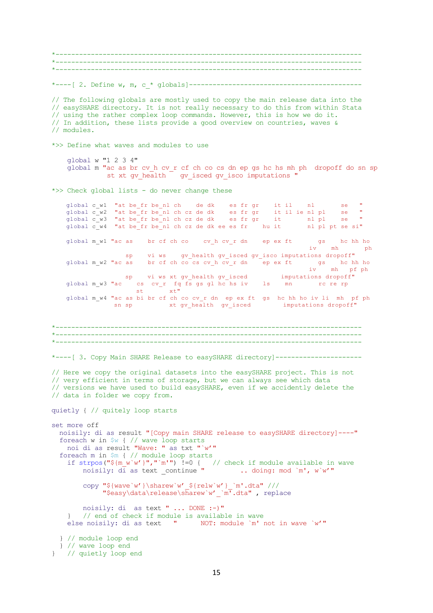\*------------------------------------------------------------------------------ \*------------------------------------------------------------------------------ \*------------------------------------------------------------------------------ \*----[ 2. Define w, m, c\_\* globals]-------------------------------------------- // The following globals are mostly used to copy the main release data into the // easySHARE directory. It is not really necessary to do this from within Stata // using the rather complex loop commands. However, this is how we do it. // In addition, these lists provide a good overview on countries, waves & // modules. \*>> Define what waves and modules to use global w "1 2 3 4" global m "ac as br cv\_h cv\_r cf ch co cs dn ep gs hc hs mh ph dropoff do sn sp st xt gv health gv isced gv isco imputations " \*>> Check global lists - do never change these global c w1 "at be fr be nl ch de dk es fr gr it il nl se " global c\_w2 "at be\_fr be\_nl ch cz de dk es fr gr it il ie nl pl se " global cw3 "at be fr be nl ch cz de dk es fr gr it nl pl se " global c\_w4 "at be\_fr be\_nl ch cz de dk ee es fr hu it nl pl pt se si" global m\_w1 "ac as br cf ch co cv\_h cv\_r dn ep ex ft gs hc hh ho  $iv$  mh sp vi ws gv\_health gv\_isced gv\_isco imputations dropoff" global m\_w2 "ac as br cf ch co cs cv\_h cv\_r dn ep ex ft gs hc hh ho iv mh pf ph sp vi ws xt gv health gv isced imputations dropoff" global m\_w3 "ac cs cv\_r fq fs gs gl hc hs iv ls mn rc re rp  $st$   $\bar{x}t$  global m\_w4 "ac as bi br cf ch co cv\_r dn ep ex ft gs hc hh ho iv li mh pf ph sn sp xt gv\_health gv\_isced imputations dropoff" \*------------------------------------------------------------------------------  $\mathcal{L}^{\mathcal{L}}(\mathcal{L}^{\mathcal{L}})$ \*------------------------------------------------------------------------------ \*----[ 3. Copy Main SHARE Release to easySHARE directory]---------------------- // Here we copy the original datasets into the easySHARE project. This is not // very efficient in terms of storage, but we can always see which data // versions we have used to build easySHARE, even if we accidently delete the // data in folder we copy from. quietly { // quitely loop starts set more off noisily: di as result "[Copy main SHARE release to easySHARE directory]----" foreach w in  $\frac{1}{2}w$  { // wave loop starts noi di as result "Wave: " as txt "`w'" foreach m in \$m { // module loop starts if strpos("\${m\_w`w'}","`m'")  $!=0$  { // check if module available in wave noisily: di as text continue " ... doing: mod `m', w`w'" noisily:  $d\bar{i}$  as text continue " copy "\${wave`w'}\sharew`w'\_\${relw`w'}\_`m'.dta" /// "\$easy\data\release\sharew`w'\_`m'.dta" , replace noisily: di as text " ... DONE :-)" // end of check if module is available in wave else noisily: di as text " NOT: module `m' not in wave `w'" } // module loop end } // wave loop end } // quietly loop end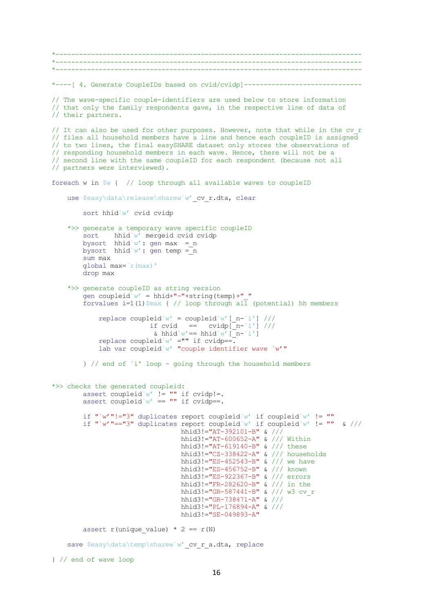```
*------------------------------------------------------------------------------
*------------------------------------------------------------------------------
*------------------------------------------------------------------------------
*----[ 4. Generate CoupleIDs based on cvid/cvidp]------------------------------
// The wave-specific couple-identifiers are used below to store information
// that only the family respondents gave, in the respective line of data of 
// their partners.
// It can also be used for other purposes. However, note that while in the cv_r
// files all household members have a line and hence each coupleID is assigned 
// to two lines, the final easySHARE dataset only stores the observations of 
// responding household members in each wave. Hence, there will not be a 
// second line with the same coupleID for each respondent (because not all 
// partners were interviewed). 
foreach w in \frac{6}{3} { // loop through all available waves to coupleID
   use $easy\data\release\sharew`w' cv r.dta, clear
        sort hhid`w' cvid cvidp
     *>> generate a temporary wave specific coupleID
       sort hhid`w' mergeid cvid cvidp
       bysort hhid`w': gen max = n
       bysort hhid`w': gen temp = n
        sum max
        global max=`r(max)'
        drop max 
     *>> generate coupleID as string version
        gen coupleid`w' = hhid+"-"+string(temp)+"_"
       forvalues i=1(1)\frac{1}{2} (/ loop through all (potential) hh members
           replace coupleid`w' = coupleid`w' [ n-`i'] ///
                       if cvid = cvidp[n-i'] ///
                        & hhid`w' == hhid`w' [\bar{n}-i']replace coupleid`w' = "" if cvidp==.
            lab var coupleid`w' "couple identifier wave `w'"
         } // end of `i' loop - going through the household members
*>> checks the generated coupleid: 
       assert coupleid`w' != "" if cvidp!=.
       assert coupleid`w' == "" if cvidp==.
        if "`w'"!="3" duplicates report coupleid`w' if coupleid`w' != ""
       if "`w'"=="3" duplicates report coupleid`w' if coupleid`w' != "" & ///
                               hhid3!="AT-392101-B" \frac{1}{4} //
                                hhid3!="AT-600652-A" & /// Within 
                                hhid3!="AT-619140-B" & /// these 
 hhid3!="CZ-338422-A" & /// households 
 hhid3!="ES-452543-B" & /// we have 
 hhid3!="ES-456752-B" & /// known 
                                hhid3!="ES-922367-B" & /// errors 
                                hhid3!="FR-282620-B" & /// in the 
                               hhid3!="GR-587441-B" & /// w3 cv r
 hhid3!="GR-738471-A" & /// 
 hhid3!="PL-176894-A" & /// 
                                hhid3!="SE-049893-A" 
       assert r(unique value) * 2 == r(N)save $easy\data\temp\sharew`w' cv r a.dta, replace
} // end of wave loop
```
16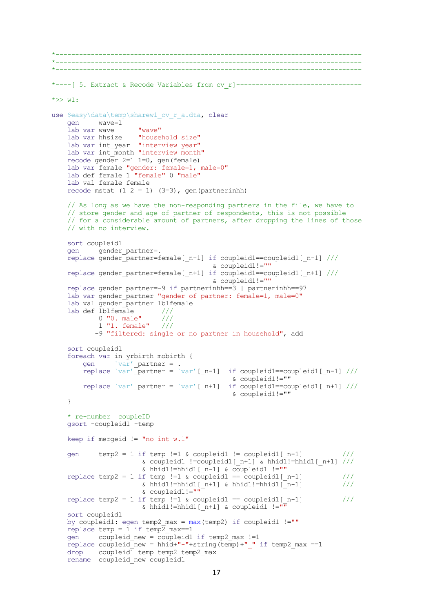```
*------------------------------------------------------------------------------
*------------------------------------------------------------------------------
*------------------------------------------------------------------------------
*----[ 5. Extract & Recode Variables from cv r]---------------------------------
*>> w1: 
use $easy\data\temp\sharew1_cv_r_a.dta, clear
    gen wave=1
   lab var wave "wave"
    lab var hhsize "household size"
    lab var int_year "interview year"
   lab var int_month "interview month"
    recode gender 2=1 1=0, gen(female)
    lab var female "gender: female=1, male=0"
     lab def female 1 "female" 0 "male"
    lab val female female
   recode mstat (1 2 = 1) (3=3), gen(partnerinhh)
    // As long as we have the non-responding partners in the file, we have to 
    // store gender and age of partner of respondents, this is not possible 
    // for a considerable amount of partners, after dropping the lines of those
    // with no interview.
    sort coupleid1
   gen gender partner=.
   replace gender_partner=female[ n-1] if coupleid1==coupleid1[ n-1] ///
                                         & coupleid1!=""
   replace gender partner=female[_n+1] if coupleid1==coupleid1[_n+1] ///
                                         & coupleid1!=""
   replace gender partner=-9 if partnerinhh==3 | partnerinhh==97
   lab var gender partner "gender of partner: female=1, male=0"
   lab val gender partner lblfemale
   lab def \overline{b}lblfemale ///<br>0 "0. male" ///
           0 "0. male"
            1 "1. female" ///
           -9 "filtered: single or no partner in household", add
    sort coupleid1 
     foreach var in yrbirth mobirth {
gen `var' partner = .
replace `var' partner = `var' [ n-1] if coupleid1==coupleid1 [ n-1] /// & coupleid1!=""
       replace `var' partner = `var'[ n+1] if coupleid1==coupleid1[ n+1] ///
                                              & coupleid1!=""
     }
     * re-number coupleID 
    gsort -coupleid1 -temp
    keep if mergeid != "no int w.1"
   gen temp2 = 1 if temp !=1 & coupleid1 != coupleid1 [n-1] ///
                      & coupleid1 !=coupleid1[ n+1] & hhid1:=hhid1[ n+1] ///
                       & hhid1!=hhid1[_n-1] & coupleid1 !=""
    replace temp2 = 1 if temp !=1 & coupleid1 == coupleid1 [n-1] ///
                      \& hhid1!=hhid1[_n+1] \& hhid1!=hhid1[_n-1] ///
                       & coupleid1!=""
   replace temp2 = 1 if temp !=1 & coupleid1 == coupleid1[n-1] ///
                      \& hhid1!=hhid1[ n+1] \& coupleid1 !=""
     sort coupleid1
   by coupleid1: egen temp2 max = max(temp2) if coupleid1 !=""
   replace temp = 1 if temp2 max==1
   gen coupleid new = coupleid1 if temp2 max !=1replace coupleid new = hhid+"-"+string(temp)+" " if temp2 max ==1
   drop coupleid\overline{1} temp temp2 temp2 max
    rename coupleid new coupleid1
```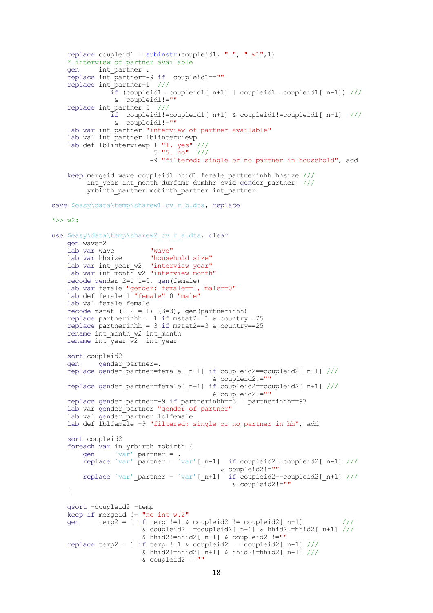```
replace coupleid1 = subinstr(coupleid1, "'', "w1",1)
     * interview of partner available 
    gen int_partner=.
     replace int_partner=-9 if coupleid1==""
   replace int partner=1 //\overline{\text{if}} (coupleid1==coupleid1[_n+1] | coupleid1==coupleid1[_n-1]) ///
                & coupleid1!=""
    replace int_partner=5 ///
 if coupleid1!=coupleid1[_n+1] & coupleid1!=coupleid1[_n-1] ///
 & coupleid1!=""
   lab var int partner "interview of partner available"
   lab val int partner lblinterviewp
 lab def lblinterviewp 1 "1. yes" ///
5 "5. no" ///
                         -9 "filtered: single or no partner in household", add 
     keep mergeid wave coupleid1 hhid1 female partnerinhh hhsize ///
         int year int month dumfamr dumhhr cvid gender partner ///
         yrbirth partner mobirth partner int partner
save $easy\data\temp\sharew1 cv_r_b.dta, replace
\star >> w2:
use $easy\data\temp\sharew2 cv_r_a.dta, clear
    gen wave=2
   lab var wave "wave"<br>lab var hhsize "household size"
 lab var hhsize "household size"
lab var int year w2 "interview year"
   lab var int\overline{m}month w2 "interview month"
   recode gender 2=1<sup>-1=0</sup>, gen(female)
    lab var female "gender: female==1, male==0"
    lab def female 1 "female" 0 "male"
    lab val female female
   recode mstat (1 2 = 1) (3=3), gen(partnerinhh)
    replace partnerinhh = 1 if mstat2==1 & country==25
   replace partnerinhh = 3 if mstat2==3 \text{ & country==25}rename int month w2 int month
   rename int_year w2 int_year
    sort coupleid2
   gen gender partner=.
    replace gender_partner=female[_n-1] if coupleid2==coupleid2[_n-1] ///
                                         & coupleid2!=""
   replace gender partner=female[_n+1] if coupleid2==coupleid2[_n+1] ///
                                         & coupleid2!=""
   replace gender partner=-9 if partnerinhh==3 | partnerinhh==97
   lab var gender_partner "gender of partner"
    lab val gender partner lblfemale
   lab def lblfemale -9 "filtered: single or no partner in hh", add
    sort coupleid2 
     foreach var in yrbirth mobirth {
gen `var' partner = .
replace `var' partner = `var' [ n-1] if coupleid2==coupleid2 [ n-1] ///
 & coupleid2!=""
       replace `var' partner = `var'[_n+1] if coupleid2==coupleid2[_n+1] ///
                                              & coupleid2!=""
     } 
    gsort -coupleid2 -temp
    k^{2} keep if mergeid != "no int w.2"
   qen temp2 = 1 if temp !=1 & coupleid2 != coupleid2 [n-1] ///
                      & coupleid2 !=coupleid2[ n+1] & hhid2!=hhid2[ n+1] ///
                      & hhid2!=hhid2[_n-1] & coupleid2 !=""
   replace temp2 = 1 if temp !=1 & coupleid2 == coupleid2 [n-1] ///
                      & hhid2!=hhid2[n+1] & hhid2!=hhid2[n-1] ///
                      \& coupleid2 !="
```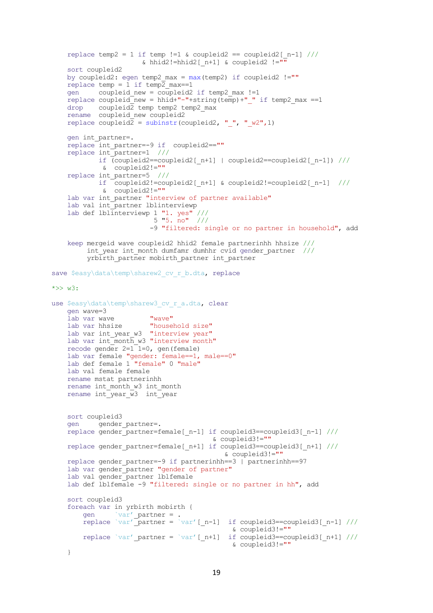```
replace temp2 = 1 if temp !=1 & coupleid2 == coupleid2 [n-1] ///
                      \& hhid2!=hhid2[ n+1] \& coupleid2 !="
    sort coupleid2
   by coupleid2: egen temp2 max = max(temp2) if coupleid2 !=""
   replace temp = 1 if temp2 max==1
   gen coupleid new = coupleid2 if temp2 max !=1replace coupleid new = hhid+"-"+string(temp)+" " if temp2 max ==1
   drop coupleid\overline{2} temp temp2 temp2 max
     rename coupleid_new coupleid2
    replace coupleid2 = subinstr(coupleid2, " ", " w2",1)
    gen int_partner=.
   replace int partner=-9 if coupleid2==""
     replace int_partner=1 ///
            if (coupleid2==coupleid2[_n+1] | coupleid2==coupleid2[_n-1]) ///
             & coupleid2!=""
     replace int_partner=5 ///
            if coupleid2!=coupleid2[_n+1] & coupleid2!=coupleid2[_n-1] ///
             & coupleid2!=""
   lab var int partner "interview of partner available"
   lab val int_partner lblinterviewp
 lab def lblinterviewp 1 "1. yes" ///
5 "5. no" ///
                         -9 "filtered: single or no partner in household", add 
    keep mergeid wave coupleid2 hhid2 female partnerinhh hhsize ///
        int year int month dumfamr dumhhr cvid gender partner ///
        yrbirth partner mobirth partner int partner
save $easy\data\temp\sharew2 cv r b.dta, replace
*>> w3: 
use $easy\data\temp\sharew3 cv r a.dta, clear
    gen wave=3
     lab var wave "wave"
    lab var hhsize "household size"
   lab var int year w3 "interview year"
   lab var int\overline{\mathbb{R}} month w3 "interview month"
   recode gender 2=1<sup>-1=0</sup>, gen(female)
    lab var female "gender: female==1, male==0"
    lab def female 1 "female" 0 "male"
    lab val female female
    rename mstat partnerinhh
   rename int month w3 int month
   rename int_year w3 int_year
    sort coupleid3
   gen gender partner=.
   replace gender_partner=female[ n-1] if coupleid3==coupleid3[ n-1] ///
                                         & coupleid3!=""
   replace gender partner=female[_n+1] if coupleid3==coupleid3[_n+1] ///
                                            & coupleid3!=""
    replace gender_partner=-9 if partnerinhh==3 | partnerinhh==97
    lab var gender partner "gender of partner"
   lab val gender partner lblfemale
    lab def lblfemale -9 "filtered: single or no partner in hh", add
    sort coupleid3 
     foreach var in yrbirth mobirth {
gen `var' partner = .
replace `var' partner = `var' [ n-1] if coupleid3==coupleid3 [ n-1] ///
 & coupleid3!=""
       replace `var' partner = `var'[ n+1] if coupleid3==coupleid3[ n+1] ///
                                              & coupleid3!=""
     }
```

```
19
```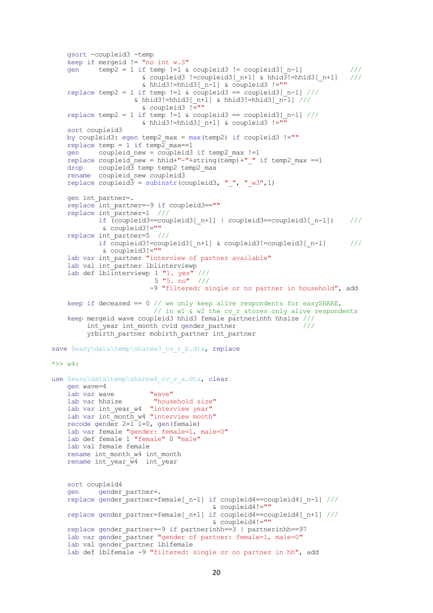```
 gsort -coupleid3 -temp
    keep if mergeid != "no int w.3"
   gen temp2 = 1 if temp !=1 & coupleid3 != coupleid3 [n-1] ///
                       & coupleid3 !=coupleid3[ n+1] & hhid3!=hhid3[ n+1] ///
                       \& hhid3!=hhid3[ n-1] \& coupleid3 !=""
    replace temp2 = 1 if temp !=1 & coupleid3 == coupleid3[ n-1] ///
                     \& hhid3!=hhid3[ n+1] \& hhid3!=hhid3[ n-1] ///
                       & \text{couple} :=""
   replace temp2 = 1 if temp !=1 & coupleid3 == coupleid3[n-1] ///
                       \& hhid3!=hhid3[n+1] & coupleid3 !=""
     sort coupleid3
   by coupleid3: egen temp2 max = max(temp2) if coupleid3 !=""
   replace temp = 1 if temp2 max==1
   gen coupleid new = coupleid3 if temp2 max !=1
    replace coupleid new = hhid+"-"+string(temp)+" " if temp2 max ==1
   drop coupleid3 temp temp2 temp2 max
    rename coupleid new coupleid3
   replace coupleid3 = subinstr(coupleid3, " ", " w3",1)
    gen int_partner=.
   replace int partner=-9 if coupleid3==""
    replace int_partner=1 ///
             if (coupleid3==coupleid3[_n+1] | coupleid3==coupleid3[_n-1]) ///
              & coupleid3!=""
    replace int_partner=5 ///
             if coupleid3!=coupleid3[_n+1] & coupleid3!=coupleid3[_n-1] ///
              & coupleid3!=""
   lab var int partner "interview of partner available"
    lab val int_partner lblinterviewp
 lab def lblinterviewp 1 "1. yes" ///
5 "5. no" ///
                          -9 "filtered: single or no partner in household", add 
   keep if deceased == 0 // we only keep alive respondents for easySHARE,
                         // in w1 & w2 the cv r stores only alive respondents
    keep mergeid wave coupleid3 hhid3 female partnerinhh hhsize ///
         int year int month cvid gender partner ////
         yrbirth partner mobirth partner int partner
save $easy\data\temp\sharew3 cv r b.dta, replace
\star >> w4:
use $easy\data\temp\sharew4 cv r a.dta, clear
    gen wave=4
    lab var wave "wave"
    lab var hhsize "household size"
   lab var int_year w4 "interview year"
   lab var int_{\text{month}} w4 "interview month"
    recode gender 2=1<sup>-1=0</sup>, gen(female)
    lab var female "gender: female=1, male=0"
    lab def female 1 "female" 0 "male"
    lab val female female
   rename int month w4 int month
   rename int\{year} <math>\overline{w4}</math> int\
    sort coupleid4
   gen gender partner=.
   replace gender partner=female[ n-1] if coupleid4==coupleid4[ n-1] ///
                                          & coupleid4!=""
   replace gender partner=female[ n+1] if coupleid4==coupleid4[ n+1] ///
                                          & coupleid4!=""
   replace gender partner=-9 if partnerinhh==3 | partnerinhh==97
   lab var gender partner "gender of partner: female=1, male=0"
    lab val gender partner lblfemale
   lab def lblfemale -9 "filtered: single or no partner in hh", add
```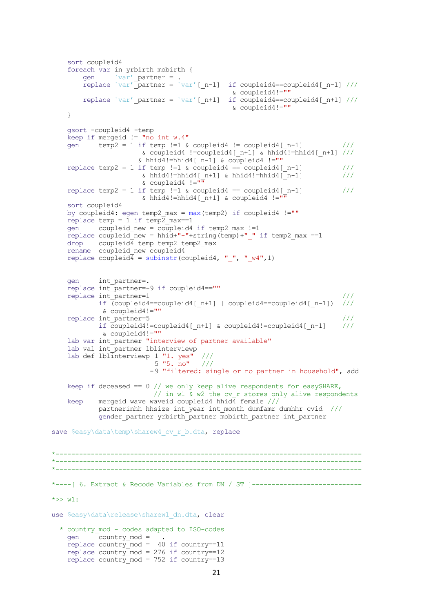```
 sort coupleid4 
    foreach var in yrbirth mobirth {
gen `var' partner = .
replace `var' partner = `var' [ n-1] if coupleid4==coupleid4 [ n-1] ///
 & coupleid4!=""
       replace `var' partner = `var'[_n+1] if coupleid4==coupleid4[_n+1] ///
                                           & coupleid4!=""
    } 
    gsort -coupleid4 -temp
   keep if mergeid != "no int w.4"
   gen temp2 = 1 if temp !=1 & coupleid4 != coupleid4 [n-1] ///
                     & coupleid4 !=coupleid4[_n+1] & hhid4!=hhid4[_n+1] ///
                    & hhid4!=hhid4[n-1] & coupleid4 !=""
   replace temp2 = 1 if temp !=1 & coupleid4 == coupleid4[n-1] ///
& hhid4!=hhid4[n+1] & hhid4!=hhid4[n-1] ///
 & coupleid4 !=""
   replace temp2 = 1 if temp !=1 & coupleid4 == coupleid4[n-1] ///
                     & hhid4!=hhid4[ n+1] & coupleid4 !=""
    sort coupleid4
   by coupleid4: egen temp2 max = max(temp2) if coupleid4 != ""
   replace temp = 1 if temp2 max==1gen coupleid new = coupleid4 if temp2 max !=1replace coupleid new = hhid+"-"+string(temp)+" " if temp2 max ==1
   drop coupleid4 temp temp2 temp2 max
   rename coupleid new coupleid4
   replace coupleid4 = subinstr(coupleid4, " ", " w4", 1)
    gen int_partner=.
    replace int_partner=-9 if coupleid4==""
   replace int partner=1 \frac{1}{2} ///
           if \overline{\text{c}}coupleid4==coupleid4[n+1] | coupleid4==coupleid4[n-1]) ///
             & coupleid4!=""
   replace int partner=5 \frac{1}{2} ///
            if coupleid4!=coupleid4[_n+1] & coupleid4!=coupleid4[_n-1] ///
             & coupleid4!=""
   lab var int partner "interview of partner available"
   lab val int partner lblinterviewp
 lab def lblinterviewp 1 "1. yes" ///
5 "5. no" / // -9 "filtered: single or no partner in household", add 
    keep if deceased == 0 // we only keep alive respondents for easySHARE, 
                       // in w1 & w2 the cv r stores only alive respondents
   keep mergeid wave waveid coupleid4 hhid\overline{4} female ///
            partnerinhh hhsize int_year int_month dumfamr dumhhr cvid ///
           gender partner yrbirth partner mobirth partner int partner
save $easy\data\temp\sharew4 cv_r_b.dta, replace
*------------------------------------------------------------------------------
*------------------------------------------------------------------------------
*------------------------------------------------------------------------------
*----[ 6. Extract & Recode Variables from DN / ST ]----------------------------
*>> w1:
use $easy\data\release\sharew1 dn.dta, clear
   * country_mod - codes adapted to ISO-codes 
   gen \overline{\bigcirc} country mod = .
   replace country mod = 40 if country==11
   replace country_mod = 276 if country==12
   replace country mod = 752 if country==13
```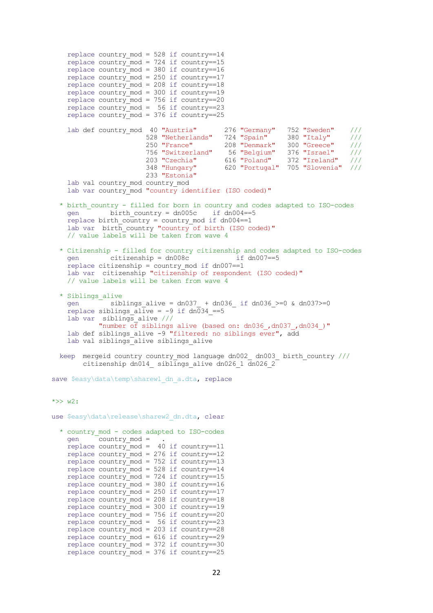```
replace country mod = 528 if country==14
    replace country mod = 724 if country==15
replace country mod = 380 if country==16
replace country mod = 250 if country==17
replace country mod = 208 if country==18
    replace country mod = 300 if country==19
    replace country mod = 756 if country==20
    replace country mod = 56 if country==23
    replace country_mod = 376 if country==25
     lab def country_mod 40 "Austria" 276 "Germany" 752 "Sweden" ///
                       528 "Netherlands" 724 "Spain" 380 "Italy"<br>250 "France" 208 "Denmark" 300 "Greece"
                         250 "France" 208 "Denmark" 300 "Greece" ///
                         756 "Switzerland" 56 "Belgium" 376 "Israel" ///
                                           203 "Czechia" 616 "Poland" 372 "Ireland" ///
                         348 "Hungary" 620 "Portugal" 705 "Slovenia" ///
                         233 "Estonia"
    lab val country mod country mod
    lab var country mod "country identifier (ISO coded)"
   * birth_country - filled for born in country and codes adapted to ISO-codes
    gen \overline{\qquad} birth country = dn005c if dn004==5
    replace birth country = country mod if dn004==1lab var birth country "country of birth (ISO coded)"
     // value labels will be taken from wave 4
   * Citizenship - filled for country citizenship and codes adapted to ISO-codes
    gen citizenship = dn008c replace citizenship = country_mod if dn007==1
     lab var citizenship "citizenship of respondent (ISO coded)"
     // value labels will be taken from wave 4
   * Siblings_alive
    gen siblings alive = dn037 + dn036 if dn036 >=0 & dn037>=0
    replace siblings alive = -9 if dn034 ==5
lab var siblings alive ///
 "number of siblings alive (based on: dn036_,dn037_,dn034_)"
    lab def siblings alive -9 "filtered: no siblings ever", add
    lab val siblings alive siblings alive
  keep mergeid country country mod language dn002 dn003 birth country ///
        citizenship dn014 siblings alive dn026 1 \overline{d}n026 2
save $easy\data\temp\sharew1 dn a.dta, replace
*>> w2:use $easy\data\release\sharew2 dn.dta, clear
   * country_mod - codes adapted to ISO-codes 
     gen country_mod = . 
    replace country\_{mod} = 40 if country=11replace country_mod = 276 if country==12
    replace country\_{mod} = 752 if country=13replace country mod = 528 if country==14
replace country mod = 724 if country==15
    replace country mod = 380 if country==16
    replace country mod = 250 if country==17
    replace country_mod = 208 if country==18
```
replace country mod = 300 if country==19 replace country mod = 756 if country==20 replace country mod =  $56$  if country==23  $replace countrymod = 203 if country==28$ replace country  $mod = 616$  if country==29 replace country  $mod = 372$  if country==30 replace country mod = 376 if country==25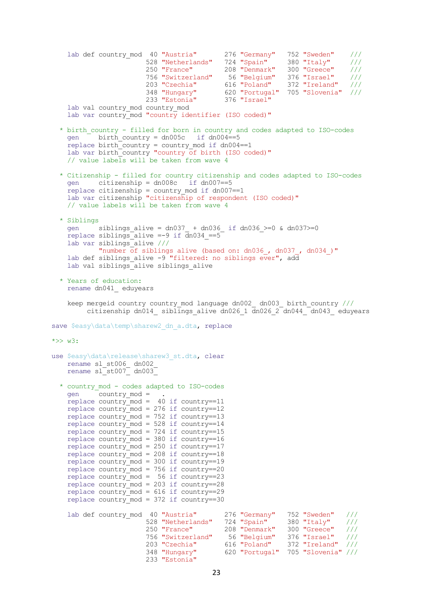lab def country\_mod 40 "Austria" 276 "Germany" 752 "Sweden" /// 528 "Netherlands" 724 "Spain" 380 "Italy" /// 250 "France" 208 "Denmark" 300 "Greece" /// 756 "Switzerland" 56 "Belgium" 376 "Israel" /// 203 "Czechia" 616 "Poland" 372 "Ireland" /// 348 "Hungary" 620 "Portugal" 705 "Slovenia" /// 233 "Estonia" 376 "Israel" lab val country mod country mod lab var country\_mod "country identifier (ISO coded)" \* birth\_country - filled for born in country and codes adapted to ISO-codes gen birth country =  $dn005c$  if  $dn004==5$ replace birth country = country mod if  $dn004==1$ lab var birth country "country of birth (ISO coded)" // value labels will be taken from wave 4 \* Citizenship - filled for country citizenship and codes adapted to ISO-codes gen citizenship = dn008c if dn007==5 replace citizenship = country mod if dn007==1 lab var citizenship "citizenship of respondent (ISO coded)" // value labels will be taken from wave 4 \* Siblings gen siblings\_alive = dn037\_ + dn036\_ if dn036\_>=0 & dn037>=0 replace siblings\_alive =-9 if dn034\_==5 lab var siblings\_alive /// "number of siblings alive (based on: dn036, dn037, dn034)" lab def siblings alive -9 "filtered: no siblings ever", add lab val siblings alive siblings alive \* Years of education: rename dn041\_ eduyears keep mergeid country country mod language dn002 dn003 birth country /// citizenship dn014 siblings alive dn026 1  $\overline{d}$ n026 2 dn044  $\overline{d}$ dn043 eduyears save \$easy\data\temp\sharew2 dn a.dta, replace  $\star >> w3$ : use \$easy\data\release\sharew3 st.dta, clear rename sl\_st006\_ dn002\_ rename sl\_st007\_ dn003\_ \* country\_mod - codes adapted to ISO-codes gen country mod = .  $replace country$  mod = 40 if country==11 replace  $country\_{mod} = 276$  if  $country=12$ replace country\_mod = 752 if country==13 replace country\_mod = 528 if country==14 replace country mod = 724 if country==15 replace country  $mod = 380$  if country==16 replace country\_mod = 250 if country==17 replace country\_mod = 208 if country==18  $replace country_model = 300 if country==19$ replace country mod = 756 if country==20 replace country mod =  $56$  if country==23 replace country  $mod = 203$  if country==28 replace country mod =  $616$  if country==29 replace country mod =  $372$  if country==30 lab def country\_mod 40 "Austria" 276 "Germany" 752 "Sweden" /// 528 "Netherlands" 724 "Spain" 380 "Italy" ///<br>250 "France" 208 "Denmark" 300 "Greece" /// 250 "France" 208 "Denmark" 300 "Greece" /// 756 "Switzerland" 56 "Belgium" 376 "Israel" /// 203 "Czechia" 616 "Poland" 372 "Ireland" /// 348 "Hungary" 620 "Portugal" 705 "Slovenia" /// 233 "Estonia"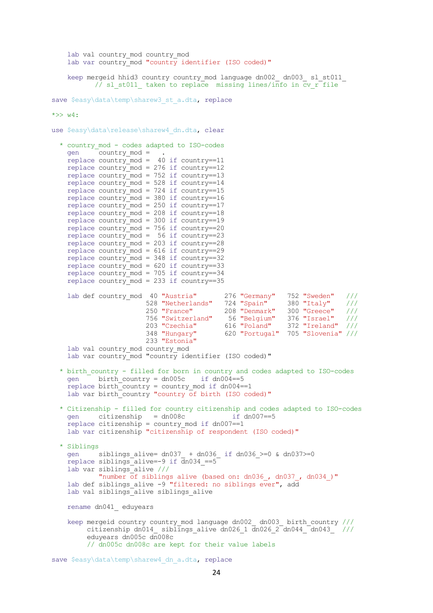```
lab val country mod country mod
   lab var country mod "country identifier (ISO coded)"
    keep mergeid hhid3 country country_mod language dn002_ dn003_ sl_st011_ 
          // sl_st011_ taken to replace missing lines/info in cv_r file
save $easy\data\temp\sharew3 st a.dta, replace
*>> w4:use $easy\data\release\sharew4 dn.dta, clear
   * country_mod - codes adapted to ISO-codes 
    gen country_mod = . 
   replace country\_mod = 40 if country=11replace country mod = 276 if country == 12
    replace country mod = 752 if country==13
   replace country mod = 528 if country==14
   replace country mod = 724 if country==15
   replace country mod = 380 if country==16
   r = r = r replace country mod = 250 if country==17
replace country mod = 208 if country==18
replace country mod = 300 if country==19
 replace country_mod = 756 if country==20
   replace country mod = 56 if country==23
   replace country mod = 203 if country==28
    replace country mod = 616 if country==29
   replace country_mod = 348 if country==32
    replace country_mod = 620 if country==33
    replace country mod = 705 if country==34
   r = r = 35 replace country mod = 233 if country==35
lab def country mod 40 "Austria" 276 "Germany" 752 "Sweden" ///
\overline{528} "Netherlands" \overline{724} "Spain" \overline{380} "Italy" \overline{777} 250 "France" 208 "Denmark" 300 "Greece" ///
 756 "Switzerland" 56 "Belgium" 376 "Israel" ///
 203 "Czechia" 616 "Poland" 372 "Ireland" ///
                        348 "Hungary" 620 "Portugal" 705 "Slovenia" ///
                        233 "Estonia"
   lab val country mod country mod
   lab var country mod "country identifier (ISO coded)"
   * birth_country - filled for born in country and codes adapted to ISO-codes
   gen birth country = dn005c if dn004==5
   replace birth_country = country mod if dn004==1lab var birth_country "country of birth (ISO coded)"
   * Citizenship - filled for country citizenship and codes adapted to ISO-codes
    gen citizenship = dn008c if dn007==5 
    replace citizenship = country mod if dn007==1 lab var citizenship "citizenship of respondent (ISO coded)"
   * Siblings
         siblings alive= dn037 + dn036 if dn036 >=0 & dn037>=0
     replace siblings_alive=-9 if dn034_==5 
    lab var siblings_alive ///
           "number of siblings alive (based on: dn036, dn037, dn034)"
   lab def siblings alive -9 "filtered: no siblings ever", add
   lab val siblings alive siblings alive
    rename dn041_ eduyears
    keep mergeid country country_mod language dn002_ dn003_ birth_country ///
        citizenship dn014 siblings alive dn026 1 \overline{d}n026 2 dn044 \overline{d}dn043 ///
         eduyears dn005c dn008c 
         // dn005c dn008c are kept for their value labels
save $easy\data\temp\sharew4 dn a.dta, replace
```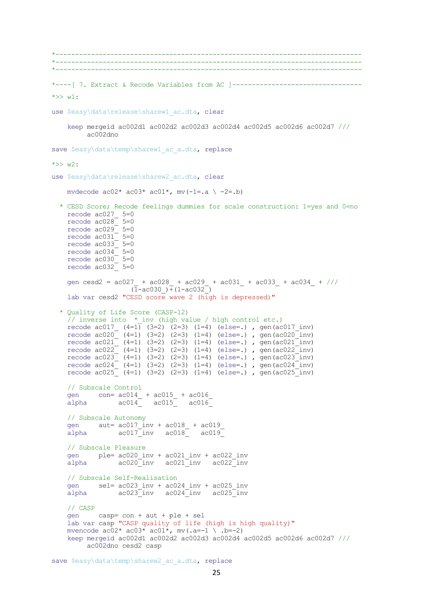\*------------------------------------------------------------------------------ \*------------------------------------------------------------------------------ \*------------------------------------------------------------------------------ \*----[ 7. Extract & Recode Variables from AC ]---------------------------------  $\star >> w1$ : use \$easy\data\release\sharew1 ac.dta, clear keep mergeid ac002d1 ac002d2 ac002d3 ac002d4 ac002d5 ac002d6 ac002d7 /// ac002dno save \$easy\data\temp\sharew1 ac a.dta, replace  $*>> w2$ . use \$easy\data\release\sharew2 ac.dta, clear mvdecode  $ac02* ac03* ac01*$ , mv(-1=.a \ -2=.b) \* CESD Score; Recode feelings dummies for scale construction: 1=yes and 0=no recode ac027\_ 5=0 recode  $ac028$   $5=0$  recode ac029\_ 5=0 recode  $ac031$ <sup> $-$ </sup> 5=0 recode  $\arccos 12 - \arccos 15 = 0$ recode  $ac034$ <sup>-</sup> 5=0 recode  $ac030$ <sup>-</sup> 5=0 recode  $ac032$ <sup>-</sup> 5=0 gen cesd2 = ac027 + ac028 + ac029 + ac031 + ac033 + ac034 + ///  $(\overline{1}-ac030) + (1-ac032)$  lab var cesd2 "CESD score wave 2 (high is depressed)" \* Quality of Life Score (CASP-12) // inverse into \*\_inv (high value / high control etc.) recode ac017\_ (4=1) (3=2) (2=3) (1=4) (else=.), gen(ac017\_inv)<br>recode ac020\_ (4=1) (3=2) (2=3) (1=4) (else=.). gen(ac017\_inv) recode  $ac020^-$  (4=1) (3=2) (2=3) (1=4) (else=.), gen(ac020<sup>-</sup>inv) recode  $ac021$  (4=1) (3=2) (2=3) (1=4) (else=.), gen(ac021\_inv) recode  $ac022$  (4=1) (3=2) (2=3) (1=4) (else=.), gen(ac022<sup>-</sup>inv) recode  $ac023$  (4=1) (3=2) (2=3) (1=4) (else=.), gen(ac023<sup>-</sup>inv) recode  $ac024$  (4=1) (3=2) (2=3) (1=4) (else=.), gen(ac024 inv) recode  $ac025$  (4=1) (3=2) (2=3) (1=4) (else=.), gen(ac025\_inv) // Subscale Control gen  $con= ac014 + ac015 + ac016$ <br>alpha  $ac014 - ac015 - ac016$ alpha  $a$ c014 $a$  // Subscale Autonomy gen aut= ac017 inv + ac018 + ac019 alpha  $a$ c $017$ inv  $a$ c $018$   $a$ c $019$  // Subscale Pleasure gen ple= ac020\_inv + ac021\_inv + ac022\_inv alpha ac020\_inv ac021\_inv ac022\_inv // Subscale Self-Realisation gen sel= ac023\_inv + ac024\_inv + ac025\_inv  $\overline{alpha}$  ac023 $\overline{inv}$  ac024 $\overline{inv}$  ac025 $\overline{inv}$  // CASP gen casp= con + aut + ple + sel lab var casp "CASP quality of life (high is high quality)" mvencode  $ac02* ac03* ac01*$ , mv(.a=-1 \ .b=-2) keep mergeid ac002d1 ac002d2 ac002d3 ac002d4 ac002d5 ac002d6 ac002d7 /// ac002dno cesd2 casp

save \$easy\data\temp\sharew2 ac a.dta, replace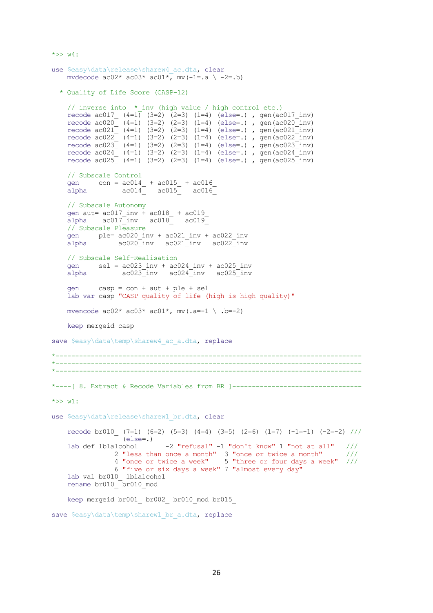```
use $easy\data\release\sharew4 ac.dta, clear
   mvdecode ac02* ac03* ac01*, mv(-1=.a \ -2=.b)
   * Quality of Life Score (CASP-12)
   // inverse into * inv (high value / high control etc.)
recode ac017 (4=1) (3=2) (2=3) (1=4) (else=.) , gen(ac017 inv)
recode ac020 (4=1) (3=2) (2=3) (1=4) (else=.) , gen(ac020 inv)
recode ac021 (4=1) (3=2) (2=3) (1=4) (else=.), gen(ac021 inv)
recode ac022 (4=1) (3=2) (2=3) (1=4) (else=.), gen(ac022_inv)
   recode ac023 (4=1) (3=2) (2=3) (1=4) (else=.), gen(ac023 inv)
recode ac024 (4=1) (3=2) (2=3) (1=4) (else=.), gen(ac024 inv)
recode ac025 (4=1) (3=2) (2=3) (1=4) (else=.), gen(ac025 inv)
    // Subscale Control
   gen con = \alphac014 + \alphac015 + \alphac016<br>alpha \alphac014 \alphac015 \alphac016
   alpha ac014 ac015 ac016 // Subscale Autonomy
 gen aut= ac017_inv + ac018_ + ac019_
alpha ac017 inv ac018 ac019
    // Subscale Pleasure
    gen ple= ac020_inv + ac021_inv + ac022_inv
   alpha ac020inv ac021inv ac022inv
    // Subscale Self-Realisation
   gen sel = ac023\_inv + ac024\_inv + ac025\_invalpha ac023_inv ac024_inv ac025_inv
    gen casp = con + aut + ple + sel
    lab var casp "CASP quality of life (high is high quality)"
   mvencode ac02* ac03* ac01*, mv(.a=-1 \ .b=-2)
    keep mergeid casp
save $easy\data\temp\sharew4 ac a.dta, replace
*------------------------------------------------------------------------------
**------------------------------------------------------------------------------
*----[ 8. Extract & Recode Variables from BR ]---------------------------------
*>> w1.
use $easy\data\release\sharew1 br.dta, clear
   recode br010 (7=1) (6=2) (5=3) (4=4) (3=5) (2=6) (1=7) (-1=-1) (-2=-2) ///
                 (else=.)
    lab def lblalcohol -2 "refusal" -1 "don't know" 1 "not at all" ///
 2 "less than once a month" 3 "once or twice a month" ///
 4 "once or twice a week" 5 "three or four days a week" ///
               6 "five or six days a week" 7 "almost every day"
   lab val br010_ lblalcohol
   rename br010 br010 mod
   keep mergeid br001 br002 br010 mod br015
```

```
save $easy\data\temp\sharew1 br_a.dta, replace
```
 $*>> w4:$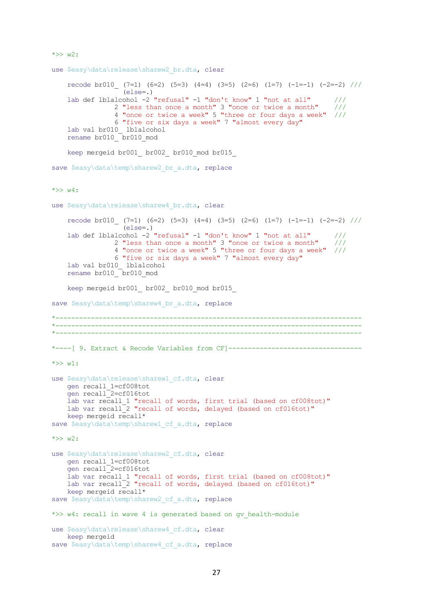```
*>> w2:use $easy\data\release\sharew2 br.dta, clear
    recode bi010 (7=1) (6=2) (5=3) (4=4) (3=5) (2=6) (1=7) (-1=-1) (-2=-2) ///
                   (else=.)
     lab def lblalcohol -2 "refusal" -1 "don't know" 1 "not at all" ///
                 2 "less than once a month" 3 "once or twice a month" ///
                 4 "once or twice a week" 5 "three or four days a week" ///
                 6 "five or six days a week" 7 "almost every day"
    lab val br010_ lblalcohol
     rename br010_ br010_mod
    keep mergeid br001 br002 br010 mod br015
save $easy\data\temp\sharew2 br a.dta, replace
\star >> w4:
use $easy\data\release\sharew4 br.dta, clear
    recode br010 (7=1) (6=2) (5=3) (4=4) (3=5) (2=6) (1=7) (-1=-1) (-2=-2) ///
                  \text{ (else=.)} lab def lblalcohol -2 "refusal" -1 "don't know" 1 "not at all" ///
                 2 "less than once a month" 3 "once or twice a month" ///
                 4 "once or twice a week" 5 "three or four days a week" ///
                 6 "five or six days a week" 7 "almost every day"
 lab val br010_ lblalcohol
rename br010 br010 mod
    keep mergeid br001 br002 br010 mod br015
save $easy\data\temp\sharew4 br a.dta, replace
*------------------------------------------------------------------------------
*------------------------------------------------------------------------------
  *------------------------------------------------------------------------------
*----[ 9. Extract & Recode Variables from CF]----------------------------------
*>> w1:
use $easy\data\release\sharew1 cf.dta, clear
     gen recall_1=cf008tot
     gen recall_2=cf016tot
    lab var recall_1 "recall of words, first trial (based on cf008tot)"
    lab var recall<sup>-2</sup> "recall of words, delayed (based on cf016tot)"
     keep mergeid recall*
save $easy\data\temp\sharew1 cf a.dta, replace
*>> w2: 
use $easy\data\release\sharew2 cf.dta, clear
     gen recall_1=cf008tot
     gen recall_2=cf016tot
    lab var recall 1 "recall of words, first trial (based on cf008tot)"
    lab var recall<sup>-2</sup> "recall of words, delayed (based on cf016tot)"
     keep mergeid recall*
save $easy\data\temp\sharew2 cf a.dta, replace
*>> w4: recall in wave 4 is generated based on gv health-module
use $easy\data\release\sharew4 cf.dta, clear
    keep mergeid
save $easy\data\temp\sharew4 cf a.dta, replace
```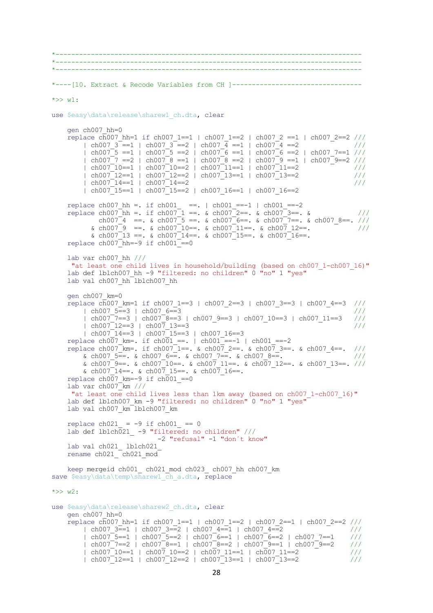```
28
*------------------------------------------------------------------------------
*------------------------------------------------------------------------------
*------------------------------------------------------------------------------
*----[10. Extract & Recode Variables from CH ]---------------------------------
*>> w1: 
use $easy\data\release\sharew1 ch.dta, clear
     gen ch007_hh=0 
    replace c\overline{h}007 hh=1 if ch007 1==1 | ch007 1==2 | ch007 2 ==1 | ch007 2==2 ///
        \lceil \text{ch} \, 007 \, 3 \rceil = 1 \rceil \lceil \text{ch} \, 007 \, 3 \rceil = 2 \rceil \lceil \text{ch} \, 007 \, 4 \rceil = 1 \rceil \lceil \text{ch} \, 007 \rceil = 2 \lceil \text{ch} \, 007 \rceil = 2\vert ch007<sup>-</sup>5 ==1 \vert ch007<sup>-</sup>5 ==2 \vert ch007<sup>-</sup>6 ==1 \vert ch007<sup>-</sup>6 ==2 \vert ch007 7==1 ///
         | ch007_7 ==2 | ch007_8 ==1 | ch007_8 ==2 | ch007_9 ==1 | ch007_9==2 ///
 | ch007_10==1 | ch007_10==2 | ch007_11==1 | ch007_11==2 ///
 | ch007_12==1 | ch007_12==2 | ch007_13==1 | ch007_13==2 ///
 | ch007_14==1 | ch007_14==2 ///
         \vert ch007<sup>-15==1</sup> \vert ch007<sup>-15==2</sup> \vert ch007 16==1 \vert ch007 16==2
replace ch007 hh =. if ch001 ==. | ch001 ==-1 | ch001 ==-2
replace ch007 hh =. if ch007 1 ==. & ch007 2==. & ch007 3==. & ///
ch007_4 ==. & ch007_5 ==. & ch007_6==. & ch007_7==. & ch007_8==. ///
\kappa ch007<sup>-</sup>9 ==. \kappa ch007<sup>-</sup>10==. \kappa ch007<sup>-</sup>11==. \kappa ch007 12==. \frac{1}{2} ///
           \frac{1}{2} ch007<sup>-13</sup> ==. \frac{1}{2} ch007<sup>-14</sup>==. \frac{1}{2} ch007<sup>-15==</sup>. \frac{1}{2} ch007<sup>-16==</sup>.
    replace ch007<sup>hh=-9</sup> if ch001<sup>-==0</sup>
     lab var ch007_hh ///
      "at least one child lives in household/building (based on ch007_1-ch007_16)"
    lab def lblch007 hh -9 "filtered: no children" 0 "no" 1 "yes"
    lab val ch007 hh lblch007 hh
     gen ch007_km=0 
    replace c\overline{h}007 km=1 if ch007 1==3 | ch007 2==3 | ch007 3==3 | ch007 4==3 ///
 | ch007_5==3 | ch007_6==3 ///
 | ch007_7==3 | ch007_8==3 | ch007_9==3 | ch007_10==3 | ch007_11==3 ///
        \frac{10007}{12}==3 | ch007_0==3 | ch007_9==3 | ch007_10==3 | ch007_11==3 ///
        \frac{1}{16} ch007<sup>-14==3</sup> | ch007<sup>-15==3</sup> | ch007 16==3
    replace ch007 km=. if ch001 ==. | ch001 ==-1 | ch001 ==-2replace ch007<sup>-</sup>km=. if ch007<sup>-</sup>1==. & ch007 2==. & ch007 3==. & ch007 4==. ///
& ch007 5==. & ch007 6==. & ch007 7==. & ch007 8==. \frac{1}{1} ///
& ch007<sup>-</sup>9==. & ch007<sup>-</sup>10==. & ch007<sup>-</sup> 11==. & ch007-12==. & ch007-13==. ///
& ch007 14 ==. & ch007 15 ==. & ch007 16 ==.
    replace ch007 km = -9 if ch001 == 0lab var ch007km ///
     "at least one child lives less than 1km away (based on ch007 1-ch007 16)"
    lab def lblch007 km -9 "filtered: no children" 0 "no" 1 "yes"
    lab val ch007 km lblch007 km
    replace ch021 = -9 if ch001 == 0lab def lblch021 -9 "filtered: no children" ///
                              -2 "refusal" -1 "don´t know"
     lab val ch021_ lblch021_
    rename ch021 ch021 mod
 keep mergeid ch001_ ch021_mod ch023_ ch007_hh ch007_km 
save $easy\data\temp\sharew1 ch a.dta, replace
*>> w2:use $easy\data\release\sharew2 ch.dta, clear
     gen ch007_hh=0 
    replace c\overline{h}007 hh=1 if ch007 1==1 | ch007 1==2 | ch007 2==1 | ch007 2==2 ///
        | ch007 3=1 | ch007 3=2 | ch007 4=1 | ch007 4=2 ///
          | ch007_5==1 | ch007_5==2 | ch007_6==1 | ch007_6==2 | ch007_7==1 ///
        | \text{ch}007^-7==2 | \text{ch}007^-8==1 | \text{ch}007^-8==2 | \text{ch}007^-9==1 | \text{ch}007^-9==2 ///
          | ch007_10==1 | ch007_10==2 | ch007_11==1 | ch007_11==2 ///
          | ch007_12==1 | ch007_12==2 | ch007_13==1 | ch007_13==2 ///
```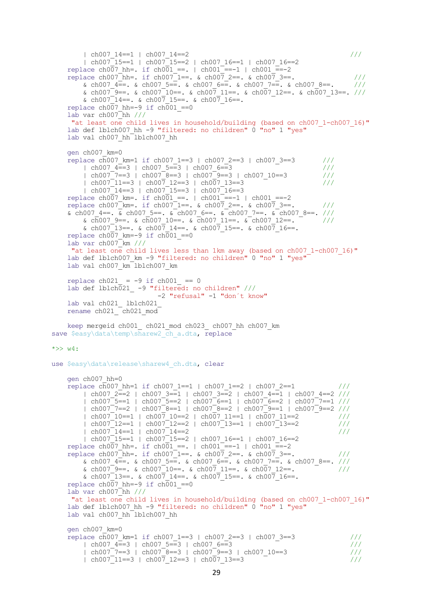```
 | ch007_14==1 | ch007_14==2 ///
         \vert ch007<sup>-15==1</sup> \vert ch007<sup>-15==2</sup> \vert ch007 16==1 \vert ch007 16==2
replace ch007 hh=. if ch001 == 1 | ch001 == -2replace ch007_hh=. if ch007 1==. & ch007 2==. & ch007 3==. ///
         & ch007 4=-. & ch007 5=-. & ch007 6=-. & ch007 7=-. & ch007 8=-. ///
         \kappa ch007<sup>-</sup>9==. \kappa ch007<sup>-</sup>10==. \kappa ch007 11==. \kappa ch007 12==. \kappa ch007 13==. ///
         & ch007\overline{14} ==. & ch007 15 ==. & ch007 16 ==.replace ch007 hh=-9 if ch001 ==0
     lab var ch007_hh ///
      "at least one child lives in household/building (based on ch007 1-ch007 16)"
    lab def lblch007 hh -9 "filtered: no children" 0 "no" 1 "yes"
    lab val ch007 hh lblch007 hh
     gen ch007_km=0 
    replace c\overline{h}007 km=1 if ch007 1==3 | ch007 2==3 | ch007 3==3 ///
\vert ch007 \bar{4} == 3 | ch007 \bar{5} == 3 | ch007 \bar{6} == 3 ///
 | ch007_7==3 | ch007_8==3 | ch007_9==3 | ch007_10==3 ///
         \left(\frac{1}{10007}\right)^{-7} = 3 \left(\frac{1}{10007}\right)^{-8} = 3 \left(\frac{1}{10007}\right)^{-9} = 3 \left(\frac{1}{10007}\right)^{-10} = 3 \left(\frac{1}{10007}\right)^{-10} = 3 \left(\frac{1}{10007}\right)^{-10} = 3 \left(\frac{1}{10007}\right)^{-10} = 3 \left(\frac{1}{10007}\right)^{-10} = 3 \left(\frac{1}{10007}\right)^{-10} = 3 \left(\frac{1}{10007}\right)^{-10} = 3 \left(\\frac{12}{16007} = 14==3 | ch007<sup>-</sup>15==3 | ch007<sup>-16==3</sup>
    replace ch007 km=. if ch001 ==. | ch001 ==-1 | ch001 ==-2replace ch007<sup>-</sup>km=. if ch007<sup>-1==. &</sup> ch007 2==. & ch007 3==. ///
    \overline{\text{c}} ch007_4==. \overline{\text{c}} ch007_5==. \overline{\text{c}} ch007_6==. \overline{\text{c}} ch007_7==. \overline{\text{c}} ch007_8==. ///
\alpha ch007 9==. \alpha ch007 10==. \alpha ch007 11==. \alpha ch007 12==. ///
& ch007<sup>-</sup>13==. & ch007 14==. & ch007 15==. & ch007 16==.
    replace ch007 km=-9 if ch001 == 0lab var ch007 km //"at least one child lives less than 1km away (based on ch007 1-ch007 16)"
    lab def lblch007 km -9 "filtered: no children" 0 "no" 1 "yes"
    lab val ch007 km lblch007 km
    replace ch021 = -9 if ch001 == 0lab def lblch021_ -9 "filtered: no children" ///
                                -2 "refusal" -1 "don´t know"
     lab val ch021_ lblch021_
    rename ch021 ch021 mod
     keep mergeid ch001_ ch021_mod ch023_ ch007_hh ch007_km
save $easy\data\temp\sharew2_ch_a.dta, replace
\star >> w4:
use $easy\data\release\sharew4 ch.dta, clear
     gen ch007_hh=0 
    replace c\overline{h}007 hh=1 if ch007 1==1 | ch007 1==2 | ch007 2==1 ///
         | ch007 2=2 | ch007 3=1 | ch007 3=2 | ch007 4=1 | ch007 4=2 ///
         | ch007<sup>-</sup>5==1 | ch007<sup>-</sup>5==2 | ch007<sup>-</sup>6==1 | ch007<sup>-</sup>6==2 | ch007<sup>----1</sup> ///
         | ch007_7==2 | ch007_8==1 | ch007_8==2 | ch007_9==1 | ch007<sup>-</sup>9==2 ///
 | ch007_10==1 | ch007_10==2 | ch007_11==1 | ch007_11==2 ///
 | ch007_12==1 | ch007_12==2 | ch007_13==1 | ch007_13==2 ///
         \frac{1}{2} ch007<sup>-14==1</sup> eh007<sup>-14==2</sup> <sup>-</sup>
         | ch007<sup>-15==1</sup> | ch007<sup>-15==2</sup> | ch007 16==1 | ch007 16==2
    replace ch007 hh=. if ch001 ==. | ch001 ==-1 | ch001 ==-2
    replace ch007<sup>-</sup>hh=. if ch007<sup>-</sup>1==. & ch007<sup>-</sup>2==. & ch007-3==. ///
& ch007 4\equiv - & ch007 5=\equiv. & ch007 6=\equiv. & ch007 7=\equiv. & ch007 8==. ///
\kappa ch007 9==. \kappa ch007 10==. \kappa ch007 11==. \kappa ch007 12==. ///
& ch007<sup>-</sup>13==. & ch007 14==. & ch007 15==. & ch007 16==.
    replace ch007 hh=-9 if ch001 == 0lab var ch007hh ///
      "at least one child lives in household/building (based on ch007_1-ch007_16)"
    lab def lblch007 hh -9 "filtered: no children" 0 "no" 1 "yes"
    lab val ch007 hh lblch007 hh
     gen ch007_km=0 
    replace c\overline{h}007 km=1 if ch007 1==3 | ch007 2==3 | ch007 3==3 ///
          | ch007_4==3 | ch007_5==3 | ch007_6==3 ///
 | ch007_7==3 | ch007_8==3 | ch007_9==3 | ch007_10==3 ///
```
 $\pm$  ch007<sup>-11==3</sup>  $\pm$  ch007<sup>-12==3</sup>  $\pm$  ch007<sup>-13==3</sup>  $\pm$  ///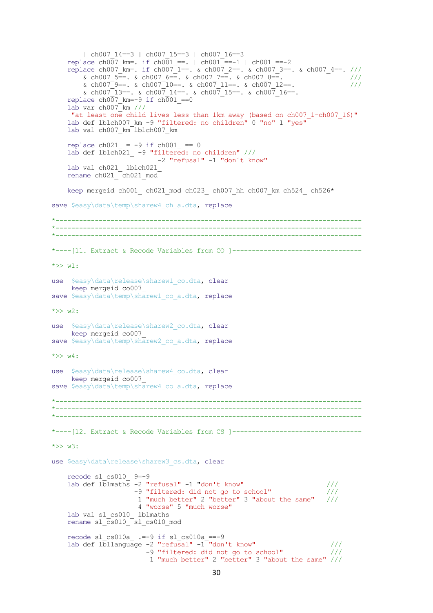```
| ch007 14==3 | ch007 15==3 | ch007 16==3
    replace ch007 km=. if ch001 ==. | ch001 ==-1 | ch001 ==-2replace ch007<sup>-</sup>km=. if ch007<sup>-</sup>1==. & ch007 2==. & ch007 3==. & ch007 4==. ///
& ch007 5=. & ch007 6=. & ch007 7=. & ch007 8=. \sqrt{}/\kappa ch007<sup>-</sup>9==. \kappa ch007<sup>-</sup>10==. \kappa ch007 11==. \kappa ch007 12==. ///
        & ch007<sup>-13==</sup>. & ch007<sup>14==</sup>. & ch007<sup>15==</sup>. & ch007<sup>16==</sup>.
    replace ch007 km=-9 if ch001 == 0lab var ch007km ///
"at least one child lives less than 1km away (based on ch007 1-ch007 16)"
 lab def lblch007_km -9 "filtered: no children" 0 "no" 1 "yes"
    lab val ch007 km lblch007 km
    replace ch021 = -9 if ch001 == 0 lab def lblch021_ -9 "filtered: no children" ///
                           -2 "refusal" -1 "don´t know"
     lab val ch021_ lblch021_
    rename ch021 ch021 mod
    keep mergeid ch001_ ch021_mod ch023_ ch007_hh ch007_km ch524_ ch526*
save $easy\data\temp\sharew4 ch a.dta, replace
*------------------------------------------------------------------------------
*------------------------------------------------------------------------------
   \mathcal{L}^{\mathcal{L}}*----[11. Extract & Recode Variables from CO ]---------------------------------
*>> w1: 
use $easy\data\release\sharew1 co.dta, clear
     keep mergeid co007_
save $easy\data\temp\sharew1 co a.dta, replace
*>> w2:use $easy\data\release\sharew2 co.dta, clear
     keep mergeid co007_
save $easy\data\temp\sharew2 co a.dta, replace
\star >> w4:
use $easy\data\release\sharew4 co.dta, clear
      keep mergeid co007_
save $easy\data\temp\sharew4 co a.dta, replace
*------------------------------------------------------------------------------
*------------------------------------------------------------------------------
*------------------------------------------------------------------------------
*----[12. Extract & Recode Variables from CS ]---------------------------------
*>> w3: 
use $easy\data\release\sharew3 cs.dta, clear
     recode sl_cs010_ 9=-9
    lab def l\overline{\text{blmaths}} -2 "refusal" -1 "don't know" ///
                     -9 "filtered: did not go to school" ///
                      1 "much better" 2 "better" 3 "about the same" ///
                      4 "worse" 5 "much worse"
    lab val sl cs010 lblmaths
    rename sl\overline{c}s010\overline{sl cs010 mod
    recode sl cs010a --9 if sl cs010a ==-9
    lab def l\overline{b}llanguage -2 "refusal" -1 "don't know" ///
 -9 "filtered: did not go to school" ///
 1 "much better" 2 "better" 3 "about the same" ///
```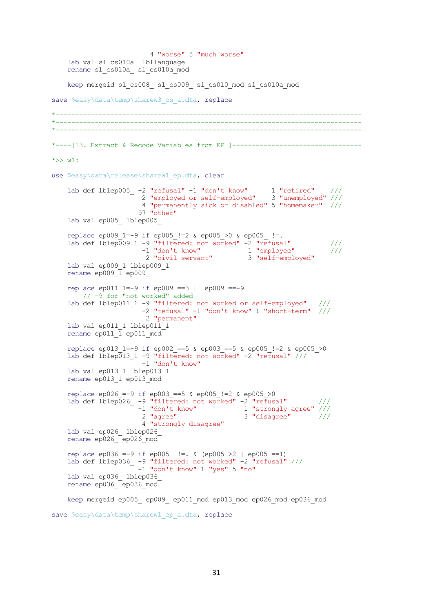```
 4 "worse" 5 "much worse"
   lab val sl cs010a lbllanguage
   rename sl cs010a sl cs010a mod
    keep mergeid sl_cs008_ sl_cs009_ sl_cs010_mod sl_cs010a_mod
save $easy\data\temp\sharew3 cs a.dta, replace
    *------------------------------------------------------------------------------
   *------------------------------------------------------------------------------
*------------------------------------------------------------------------------
*----[13. Extract & Recode Variables from EP ]---------------------------------
*>> w1.
use $easy\data\release\sharew1 ep.dta, clear
 lab def lblep005_ -2 "refusal" -1 "don't know" 1 "retired" ///
 2 "employed or self-employed" 3 "unemployed" ///
                      4 "permanently sick or disabled" 5 "homemaker" ///
                    97 "other"
    lab val ep005_ lblep005_
   replace ep009 1=-9 if ep005 !=2 & ep005 >0 & ep005 !=.
   lab def lblep\overline{009} 1 -9 "filtered: not worked" -2 "refusal" ///
 -1 "don't know" 1 "employee" ///
 2 "civil servant" 3 "self-employed"
    lab val ep009_1 lblep009_1
   rename ep009\overline{1} ep009
    replace ep011_1=-9 if ep009_==3 | ep009_==-9 
       // -9 for "not worked" added
   lab def lblep011 1 -9 "filtered: not worked or self-employed" ///
                      -2 "refusal" -1 "don't know" 1 "short-term" ///
                       2 "permanent"
   lab val ep011 1 lblep011 1
   rename ep011\overline{1} ep011 mod
    replace ep013_1=-9 if ep002_==5 & ep003_==5 & ep005_!=2 & ep005_>0
   lab def lblep\overline{0}13 1 -9 "filtered: not worked" -2 "refusal" ///
                      -1 "don't know"
   lab val ep013_1 lblep013_1
   rename ep013\overline{1} ep013\overline{1} mod
   replace ep026 =-9 if ep003 ==5 & ep005 !=2 & ep005 >0
   lab def lblep026_ -9 "filtered: not worked" -2 "refusal" ///
-1 "don't know" 1 "strongly agree" ///
 2 "agree" 3 "disagree" ///
                      4 "strongly disagree"
    lab val ep026_ lblep026_
   rename ep026 ep026 mod
    replace ep036_=-9 if ep005_ !=. & (ep005_>2 | ep005_==1) 
lab def lblep036 -9 "filtered: not worked" -2 "refusal" ///
 -1 "don't know" 1 "yes" 5 "no"
    lab val ep036_ lblep036_
   rename ep036 ep036_mod
    keep mergeid ep005_ ep009_ ep011_mod ep013_mod ep026_mod ep036_mod
```

```
save $easy\data\temp\sharew1 ep_a.dta, replace
```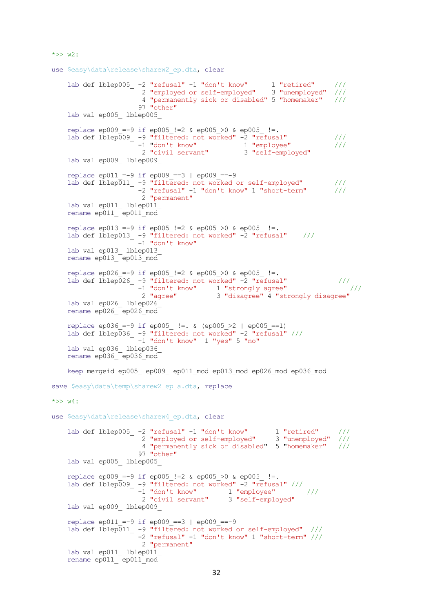```
*>> w2:
```

```
use $easy\data\release\sharew2 ep.dta, clear
 lab def lblep005_ -2 "refusal" -1 "don't know" 1 "retired" ///
 2 "employed or self-employed" 3 "unemployed" ///
                      4 "permanently sick or disabled" 5 "homemaker" ///
                     97 "other"
    lab val ep005_ lblep005_
    replace ep009 =-9 if ep005 !=2 & ep005 >0 & ep005 !=.
    lab def lblep\overline{0}09 -9 "filtered: not worked" -2 "refusal" ///<br>-1 "don't know" 1 "employee" ///
-1 "don't know" 1 "employee" /// 2 "civil servant" 3 "self-employed"
    lab val ep009_ lblep009_
    replace ep011 =-9 if ep009 ==3 | ep009 ==-9
   lab def lblep011 -9 "filtered: not worked or self-employed" ///
                      -2 "refusal" -1 "don't know" 1 "short-term" ///
                      2 "permanent"
    lab val ep011_ lblep011_
   rename ep011 ep011 mod
    replace ep013 =-9 if ep005 !=2 & ep005 >0 & ep005 !=.
   lab def lblep\overline{0}13 -9 "filtered: not worked" -2 "refusal" ///
                     -1 "don't know"
    lab val ep013_ lblep013_
    rename ep013_ ep013_mod
    replace ep026 =-9 if ep005 !=2 & ep005 >0 & ep005 !=.
   lab def lblep\overline{0}26 -9 "filtered: not worked" -2 "refusal" ///
-1 "don't know" 1 "strongly agree" \frac{1}{2} ///
 2 "agree" 3 "disagree" 4 "strongly disagree"
    lab val ep026_ lblep026_
   rename ep026 ep026 mod
     replace ep036_=-9 if ep005_ !=. & (ep005_>2 | ep005_==1) 
   lab def lblep036_ -9 "filtered: not worked" -2 "refusal" ///
                      -1 "don't know" 1 "yes" 5 "no"
    lab val ep036_ lblep036_
   rename ep036 ep036 mod
    keep mergeid ep005_ ep009_ ep011_mod ep013_mod ep026_mod ep036_mod
save $easy\data\temp\sharew2 ep a.dta, replace
*>> w4:
use $easy\data\release\sharew4 ep.dta, clear
 lab def lblep005_ -2 "refusal" -1 "don't know" 1 "retired" ///
 2 "employed or self-employed" 3 "unemployed" ///
                      4 "permanently sick or disabled" 5 "homemaker" ///
                     97 "other"
    lab val ep005_ lblep005_ 
   replace ep009 =-9 if ep005 !=2 & ep005 >0 & ep005 !=.
   lab def lblep009 -9 "filtered: not worked" -2 "refusal" ///
                     -1 "don't know" 1 "employee" ///<br>2 "civil servant" 3 "self-employed"
                     2 "civil servant"
    lab val ep009_ lblep009_
    replace ep011 =-9 if ep009 ==3 | ep009 ==-9
   lab def lblep011_ -9 "filtered: not worked or self-employed" ///
                      -2 "refusal" -1 "don't know" 1 "short-term" ///
                      2 "permanent"
    lab val ep011_ lblep011_
    rename ep011 ep011 mod
```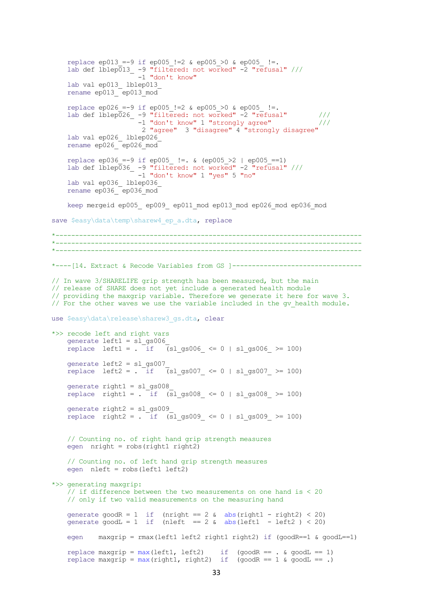```
replace ep013 =-9 if ep005 !=2 & ep005 >0 & ep005 !=.
lab def lblep013 -9 "filtered: not worked" -2 "refusal" ///
-1 "don't know"
   lab val ep013 lblep013
   rename ep013<sup>-</sup>ep013_mod<sup>-</sup>
   replace ep026 =-9 if ep005 !=2 & ep005 >0 & ep005 !=.
   lab def lblep\overline{0}26 -9 "filtered: not worked" -2 "refusal" ///
                      -1 "don't know" 1 "strongly agree" ///
                       2 "agree" 3 "disagree" 4 "strongly disagree"
    lab val ep026_ lblep026_
    rename ep026_ ep026_mod
    replace ep036_=-9 if ep005_ !=. & (ep005_>2 | ep005_==1) 
   lab def lblep036_ -9 "filtered: not worked" -2 "refusal" ///
                      -1 "don't know" 1 "yes" 5 "no"
    lab val ep036_ lblep036_
   rename ep036 ep036 mod
   keep mergeid ep005 ep009 ep011 mod ep013 mod ep026 mod ep036 mod
save $easy\data\temp\sharew4 ep a.dta, replace
*------------------------------------------------------------------------------
**------------------------------------------------------------------------------
*----[14. Extract & Recode Variables from GS ]--------------------------------- 
// In wave 3/SHARELIFE grip strength has been measured, but the main 
// release of SHARE does not yet include a generated health module 
// providing the maxgrip variable. Therefore we generate it here for wave 3.
// For the other waves we use the variable included in the gv health module.
use $easy\data\release\sharew3 qs.dta, clear
*>> recode left and right vars 
    generate left1 = sl_gs006_
   replace left1 = \overline{\text{if}} \overline{\text{[s]}} gs006 \leq 0 | sl gs006 > = 100)
 generate left2 = sl_gs007_
replace left2 = . if \sqrt{3} (slgs007 <= 0 | slgs007 >= 100)
    generate right1 = sl_gs008_
   replace right1 = \overline{\text{if}} (sl gs008 <= 0 | sl gs008 >= 100)
    generate right2 = sl_gs009_
   replace right2 = . if (sl gs009 \leq 0 | sl gs009 \geq 100)
    // Counting no. of right hand grip strength measures
   egen nright = robs(right1 right2) // Counting no. of left hand grip strength measures
    egen nleft = robs(left1 left2)
*>> generating maxgrip: 
    // if difference between the two measurements on one hand is < 20 
    // only if two valid measurements on the measuring hand 
generate goodR = 1 if (nright == 2 \text{ & abs (right1 - right2) < 20})
generate goodL = 1 if (nleft == 2 \& abs(left1 - left2 ) < 20)
    egen maxgrip = rmax(left1 left2 right1 right2) if (goodR==1 & goodL==1)
replace maxgrip = max(left1, left2) if (goodR == . & goodL == 1)
replace maxgrip = max(right1, right2) if (goodR == 1 \& goodL == .)
```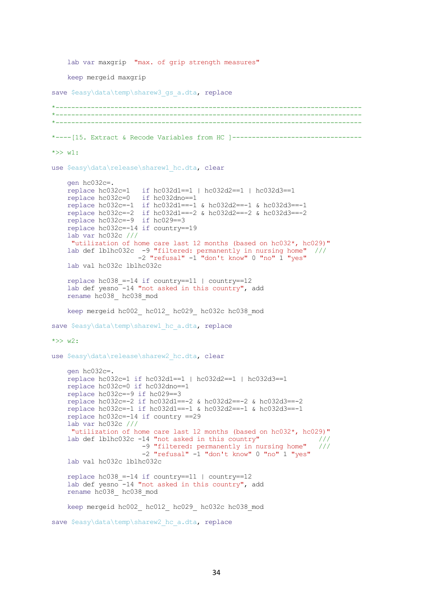```
lab var maxgrip "max. of grip strength measures"
     keep mergeid maxgrip
save $easy\data\temp\sharew3 gs a.dta, replace
*------------------------------------------------------------------------------
   *------------------------------------------------------------------------------
**----[15. Extract & Recode Variables from HC ]----------------------------------
*>> w1: 
use $easy\data\release\sharew1 hc.dta, clear
     gen hc032c=.
    replace hc032c=1 if hc032d1==1 | hc032d2==1 | hc032d3==1<br>replace hc032c=0 if hc032dno==1
    replace hc032c=0 replace hc032c=-1 if hc032d1==-1 & hc032d2==-1 & hc032d3==-1
 replace hc032c=-2 if hc032d1==-2 & hc032d2==-2 & hc032d3==-2
 replace hc032c=-9 if hc029==3
     replace hc032c=-14 if country==19
     lab var hc032c ///
      "utilization of home care last 12 months (based on hc032*, hc029)"
     lab def lblhc032c -9 "filtered: permanently in nursing home" ///
                       -2 "refusal" -1 "don't know" 0 "no" 1 "yes" 
     lab val hc032c lblhc032c
    replace hc038 = -14 if country==11 | country==12
    lab def yesno<sup>-14</sup> "not asked in this country", add
     rename hc038_ hc038_mod
    keep mergeid hc002 hc012 hc029 hc032c hc038 mod
save $easy\data\temp\sharew1 hc a.dta, replace
\star >> w2:
use $easy\data\release\sharew2 hc.dta, clear
     gen hc032c=.
     replace hc032c=1 if hc032d1==1 | hc032d2==1 | hc032d3==1
     replace hc032c=0 if hc032dno==1
     replace hc032c=-9 if hc029==3
     replace hc032c=-2 if hc032d1==-2 & hc032d2==-2 & hc032d3==-2
     replace hc032c=-1 if hc032d1==-1 & hc032d2==-1 & hc032d3==-1
     replace hc032c=-14 if country ==29
     lab var hc032c ///
      "utilization of home care last 12 months (based on hc032*, hc029)"
    lab def lblhc032c -14 "not asked in this country" /// -9 "filtered: permanently in nursing home" ///
                        -2 "refusal" -1 "don't know" 0 "no" 1 "yes" 
     lab val hc032c lblhc032c
    replace hc038 = -14 if country==11 | country==12
    lab def yesno<sup>--14</sup> "not asked in this country", add
     rename hc038_ hc038_mod
     keep mergeid hc002_ hc012_ hc029_ hc032c hc038_mod 
save $easy\data\temp\sharew2 hc a.dta, replace
```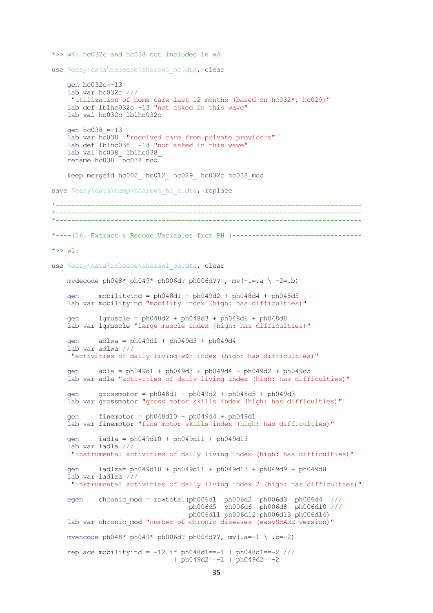```
*>> w4: hc032c and hc038 not included in w4 
use $easy\data\release\sharew4 hc.dta, clear
     gen hc032c=-13
     lab var hc032c ///
      "utilization of home care last 12 months (based on hc032*, hc029)"
     lab def lblhc032c -13 "not asked in this wave"
     lab val hc032c lblhc032c
     gen hc038_=-13
    lab var hc038 "received care from private providers"
    lab def lblhc\overline{0}38 -13 "not asked in this wave"
     lab val hc038_ lblhc038_
     rename hc038_ hc038_mod
    keep mergeid hc002_ hc012_ hc029_ hc032c hc038_mod
save $easy\data\temp\sharew4 hc a.dta, replace
    *------------------------------------------------------------------------------
*------------------------------------------------------------------------------
*------------------------------------------------------------------------------
*----[16. Extract & Recode Variables from PH ]---------------------------------
*>> w1: 
use $easy\data\release\sharew1 ph.dta, clear
    mvdecode ph048* ph049* ph006d? ph006d?, mv(-1=.a \setminus -2=.b)gen \text{mobilityind} = \text{ph048d1} + \text{ph049d2} + \text{ph048d4} + \text{ph048d5} lab var mobilityind "mobility index (high: has difficulties)"
     gen lgmuscle = ph048d2 + ph048d3 + ph048d6 + ph048d8
     lab var lgmuscle "large muscle index (high: has difficulties)"
     gen adlwa = ph049d1 + ph049d3 + ph049d4
     lab var adlwa ///
      "activities of daily living w&h index (high: has difficulties)"
     gen adla = ph049d1 + ph049d3 + ph049d4 + ph049d2 + ph049d5
     lab var adla "activities of daily living index (high: has difficulties)"
     gen grossmotor = ph048d1 + ph049d2 + ph048d5 + ph049d3
     lab var grossmotor "gross motor skills index (high: has difficulties)"
    gen finemotor = ph048d10 + ph049d4 + ph049d1 lab var finemotor "fine motor skills index (high: has difficulties)"
     gen iadla = ph049d10 + ph049d11 + ph049d13
     lab var iadla ///
      "instrumental activities of daily living index (high: has difficulties)"
     gen iadlza= ph049d10 + ph049d11 + ph049d13 + ph049d9 + ph049d8
     lab var iadlza ///
      "instrumental activities of daily living index 2 (high: has difficulties)"
egen chronic mod = rowtotal(ph006d1 ph006d2 ph006d3 ph006d4 ///
 ph006d5 ph006d6 ph006d8 ph006d10 ///
                                    ph006d11 ph006d12 ph006d13 ph006d14) 
    lab var chronic mod "number of chronic diseases (easySHARE version)"
     mvencode ph048* ph049* ph006d? ph006d??, mv(.a=-1 \ .b=-2)
    replace mobilityind = -12 if ph048d1 == -1 | ph048d1 == -2 ///
                                 | ph049d2==-1 | ph049d2==-2
```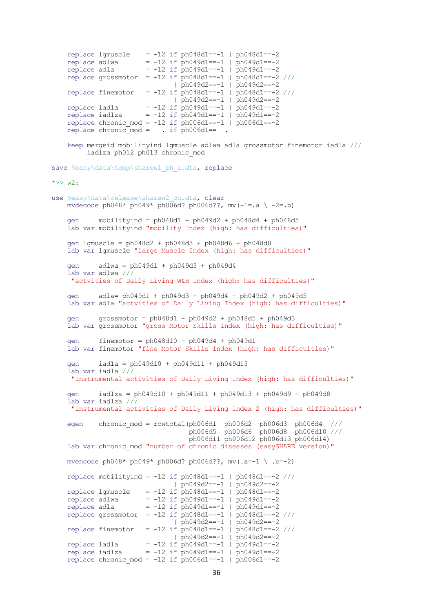```
replace lgmuscle = -12 if ph048d1 == -1 | ph048d1 == -2 replace adlwa = -12 if ph049d1==-1 | ph049d1==-2
 replace adla = -12 if ph049d1==-1 | ph049d1==-2
 replace grossmotor = -12 if ph048d1==-1 | ph048d1==-2 ///
 | ph049d2==-1 | ph049d2==-2
   replace finemotor = -12 if ph048d1 == -1 | ph048d1 == -2 ///
                              | ph049d2==-1 | ph049d2==-2
   replace iadla = -12 if ph049d1 == -1 | ph049d1 == -2 replace iadlza = -12 if ph049d1==-1 | ph049d1==-2
replace chronic mod = -12 if ph006d1==-1 | ph006d1==-2replace chronic mod = . if ph006d1 == .
    keep mergeid mobilityind lgmuscle adlwa adla grossmotor finemotor iadla ///
         iadlza ph012 ph013 chronic_mod
save $easy\data\temp\sharew1 ph_a.dta, replace
\star >> w2:
use $easy\data\release\sharew2 ph.dta, clear
   mvdecode ph048* ph049* ph006d? ph006d??, mv(-1=.a \ -2=.b)
   gen \text{mobilityind} = \text{ph048d1} + \text{ph049d2} + \text{ph048d4} + \text{ph048d5} lab var mobilityind "mobility Index (high: has difficulties)"
    gen lgmuscle = ph048d2 + ph048d3 + ph048d6 + ph048d8
    lab var lgmuscle "large Muscle Index (high: has difficulties)"
    gen adlwa = ph049d1 + ph049d3 + ph049d4 
    lab var adlwa ///
     "actvities of Daily Living W&H Index (high: has difficulties)"
    gen adla= ph049d1 + ph049d3 + ph049d4 + ph049d2 + ph049d5
    lab var adla "actvities of Daily Living Index (high: has difficulties)"
    gen grossmotor = ph048d1 + ph049d2 + ph048d5 + ph049d3
    lab var grossmotor "gross Motor Skills Index (high: has difficulties)"
   gen finemotor = ph048d10 + ph049d4 + ph049d1 lab var finemotor "fine Motor Skills Index (high: has difficulties)"
    gen iadla = ph049d10 + ph049d11 + ph049d13 
    lab var iadla ///
     "instrumental activities of Daily Living Index (high: has difficulties)"
    gen iadlza = ph049d10 + ph049d11 + ph049d13 + ph049d9 + ph049d8 
    lab var iadlza ///
     "instrumental activities of Daily Living Index 2 (high: has difficulties)"
egen chronic mod = rowtotal(ph006d1 ph006d2 ph006d3 ph006d4 ///
 ph006d5 ph006d6 ph006d8 ph006d10 ///
                                  ph006d11 ph006d12 ph006d13 ph006d14) 
   lab var chronic mod "number of chronic diseases (easySHARE version)"
    mvencode ph048* ph049* ph006d? ph006d??, mv(.a=-1 \ .b=-2)
   replace mobilityind = -12 if ph048d1==-1 | ph048d1==-2 ///
                               | ph049d2==-1 | ph049d2==-2
   replace lgmuscle = -12 if ph048d1 == -1 | ph048d1 == -2replace adlwa = -12 if ph049d1 == -1 ph049d1 == -2 replace adla = -12 if ph049d1==-1 | ph049d1==-2
 replace grossmotor = -12 if ph048d1==-1 | ph048d1==-2 ///
                               | ph049d2==-1 | ph049d2==-2
   replace finemotor = -12 if ph048d1 == -1 | ph048d1 == -2 ///
                              | ph049d2==-1 | ph049d2==-2
 replace iadla = -12 if ph049d1==-1 | ph049d1==-2
 replace iadlza = -12 if ph049d1==-1 | ph049d1==-2
    replace chronic mod = -12 if ph006d1==-1 | ph006d1==-2
```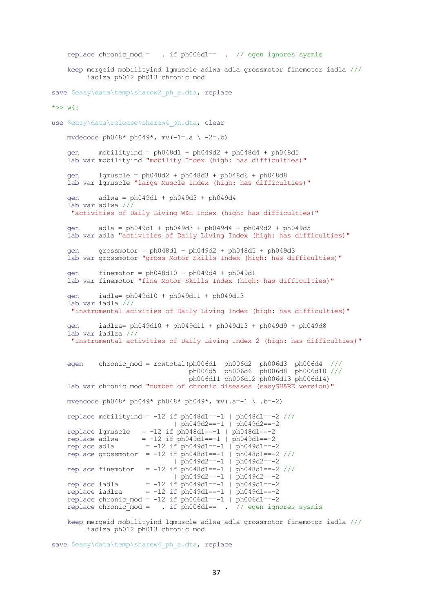```
replace chronic mod = \cdot if ph006d1== \cdot // egen ignores sysmis
    keep mergeid mobilityind lgmuscle adlwa adla grossmotor finemotor iadla ///
         iadlza ph012 ph013 chronic_mod
save $easy\data\temp\sharew2 ph_a.dta, replace
\star >> w4:
use $easy\data\release\sharew4 ph.dta, clear
   mvdecode ph048* ph049*, mv(-1=.a \setminus -2=.b) gen mobilityind = ph048d1 + ph049d2 + ph048d4 + ph048d5
    lab var mobilityind "mobility Index (high: has difficulties)"
     gen lgmuscle = ph048d2 + ph048d3 + ph048d6 + ph048d8
    lab var lgmuscle "large Muscle Index (high: has difficulties)"
    gen adlwa = ph049d1 + ph049d3 + ph049d4 
    lab var adlwa ///
     "activities of Daily Living W&H Index (high: has difficulties)"
     gen adla = ph049d1 + ph049d3 + ph049d4 + ph049d2 + ph049d5
    lab var adla "activities of Daily Living Index (high: has difficulties)"
    gen grossmotor = ph048d1 + ph049d2 + ph048d5 + ph049d3
    lab var grossmotor "gross Motor Skills Index (high: has difficulties)"
 gen finemotor = ph048d10 + ph049d4 + ph049d1
 lab var finemotor "fine Motor Skills Index (high: has difficulties)"
    gen iadla= ph049d10 + ph049d11 + ph049d13
    lab var iadla ///
     "instrumental acivities of Daily Living Index (high: has difficulties)"
    gen iadlza= ph049d10 + ph049d11 + ph049d13 + ph049d9 + ph049d8
    lab var iadlza ///
     "instrumental activities of Daily Living Index 2 (high: has difficulties)"
egen chronic mod = rowtotal(ph006d1 ph006d2 ph006d3 ph006d4 ///
 ph006d5 ph006d6 ph006d8 ph006d10 ///
                                  ph006d11 ph006d12 ph006d13 ph006d14) 
   lab var chronic mod "number of chronic diseases (easySHARE version)"
   mvencode ph048* ph049* ph048* ph049*, mv(.a=-1 \ .b=-2)
    replace mobilityind = -12 if ph048d1==-1 | ph048d1==-2 ///
                               | ph049d2==-1 | ph049d2==-2
   replace lgmuscle = -12 if ph048d1==-1 | ph048d1==-2replace adlwa = -12 if ph049d1 == -1 | ph049d1 == -2replace adda = -12 \text{ if } ph049d1 == -1 \mid ph049d1 == -2replace grossmotor = -12 if ph048d1 == -1 | ph048d1 == -2 ///
 | ph049d2==-1 | ph049d2==-2
 replace finemotor = -12 if ph048d1==-1 | ph048d1==-2 ///
                              \frac{1}{\pi} ph049d2==-1 | ph049d2==-2
   replace iadla = -12 if ph049d1 == -1 ph049d1 == -2replace = -12 if ph049d1 == -1 ph049d1 == -2replace chronic mod = -12 if ph006d1==-1 | ph006d1==-2replace chronic mod = . if ph006d1== . // egen ignores sysmis
    keep mergeid mobilityind lgmuscle adlwa adla grossmotor finemotor iadla ///
```

```
 iadlza ph012 ph013 chronic_mod
```

```
save $easy\data\temp\sharew4 ph_a.dta, replace
```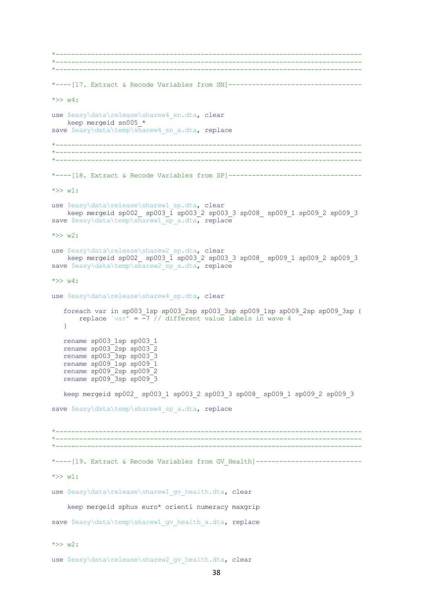\*------------------------------------------------------------------------------ \*------------------------------------------------------------------------------ \*------------------------------------------------------------------------------ \*----[17. Extract & Recode Variables from SN]----------------------------------  $*>> w4:$ use \$easy\data\release\sharew4\_sn.dta, clear keep mergeid sn005\_\* save \$easy\data\temp\sharew4 sn a.dta, replace \*------------------------------------------------------------------------------ \*------------------------------------------------------------------------------ \*------------------------------------------------------------------------------ \*----[18. Extract & Recode Variables from SP]----------------------------------  $*>> w1$ : use \$easy\data\release\sharew1 sp.dta, clear keep mergeid sp002\_ sp003\_1 sp003\_2 sp003\_3 sp008\_ sp009\_1 sp009\_2 sp009\_3 save \$easy\data\temp\sharew1 sp\_a.dta, replace  $\star >> w2$ : use \$easy\data\release\sharew2 sp.dta, clear keep mergeid sp002\_ sp003\_1 sp003\_2 sp003\_3 sp008\_ sp009\_1 sp009\_2 sp009\_3 save \$easy\data\temp\sharew2\_sp\_a.dta, replace  $\star >> w4$ : use \$easy\data\release\sharew4 sp.dta, clear foreach var in sp003\_1sp sp003\_2sp sp003\_3sp sp009\_1sp sp009\_2sp sp009\_3sp { replace `var' =  $-7$  // different value labels in wave 4 } rename sp003\_1sp sp003\_1 rename sp003\_2sp sp003\_2 rename sp003\_3sp sp003\_3 rename sp009\_1sp sp009\_1 rename sp009\_2sp sp009\_2 rename sp009\_3sp sp009\_3 keep mergeid sp002\_ sp003\_1 sp003\_2 sp003\_3 sp008\_ sp009\_1 sp009\_2 sp009\_3 save \$easy\data\temp\sharew4 sp a.dta, replace \*------------------------------------------------------------------------------ \*------------------------------------------------------------------------------ \*------------------------------------------------------------------------------ \*----[19. Extract & Recode Variables from GV Health]--------------------------- $*>> w1$ : use \$easy\data\release\sharew1 qv health.dta, clear keep mergeid sphus euro\* orienti numeracy maxgrip save \$easy\data\temp\sharew1 gv health a.dta, replace \*>> w2: use \$easy\data\release\sharew2 gv health.dta, clear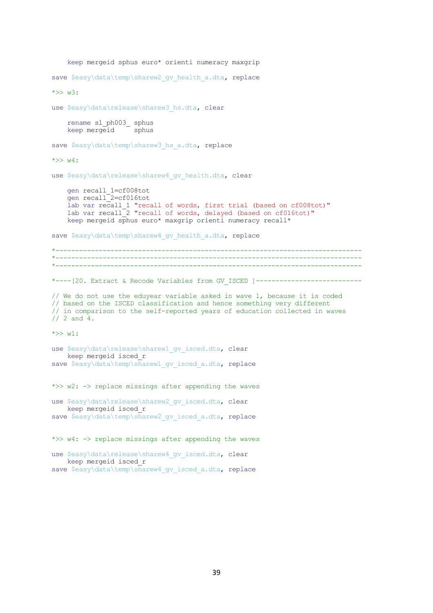```
 keep mergeid sphus euro* orienti numeracy maxgrip 
save $easy\data\temp\sharew2 gv health a.dta, replace
*>> w3: 
use $easy\data\release\sharew3 hs.dta, clear
     rename sl_ph003_ sphus
   keep mergeid sphus
save $easy\data\temp\sharew3 hs a.dta, replace
\star >> w4:
use $easy\data\release\sharew4 gv health.dta, clear
    gen recall_1=cf008tot
    gen recall_2=cf016tot
   lab var recall 1 "recall of words, first trial (based on cf008tot)"
    lab var recall<sup>2</sup> "recall of words, delayed (based on cf016tot)"
     keep mergeid sphus euro* maxgrip orienti numeracy recall*
save $easy\data\temp\sharew4 qv health a.dta, replace
*------------------------------------------------------------------------------
   *------------------------------------------------------------------------------
**----[20. Extract & Recode Variables from GV_ISCED ]---------------------------
// We do not use the eduyear variable asked in wave 1, because it is coded
// based on the ISCED classification and hence something very different 
// in comparison to the self-reported years of education collected in waves 
// 2 and 4.
\star >> w1:
use $easy\data\release\sharew1 gv_isced.dta, clear
    keep mergeid isced_r 
save $easy\data\temp\sharew1 gv_isced_a.dta, replace
*>> w2: -> replace missings after appending the waves 
use $easy\data\release\sharew2 gv isced.dta, clear
    keep mergeid isced_r 
save $easy\data\temp\sharew2 gv isced a.dta, replace
*>> w4: - replace missings after appending the waves
use $easy\data\release\sharew4 gv_isced.dta, clear
```

```
 keep mergeid isced_r 
save $easy\data\temp\sharew4 gv isced a.dta, replace
```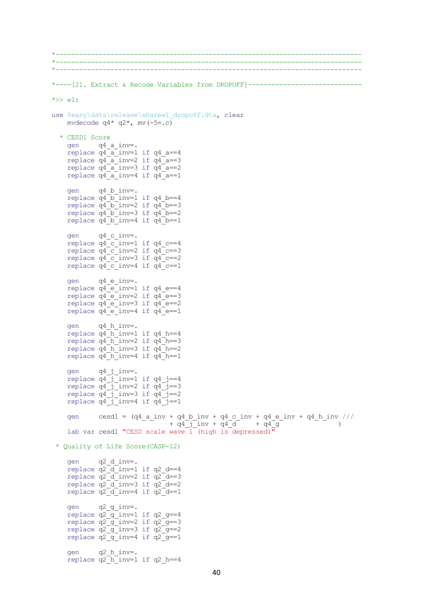```
*------------------------------------------------------------------------------
*------------------------------------------------------------------------------
*------------------------------------------------------------------------------
*----[21. Extract & Recode Variables from DROPOFF]-----------------------------
*>> w1: 
use $easy\data\release\sharew1_dropoff.dta, clear
    mvdecode q4 \times q2 \times, mv(-5=0) * CESD1 Score
     gen q4_a_inv=.
     replace q4_a_inv=1 if q4_a==4
    replace q4a<sup>-a</sup>-inv=2 if q4<sup>-a==3</sup>
replace q4a inv=3 if q4a==2
replace q4 a inv=4 if q4 a==1
     gen q4_b_inv=.
    replace q4 b inv=1 if q4 b==4
    replace q^4 b inv=2 if q^4 b==3
replace q4 b inv=3 if q4 b==2
replace q4 b inv=4 if q4 b==1
     gen q4_c_inv=.
    replace q^T c inv=1 if q^4 c==4
    replace q^4 c inv=2 if q^4 c==3
    replace q4<sup>-c-</sup>inv=3 if q4<sup>-c==2</sup>
    replace q4<sup>-c-</sup>inv=4 if q4<sup>-c==1</sup>
     gen q4_e_inv=.
    replace q4 e inv=1 if q4 e==4
    replace q4 e inv=2 if q4 e==3
    replace q4 e inv=3 if q4 e==2
    replace q4e^{-}inv=4 if q4e^{-}=1 gen q4_h_inv=.
    replace q4<sup>h</sup> inv=1 if q4 h==4
    replace q4 h inv=2 if q4 h==3
    replace q^Th inv=3 if q^Th==2
    replace q^4 h inv=4 if q^4 h==1
 gen q4_j_inv=.
replace q4 j inv=1 if q4 j==4replace q4j-j_inv=2 if q4j==3
    replace q4<sup>-j</sup> inv=3 if q4<sup>-j==2</sup>
    replace q4 j inv=4 if q4 j==1
gen cesd1 = (q4 \text{ a inv} + q4 \text{ b inv} + q4 \text{ c inv} + q4 \text{ e inv} + q4 \text{ h inv} ///
- + q4^{-}j<sup>-</sup>inv + q4^{-}d + q4^{-}g + q^{-} + q^{+}q^{-} + q^{+}q^{-} + q^{+}q^{-} + q^{+}q^{-} + q^{+}q^{-} + q^{+}q^{-} + q^{+}q^{-} + q^{+}q^{-} + q^{+}q^{-} + q^{+}q^{-} + q^{+}q^{-} + q^{+}q^{-} + q^{+}q^{-} + q^{+}q^{-} + q^{lab var cesd1 "CESD scale wave 1 (high is depressed)"
 * Quality of Life Score(CASP-12) 
 gen q2_d_inv=.
 replace q2_d_inv=1 if q2_d==4
replace q^2d inv=2 if q^2d==3
    replace q^2d inv=3 if q^2d==2
    replace q2d inv=4 if q2d == 1 gen q2_g_inv=.
replace q2\overline{q} inv=1 if q2\overline{q}==4
    replace q2q inv=2 if q2q=3replace q2q inv=3 if q2q=2replace q2q inv=4 if q2q=1 gen q2_h_inv=.
    replace q^2 h inv=1 if q^2 h==4
```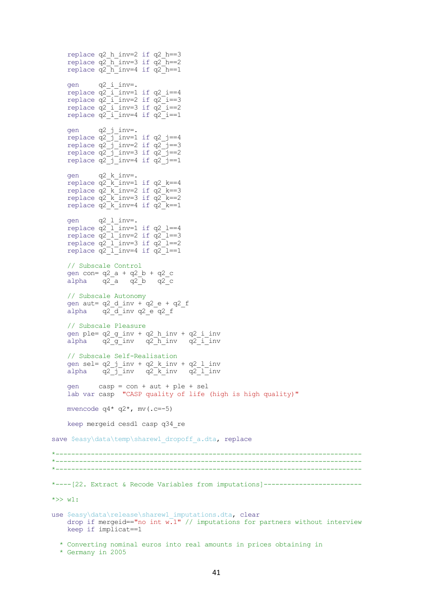```
replace q2 h inv=2 if q2 h==3
    replace q^2 h inv=3 if q^2 h==2
    replace q^2h inv=4 if q^2h==1
     gen q2_i_inv=.
    replace q^2 i inv=1 if q^2 i==4
    replace q2<sup>-1</sup> inv=2 if q2<sup>-1</sup>==3
    replace q2<sup>-i-inv=3</sup> if q2<sup>-i==2</sup>
    replace q2<sup>-i</sup>-inv=4 if q2<sup>-i==1</sup>
 gen q2_j_inv=.
replace q2 j inv=1 if q2 j==4
replace q2 j inv=2 if q2 j==3
replace q2 j inv=3 if q2 j==2
replace q2 j inv=4 if q2 j==1
 gen q2_k_inv=.
replace q2 k inv=1 if q2 k==4
replace q^2 k inv=2 if q^2 k==3
replace q2 k inv=3 if q2 k==2
    replace q^2\overline{k} inv=4 if q^2\overline{k}==1
 gen q2_l_inv=.
replace q2 l inv=1 if q2 l==4
replace q2 l inv=2 if q2 l==3
    replace q2<sup>-1</sup> inv=3 if q2<sup>-1==2</sup>
    replace q^2<sup>l</sup>inv=4 if q^2<sup>l==1</sup>
     // Subscale Control
 gen con= q2_a + q2_b + q2_c
 alpha q2_a q2_b q2_c
     // Subscale Autonomy
    gen aut= q2 d inv + q2 e + q2 f
    alpha q2\bar{d} inv q2e\bar{q}2f // Subscale Pleasure
     gen ple= q2_g_inv + q2_h_inv + q2_i_inv
    alpha q2q^2g_inv q2<sub>n</sub> inv q2<sup>i</sup> inv
     // Subscale Self-Realisation
 gen sel= q2_j_inv + q2_k_inv + q2_l_inv
alpha q2<sup>-</sup>j<sup>-</sup>inv q2<sup>-k-</sup>inv q2<sup>-1-</sup>inv
     gen casp = con + aut + ple + sel
     lab var casp "CASP quality of life (high is high quality)"
    mvencode q4* q2*, mv(.c=-5)
     keep mergeid cesd1 casp q34_re 
save $easy\data\temp\sharew1 dropoff a.dta, replace
*------------------------------------------------------------------------------
 *------------------------------------------------------------------------------
*----[22. Extract & Recode Variables from imputations]-------------------------
*>> w1:
use $easy\data\release\sharew1 imputations.dta, clear
    drop if mergeid=="no int \overline{w}.<sup>1"</sup> // imputations for partners without interview
     keep if implicat==1
   * Converting nominal euros into real amounts in prices obtaining in
```

```
 * Germany in 2005
```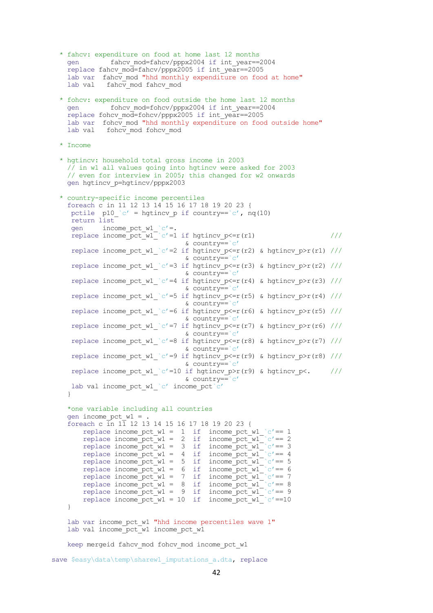```
 * fahcv: expenditure on food at home last 12 months
    gen fahcv_mod=fahcv/pppx2004 if int_year==2004
   replace fahcv mod=fahcv/pppx2005 if int year==2005
   lab var fahcv mod "hhd monthly expenditure on food at home"
   lab val fahcv mod fahcv mod
  * fohcv: expenditure on food outside the home last 12 months 
   gen fohcv mod=fohcv/pppx2004 if int year==2004
    replace fohcv_mod=fohcv/pppx2005 if int_year==2005
   lab var fohcv mod "hhd monthly expenditure on food outside home"
   lab val fohcv mod fohcv mod
  * Income 
  * hgtincv: household total gross income in 2003 
    // in w1 all values going into hgtincv were asked for 2003
    // even for interview in 2005; this changed for w2 onwards
    gen hgtincv_p=hgtincv/pppx2003 
  * country-specific income percentiles
    foreach c in 11 12 13 14 15 16 17 18 19 20 23 {
    pctile p10 `c' = hgtincv p if country==`c', nq(10)
     return list 
    gen income pct w1 `c'=.
    replace income_pct_w1_`c'=1 if hgtincv_p<=r(r1) \frac{1}{2} ///
                                 \& country==\c{c'}replace income pct w1 `c'=2 if hgtincv p<=r(r2) & hgtincv p>r(r1) ///
                                & country = c' replace income_pct_w1_`c'=3 if hgtincv_p<=r(r3) & hgtincv_p>r(r2) ///
                                 \& country==`c'
    replace income pct w1 `c'=4 if hgtincv p<=r(r4) & hgtincv p>r(r3) ///
                                 & country==`c'
    replace income_pct_w1_`c'=5 if hgtincv_p<=r(r5) & hgtincv p>r(r4) ///
                                 & country==`c'
    replace income pct w1 `c'=6 if hgtincv p<=r(r6) & hgtincv p>r(r5) ///
                                  & country==`c'
    replace income pct w1 `c'=7 if hgtincv p<=r(r7) & hgtincv p>r(r6) ///
                                 \& country==\c{c'}replace income pct w1 `c'=8 if hgtincv p<=r(r8) & hgtincv p>r(r7) ///
                                 & country==`c'
    replace income pct w1 `c'=9 if hgtincv p\leq=r(r9) & hgtincv p>r(r8) ///
                                 \& country==`c'
    replace income pct w1 `c'=10 if hgtincv p>r(r9) & hgtincv p<. ///
                                  & country==`c'
    lab val income pct w1 c' income pct c' }
    *one variable including all countries
   gen income pct w1 =.
   foreach c \overline{1}n 1\overline{1} 12 13 14 15 16 17 18 19 20 23 {
       replace income pct w1 = 1 if income pct w1 c' == 1replace income pct w1 = 2 if income pct w1 c'== 2
replace income pct w1 = 3 if income pct w1 c'== 3
replace income pct w1 = 4 if income pct w1 c' == 4replace income_pct_w1 = 5 if income_pct_w1_ c'== 5
replace income pct w1 = 6 if income pct w1 c' == 6replace income pct w1 = 7 if income pct w1 c'== 7
replace income_pct_w1 = 8 if income_pct_w1_ c'== 8
replace income pct w1 = 9 if income pct w1 c' == 9replace income pct(w1 = 10 if income pct(w1)^{c'}=10 }
   lab var income pct w1 "hhd income percentiles wave 1"
   lab val income_pct_w1 income pct w1
   keep mergeid fahcv mod fohcv mod income pct w1
```
save \$easy\data\temp\sharew1 imputations a.dta, replace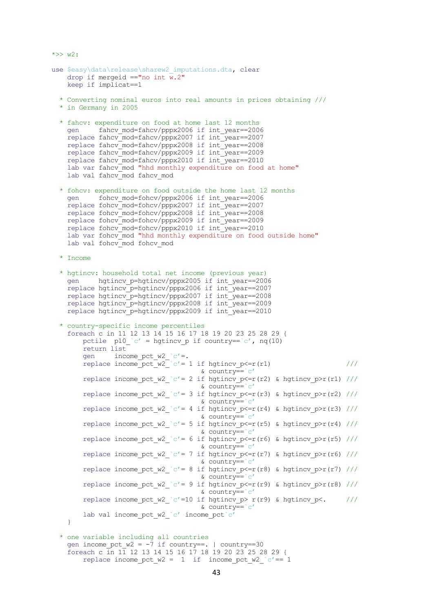```
use $easy\data\release\sharew2 imputations.dta, clear
    drop if mergeid =="no int \overline{w}. 2"
     keep if implicat==1
   * Converting nominal euros into real amounts in prices obtaining ///
   * in Germany in 2005
   * fahcv: expenditure on food at home last 12 months
    gen fahcv mod=fahcv/pppx2006 if int year==2006
    replace fahcv<sup>mod=fahcv/pppx2007</sup> if int<sup>year==2007</sup>
     replace fahcv_mod=fahcv/pppx2008 if int_year==2008
     replace fahcv_mod=fahcv/pppx2009 if int_year==2009
    replace fahcv<sup>_mod=fahcv/pppx2010 if int_year==2010</sup>
     lab var fahcv_mod "hhd monthly expenditure on food at home"
    lab val fahcv mod fahcv mod
   * fohcv: expenditure on food outside the home last 12 months 
     gen fohcv_mod=fohcv/pppx2006 if int_year==2006
    replace fohcv<sup>-mod=fohcv/pppx2007</sup> if int<sup>-</sup>year==2007
 replace fohcv_mod=fohcv/pppx2008 if int_year==2008
 replace fohcv_mod=fohcv/pppx2009 if int_year==2009
 replace fohcv_mod=fohcv/pppx2010 if int_year==2010
    lab var fohcv mod "hhd monthly expenditure on food outside home"
    lab val fohcv mod fohcv mod
   * Income
   * hgtincv: household total net income (previous year)
     gen hgtincv_p=hgtincv/pppx2005 if int_year==2006
     replace hgtincv_p=hgtincv/pppx2006 if int_year==2007
     replace hgtincv_p=hgtincv/pppx2007 if int_year==2008
     replace hgtincv_p=hgtincv/pppx2008 if int_year==2009
     replace hgtincv_p=hgtincv/pppx2009 if int_year==2010
   * country-specific income percentiles
     foreach c in 11 12 13 14 15 16 17 18 19 20 23 25 28 29 {
        pctile p10 c' = hgtincv p if country==c', nq(10)
         return list 
gen income pct w2 c'=.
replace income_pct_w2_ c'= 1 if hgtincv p<=r(r1) \frac{1}{2} ///
                                        & country==`c'
        replace income pct w2 `c'= 2 if hgtincv p <= r(r2) & hgtincv p > r(r1) ///
                                       & country==\overline{c'}replace income pct w2 `c'= 3 if hgtincv p\leq=r(r3) & hgtincv p>r(r2) ///
                                       \& country==\c{c'}replace income pct_w2_`c'= 4 if hgtincv_p<=r(r4) & hgtincv_p>r(r3) ///
                                        & country==`c'
        replace income_pct_w2_`c'= 5 if hgtincv_p<=r(r5) & hgtincv_p>r(r4) ///
                                        & country==`c'
        replace income pct w2 `c'= 6 if hgtincv p<=r(r6) & hgtincv p>r(r5) ///
                                       & country == 'c'replace income pct w2 `c'= 7 if hgtincv p<=r(r7) & hgtincv p>r(r6) ///
                                       \& country==\c{c'}replace income pct w2 `c'= 8 if hgtincv p<=r(r8) & hgtincv p>r(r7) ///
                                       \& country==`c'
        replace income pct w2 `c'= 9 if hgtincv p<=r(r9) & hgtincv p>r(r8) ///
                                        & country==`c'
        replace income_pct_w2_`c'=10 if hgtincv_p> r(r9) & hgtincv_p<. ///
                                        & country==`c'
        lab val income pct w2 c' income pct c' }
   * one variable including all countries
gen income pct w2 = -7 if country==. | country==30
```
 $*>> w2:$ 

foreach c in 11 12 13 14 15 16 17 18 19 20 23 25 28 29 {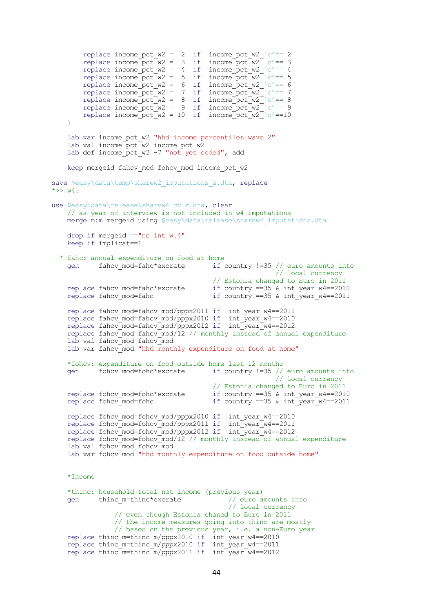```
replace income pct w2 = 2 if income pct w2 `c'== 2
replace income pct w2 = 3 if income pct w2 `c'== 3
replace income pct w2 = 4 if income pct w2 c'== 4
replace income_pct_w2 = 5 if income_pct_w2_ c'== 5
replace income_pct_w2 = 6 if income_pct_w2_ c'== 6
       replace income_pct_w2 = 7 if income pct w2 \degree c'== 7
       replace income pct w^2 = 8 if income pct w^2 c'== 8
replace income_pct_w2 = 9 if income_pct_w2_ c'== 9
replace income pct w2 = 10 if income pct w2 `c'==10
     }
   lab var income pct w2 "hhd income percentiles wave 2"
   lab val income_pct_w2 income pct w2
    lab def income_pct_w2 -7 "not yet coded", add 
   keep mergeid fahcv mod fohcv mod income pct w2
save $easy\data\temp\sharew2 imputations a.dta, replace
\star >> w4:
use $easy\data\release\sharew4 cv r.dta, clear
     // as year of interview is not included in w4 imputations
    merge m:m mergeid using $easy\data\release\sharew4_imputations.dta 
    drop if mergeid =="no int w.4"
    keep if implicat==1
   * fahc: annual expenditure on food at home
gen if country !=35 // euro amounts into
 // local currency 
                                        // Estonia changed to Euro in 2011
   replace fahcv mod=fahc*excrate if country ==35 & int year w4 == 2010replace fahcv_mod=fahc if country ==35 & int_year_w4==2011
 replace fahcv_mod=fahcv_mod/pppx2011 if int_year_w4==2011
 replace fahcv_mod=fahcv_mod/pppx2010 if int_year_w4==2010
 replace fahcv_mod=fahcv_mod/pppx2012 if int_year_w4==2012
    replace fahcv_mod=fahcv_mod/12 // monthly instead of annual expenditure
    lab val fahcv mod fahcv mod
   lab var fahcv<sup>-</sup>mod "hhd monthly expenditure on food at home"
     *fohcv: expenditure on food outside home last 12 months
   gen fohcv mod=fohc*excrate if country !=35 // euro amounts into
                                                       // local currency 
    \frac{1}{\sqrt{2}} Estonia changed to Euro in 2011<br>replace fohcv mod=fohc*excrate if country ==35 & int year w4==201
                                       if country ==35 & int year w4 == 2010replace fohcv_mod=fohc \overline{C} if country ==35 & int_year_w4==2011
 replace fohcv_mod=fohcv_mod/pppx2010 if int_year_w4==2010
 replace fohcv_mod=fohcv_mod/pppx2011 if int_year_w4==2011
 replace fohcv_mod=fohcv_mod/pppx2012 if int_year_w4==2012
    replace fohcv_mod=fohcv_mod/12 // monthly instead of annual expenditure
    lab val fohcv_mod fohcv_mod
   lab var fohcv mod "hhd monthly expenditure on food outside home"
     *Income
    *thinc: household total net income (previous year) 
   gen thinc m=thinc*excrate
                                         // euro amounts into<br>// local currency
                // even though Estonia chaned to Euro in 2011
                // the income measures going into thinc are mostly
                // based on the previous year, i.e. a non-Euro year
    replace thinc m=thinc m/pppx2010 if int year w4==2010
 replace thinc_m=thinc_m/pppx2010 if int_year_w4==2011
 replace thinc_m=thinc_m/pppx2011 if int_year_w4==2012
```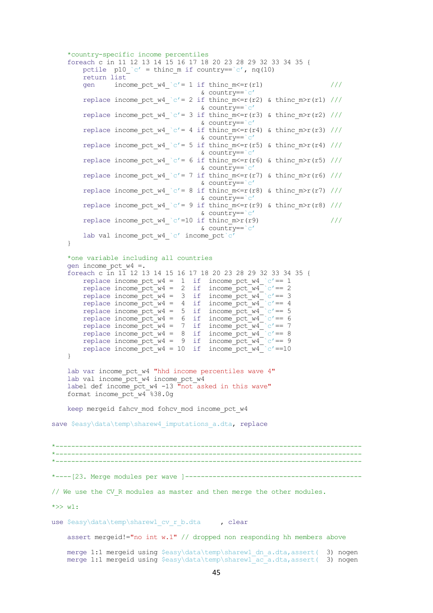```
 *country-specific income percentiles
     foreach c in 11 12 13 14 15 16 17 18 20 23 28 29 32 33 34 35 {
       pctile p10^\circ c' = \text{thin\_m} if country==`c', nq(10)
        return list 
       gen income pct w4 `c'= 1 if thinc m<=r(r1) ///
                                     \& country==\&c'replace income pct w4 `c'= 2 if thinc m\leqr(r2) & thinc m>r(r1) ///
                                      & country==`c'
       replace income_pct_w4_`c'= 3 if thinc_m<=r(r3) & thinc_m>r(r2) ///
                                      & country==`c'
       replace income pct w4 `c'= 4 if thinc m\overline{m} (r4) & thinc m\overline{m}(r3) ///
                                      & country==`c'
       replace income pct w4 `c'= 5 if thinc m<=r(r5) & thinc m>r(r4) ///
                                      & country==`c'
       replace income pct w4 c' = 6 if thinc m <= r(r6) & thinc m > r(r5) ///
                                      & country==`c'
       replace income pct w4 `c'= 7 if thinc m<=r(r7) & thinc m>r(r6) ///
                                     \& country==`c'
       replace income pct w4 `c'= 8 if thinc m<=r(r8) & thinc m>r(r7) ///
                                      & country==`c'
       replace income pct w4 `c'= 9 if thinc m\leqr(r9) & thinc m\geqr(r8) ///
                                     \& country==\&c'replace income pct w4 `c'=10 if thinc m>r(r9) ///
                                      & country==`c'
       lab val income pct w4 `c' income pct`c
    }
    *one variable including all countries
    gen income_pct_w4 =.
     foreach c in 11 12 13 14 15 16 17 18 20 23 28 29 32 33 34 35 {
       replace income pct w4 = 1 if income pct w4 `c'== 1
       replace income pct w4 = 2 if income pct w4 - c' = 2replace income pct_w4 = 3 if income pct_w4_v = 3replace income pct w4 = 4 if income pct w4 c' == 4replace income_pct_w4 = 5 if income_pct_w4_ c' == 5replace income pct w4 = 6 if income pct w4 c' == 6replace income_pct_w4 = 7 if income_pct_w4_ c'== 7
replace income pct w4 = 8 if income pct w4 `c'== 8
replace income_pct_w4 = 9 if income_pct_w4_ c' == 9replace income_pct_w4 = 10 if income_pct_w4_ c'==10
     }
   lab var income pct w4 "hhd income percentiles wave 4"
   lab val income pct w^4 income pct w^4label def income pct w4 -13 \overline{m}not asked in this wave"
    format income_pct_w4 %38.0g
   keep mergeid fahcv mod fohcv mod income pct w4
save $easy\data\temp\sharew4 imputations a.dta, replace
*------------------------------------------------------------------------------
*------------------------------------------------------------------------------
*------------------------------------------------------------------------------
*----[23. Merge modules per wave ]---------------------------------------------
// We use the CV R modules as master and then merge the other modules.
*>> w1:
use $easy\data\temp\sharew1 cv_r_b.dta , clear
    assert mergeid!="no int w.1" // dropped non responding hh members above 
   merge 1:1 mergeid using $easy\data\temp\sharew1 dn_a.dta,assert( 3) nogen
   merge 1:1 mergeid using $easy\data\temp\sharew1 ac_a.dta,assert( 3) nogen
```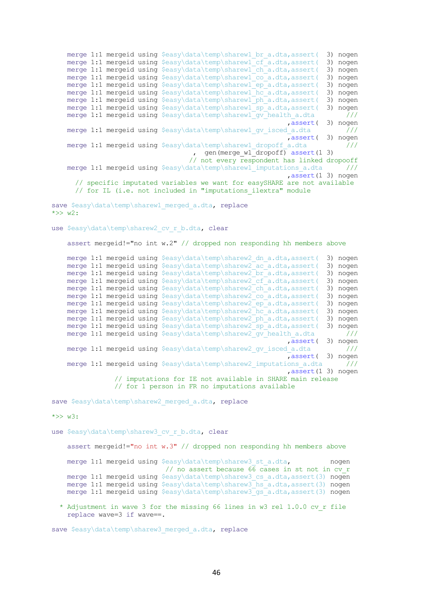merge 1:1 mergeid using \$easy\data\temp\sharew1 br a.dta,assert( 3) nogen merge 1:1 mergeid using \$easy\data\temp\sharew1\_cf\_a.dta,assert( 3) nogen merge 1:1 mergeid using \$easy\data\temp\sharewl ch\_a.dta,assert( 3) nogen merge 1:1 mergeid using \$easy\data\temp\sharewl co\_a.dta,assert( 3) nogen merge 1:1 mergeid using \$easy\data\temp\sharewl ep\_a.dta,assert( 3) nogen merge 1:1 mergeid using \$easy\data\temp\sharew1\_hc\_a.dta,assert( 3) nogen merge 1:1 mergeid using \$easy\data\temp\sharewl\_ph\_a.dta,assert( 3) nogen merge 1:1 mergeid using \$easy\data\temp\sharewl sp\_a.dta,assert( 3) nogen merge 1:1 mergeid using \$easy\data\temp\sharew1\_gv\_health\_a.dta /// ,assert( 3) nogen merge 1:1 mergeid using \$easy\data\temp\sharew1 gv\_isced\_a.dta /// ,assert( 3) nogen merge 1:1 mergeid using \$easy\data\temp\sharew1\_dropoff\_a.dta /// gen(merge w1 dropoff) assert(1 3) // not every respondent has linked dropooff merge 1:1 mergeid using \$easy\data\temp\sharew1 imputations a.dta /// ,assert(1 3) nogen // specific imputated variables we want for easySHARE are not available // for IL (i.e. not included in "imputations ilextra" module save \$easy\data\temp\sharew1 merged a.dta, replace  $\star >> w2$ : use \$easy\data\temp\sharew2 cv r b.dta, clear assert mergeid!="no int w.2" // dropped non responding hh members above merge 1:1 mergeid using \$easy\data\temp\sharew2 dn a.dta,assert( 3) nogen merge 1:1 mergeid using \$easy\data\temp\sharew2\_ac\_a.dta,assert( 3) nogen merge 1:1 mergeid using \$easy\data\temp\sharew2 br a.dta,assert( 3) nogen merge 1:1 mergeid using \$easy\data\temp\sharew2\_cf\_a.dta,assert( 3) nogen merge 1:1 mergeid using \$easy\data\temp\sharew2\_cf\_a.dta,assert( 3) nogen<br>merge 1:1 mergeid using \$easy\data\temp\sharew2\_ch\_a.dta,assert( 3) nogen merge 1:1 mergeid using \$easy\data\temp\sharew2 co a.dta,assert( 3) nogen merge 1:1 mergeid using \$easy\data\temp\sharew2 ep a.dta,assert( 3) nogen merge 1:1 mergeid using \$easy\data\temp\sharew2\_hc\_a.dta,assert( 3) nogen merge 1:1 mergeid using \$easy\data\temp\sharew2\_ph\_a.dta,assert( 3) nogen merge 1:1 mergeid using \$easy\data\temp\sharew2\_sp\_a.dta,assert( 3) nogen merge 1:1 mergeid using  $\text{seay}\data\temp\sharew2\qv$  health a.dta /// ,assert( 3) nogen merge 1:1 mergeid using \$easy\data\temp\sharew2\_gv\_isced\_a.dta /// ,assert( 3) nogen merge 1:1 mergeid using  $\S$ easy\data\temp\sharew2 imputations a.dta /// ,assert(1 3) nogen // imputations for IE not available in SHARE main release // for 1 person in FR no imputations available

save \$easy\data\temp\sharew2 merged a.dta, replace

 $*>> w3$ :

use \$easy\data\temp\sharew3 cv\_r\_b.dta, clear

assert mergeid!="no int w.3" // dropped non responding hh members above

merge 1:1 mergeid using \$easy\data\temp\sharew3\_st\_a.dta, nogen // no assert because 66 cases in st not in cv\_r merge 1:1 mergeid using \$easy\data\temp\sharew3 cs a.dta,assert(3) nogen merge 1:1 mergeid using \$easy\data\temp\sharew3\_hs\_a.dta,assert(3) nogen merge 1:1 mergeid using \$easy\data\temp\sharew3 gs\_a.dta,assert(3) nogen

 \* Adjustment in wave 3 for the missing 66 lines in w3 rel 1.0.0 cv\_r file replace wave=3 if wave==.

save \$easy\data\temp\sharew3 merged a.dta, replace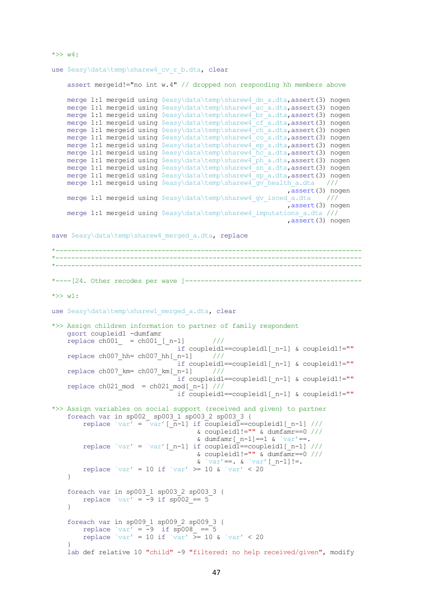```
use $easy\data\temp\sharew4 cv_r_b.dta, clear
     assert mergeid!="no int w.4" // dropped non responding hh members above 
    merge 1:1 mergeid using $easy\data\temp\sharew4 dn a.dta,assert(3) nogen
    merge 1:1 mergeid using $easy\data\temp\sharew4 ac a.dta,assert(3) nogen
merge 1:1 mergeid using $easy\data\temp\sharew4 br a.dta,assert(3) nogen
merge 1:1 mergeid using $easy\data\temp\sharew4 cf a.dta,assert(3) nogen
 merge 1:1 mergeid using $easy\data\temp\sharew4_ch_a.dta,assert(3) nogen
    merge 1:1 mergeid using $easy\data\temp\sharew4 co a.dta,assert(3) nogen
    merge 1:1 mergeid using $easy\data\temp\sharew4_ep_a.dta,assert(3) nogen
    merge 1:1 mergeid using $easy\data\temp\sharew4 hc a.dta,assert(3) nogen
    merge 1:1 mergeid using $easy\data\temp\sharew4_ph_a.dta,assert(3) nogen
    merge 1:1 mergeid using $easy\data\temp\sharew4_sn_a.dta,assert(3) nogen
    merge 1:1 mergeid using $easy\data\temp\sharew4_sp_a.dta,assert(3) nogen
    merge 1:1 mergeid using $easy\data\temp\sharew4_gv_health_a.dta ///
                                                               ,assert(3) nogen
    merge 1:1 mergeid using $easy\data\temp\sharew4 gv_isced_a.dta ///
                                                               ,assert(3) nogen
     merge 1:1 mergeid using $easy\data\temp\sharew4_imputations_a.dta ///
                                                               ,assert(3) nogen
save $easy\data\temp\sharew4 merged a.dta, replace
*------------------------------------------------------------------------------
   *------------------------------------------------------------------------------
*------------------------------------------------------------------------------
*----[24. Other recodes per wave ]---------------------------------------------
*>> w1:
use $easy\data\temp\sharew1 merged a.dta, clear
*>> Assign children information to partner of family respondent 
     gsort coupleid1 -dumfamr
    replace ch001 = ch001 [n-1] ///
                                 if coupleid1==coupleid1[_n-1] & coupleid1!=""
     replace ch007_hh= ch007_hh[_n-1] ///
                                 .<br>if coupleid1==coupleid1[ n-1] & coupleid1!=""
    replace ch007 km= ch007 km[n-1] ///
                                  if coupleid1==coupleid1[_n-1] & coupleid1!=""
    replace ch021 \text{ mod } = ch021 \text{ mod} [n-1] ///
                                  if coupleid1==coupleid1[_n-1] & coupleid1!=""
*>> Assign variables on social support (received and given) to partner
     foreach var in sp002_ sp003_1 sp003_2 sp003_3 {
        replace `var' = \bar{v}var' [\bar{n}-1] if \bar{c}oupleid\bar{l}==coupleid1[ n-1] ///
                                      \& coupleid1!="" \& dumfamr==0 ///
                                      & dumfamr[n-1] ==1 & `var' ==.
        replace `var' = `var' [ n-1] if coupleid\overline{1}==coupleid1[ n-1] ///
                                      \& coupleid1!="" \& dumfamr==0 ///
                                      \& `var' ==. \& `var' [ n-1] !=.
        replace `var' = 10 if `var' >= 10 & `var' < 20
     }
     foreach var in sp003_1 sp003_2 sp003_3 {
        replace `var' = -9 if sp\overline{0}02 == 5 }
    foreach var in sp009 1 sp009 2 sp009 3 {
        replace `var' = -9 if \text{sp}008 = -5replace `var' = 10 if `var' \overline{>} = 10 & `var' < 20
```
 $*>> w4$ :

}

```
47
```
lab def relative 10 "child" -9 "filtered: no help received/given", modify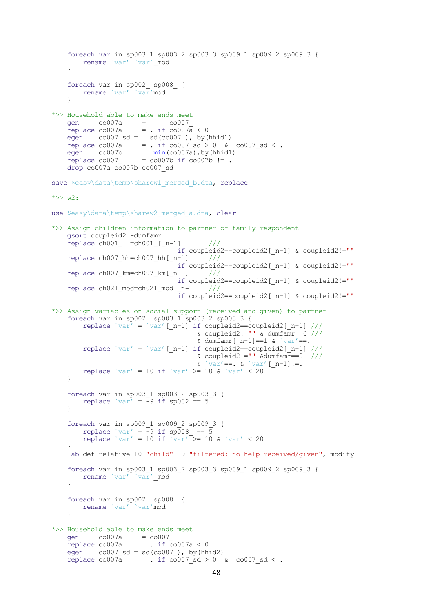```
 foreach var in sp003_1 sp003_2 sp003_3 sp009_1 sp009_2 sp009_3 {
        rename `var' `var' mod
     }
     foreach var in sp002_ sp008_ {
         rename `var' `var'mod
     }
*>> Household able to make ends meet
    gen co007a = co007replace co007a = . if co007a < 0egen co007 sd = sd(co007), by(hhid1)
    replace co007\overline{a} = . if co007 sd > 0 & co007 sd < .
    egen co007b = min(co007a), by (hhid1)
    replace co007 = co007b if co007b !=.
     drop co007a co007b co007_sd
save $easy\data\temp\sharew1 merged b.dta, replace
\star >> w2:
use $easy\data\temp\sharew2 merged a.dta, clear
*>> Assign children information to partner of family respondent 
     gsort coupleid2 -dumfamr
    replace ch001 =ch001 [ n-1] ///
                                 if coupleid2==coupleid2[_n-1] & coupleid2!=""
    replace ch007 hh=ch007 hh[n-1] ///
                                 if coupleid2==coupleid2[_n-1] & coupleid2!=""
     replace ch007_km=ch007_km[_n-1] ///
                                 if coupleid2==coupleid2[_n-1] & coupleid2!=""
     replace ch021_mod=ch021_mod[_n-1] ///
                                 if coupleid2==coupleid2[_n-1] & coupleid2!=""
*>> Assign variables on social support (received and given) to partner
 foreach var in sp002_ sp003_1 sp003_2 sp003_3 {
replace `var' = \bar{v}var' [\bar{n}-1] if \bar{c}oupleid2==coupleid2[n-1] ///
                                     \& coupleid2!="" \& dumfamr==0 ///
                                     & dumfamr[n-1] ==1 & `var'==.
        replace `var' = `var' [ n-1] if coupleid2==coupleid2[ n-1] /// & coupleid2!="" &dumfamr==0 ///
                                     \& \quad \text{var}' ==. \& \quad \text{var}' [ n-1] !=.
        replace `var' = 10 if `var' >= 10 & `var' < 20
     }
     foreach var in sp003_1 sp003_2 sp003_3 {
       replace `var' = -9 if \text{sp}002 == 5 }
     foreach var in sp009_1 sp009_2 sp009_3 {
        replace `var' = -9 if sp008 == 5replace `var' = 10 if `var' >= 10 \& `var' < 20
 }
     lab def relative 10 "child" -9 "filtered: no help received/given", modify
     foreach var in sp003_1 sp003_2 sp003_3 sp009_1 sp009_2 sp009_3 {
       rename `var' `var' mod
 }
 foreach var in sp002_ sp008_ {
 rename `var' `var'mod
 }
*>> Household able to make ends meet
    gen co007a = co007replace co007a = . if co007a < 0egen co007 sd = sd(co007), by(hhid2)
    replace co007\overline{a} = . if co007 sd > 0 & co007 sd < .
```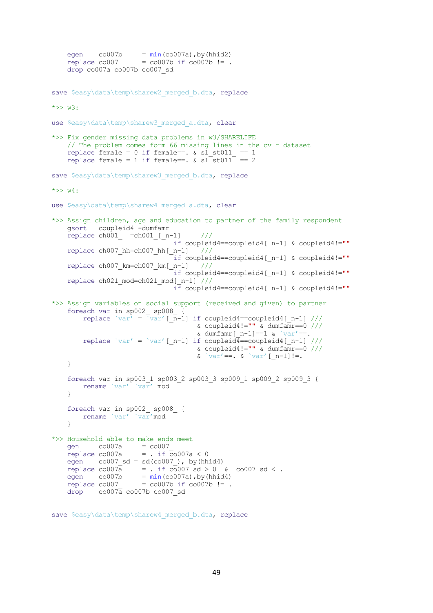```
egen co007b = min(co007a), by (hhid2)
replace co007 = co007b if co007b != .
     drop co007a co007b co007_sd
save $easy\data\temp\sharew2 merged b.dta, replace
*>> w3:
use $easy\data\temp\sharew3 merged a.dta, clear
*>> Fix gender missing data problems in w3/SHARELIFE 
    // The problem comes form 66 missing lines in the cv r dataset
    replace female = 0 if female ==. \& sl_st011 == 1
    replace female = 1 if female==. \& sl \overline{\phantom{a}} st011 == 2
save $easy\data\temp\sharew3 merged b.dta, replace
*>> w4:
use $easy\data\temp\sharew4 merged a.dta, clear
*>> Assign children, age and education to partner of the family respondent 
     gsort coupleid4 -dumfamr
    replace ch001 =ch001 [ n-1] ///
                               if coupleid4==coupleid4[ n-1] & coupleid4!=""
     replace ch007_hh=ch007_hh[_n-1] ///
                                 if coupleid4==coupleid4[_n-1] & coupleid4!=""
     replace ch007_km=ch007_km[_n-1] ///
                                 if coupleid4==coupleid4[_n-1] & coupleid4!=""
     replace ch021_mod=ch021_mod[_n-1] ///
                                 if coupleid4==coupleid4[_n-1] & coupleid4!=""
*>> Assign variables on social support (received and given) to partner
 foreach var in sp002_ sp008_ {
replace `var' = \sqrt{x} [ \overline{n-1}] if coupleid4==coupleid4[ n-1] ///
                                      \& coupleid4!="" \& dumfamr==0 ///
                                      & dumfamr[n-1] ==1 & `var' ==.
        replace `var' = `var' [_n-1] if coupleid4==coupleid4[_n-1] ///
                                      \& coupleid4!="" \& dumfamr==0 ///
                                      \frac{a}{b} \frac{b}{var'} = \frac{b}{c} \frac{c}{var'} [n-1] :=.
     }
     foreach var in sp003_1 sp003_2 sp003_3 sp009_1 sp009_2 sp009_3 {
        rename `var' `var' mod
     }
     foreach var in sp002_ sp008_ {
         rename `var' `var'mod
     }
*>> Household able to make ends meet
    gen co007a = co007replace co007a = . if co007a < 0egen co007_sd = sd(co007), by(hhid4)
    replace co007a =. if co007 sd > 0 & co007 sd < .
    egen co007b = min(c0007a), by (hhid4)
    replace co007 = co007b if co007b != .
    drop co007a co007b co007 sd
```
save \$easy\data\temp\sharew4 merged b.dta, replace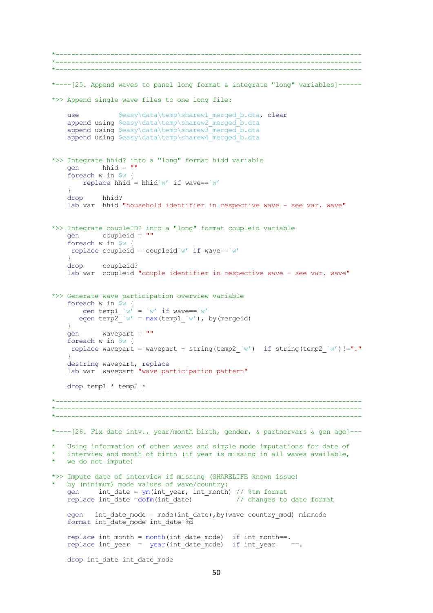```
*------------------------------------------------------------------------------
*------------------------------------------------------------------------------
*------------------------------------------------------------------------------
*----[25. Append waves to panel long format & integrate "long" variables]------
*>> Append single wave files to one long file:
   use $easy\data\temp\sharew1_merged_b.dta, clear
append using $easy\data\temp\sharew2 merged b.dta
append using $easy\data\temp\sharew3_merged_b.dta
   append using $easy\data\temp\sharew4_merged_b.dta
*>> Integrate hhid? into a "long" format hidd variable
    gen hhid = ""
     foreach w in $w {
       replace hhid = hhid`w' if wave==`w'
 }
    drop hhid? 
    lab var hhid "household identifier in respective wave - see var. wave" 
*>> Integrate coupleID? into a "long" format coupleid variable
    gen coupleid = ""
    foreach w in $w {
    replace coupleid = coupleid`w' if wave==`w'
     }
    drop coupleid? 
    lab var coupleid "couple identifier in respective wave - see var. wave" 
*>> Generate wave participation overview variable 
    foreach w in $w {
gen temp1 \wedge w' = \wedge w' if wave==\wedge w'egen temp2<sup>\bar{w}' = \max(\text{temp1} \ w'), by(mergeid)</sup>
    }
    gen wavepart = ""
     foreach w in $w {
    replace wavepart = wavepart + string(temp2 \wedge w') if string(temp2 \wedge w') !="."
     }
destring wavepart, replace
 lab var wavepart "wave participation pattern"
    drop temp1_* temp2_*
  *------------------------------------------------------------------------------
*------------------------------------------------------------------------------
*------------------------------------------------------------------------------
*----[26. Fix date intv., year/month birth, gender, & partnervars & qen age]---* Using information of other waves and simple mode imputations for date of 
   interview and month of birth (if year is missing in all waves available,
   we do not impute)
*>> Impute date of interview if missing (SHARELIFE known issue)
   by (minimum) mode values of wave/country:
   gen int date = ym(int year, int month) // stm formatreplace int date =dofm(int date) \overline{\phantom{a}} // changes to date format
    egen int date mode = mode(int date), by (wave country mod) minmode
   format int date mode int date \frac{1}{8d}replace int month = month(int date mode) if int month==.
   replace int year = year(int date mode) if int year ==.
   drop int date int date mode
```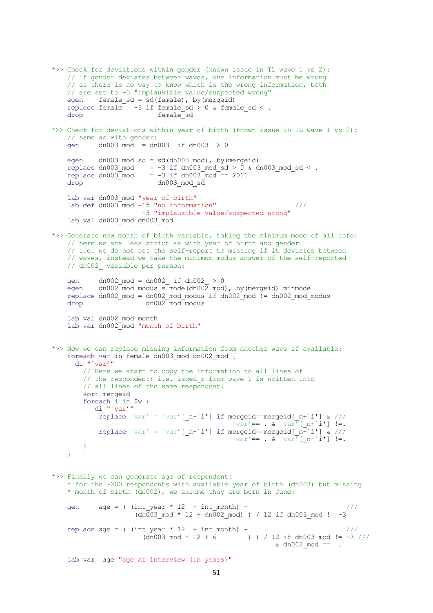```
*>> Check for deviations within gender (known issue in IL wave 1 vs 2): 
 // if gender deviates between waves, one information must be wrong
 // as there is no way to know which is the wrong information, both
    // are set to -3 "implausible value/suspected wrong"
   egen female sd = sd(female), by(mergeid)
    replace female = -3 if female sd > 0 & female_sd < .
    drop female_sd 
*>> Check for deviations within year of birth (known issue in IL wave 1 vs 2): 
     // same as with gender:
    gen dn003_mod = dn003_ if dn003_ > 0 
   egen dn003 mod sd = sd(dn003mod), by(mergeid)
replace dn003 mod = -3 if dn003 mod sd > 0 & dn003 mod sd < .
replace dn003 mod = -3 if dn003 mod == 2011
   \frac{1}{\text{drop}} dn003 mod sd
    lab var dn003 mod "year of birth"
   lab def dn003\frac{1}{2} mod -15 "no information" ///
                        -3 "implausible value/suspected wrong" 
    lab val dn003_mod dn003_mod
*>> Generate new month of birth variable, taking the minimum mode of all info:
    // here we are less strict as with year of birth and gender
    // i.e. we do not set the self-report to missing if it deviates between 
     // waves, instead we take the minimum modus answer of the self-reported
    // dn002_ variable per person:
    gen dn002_mod = dn002_ if dn002_ > 0 
   egen dn002 \mod m modus = mode(dn002 \mod m), by(mergeid) minmode
   replace dn002 mod = dn002 mod modus if dn002 mod != dn002 mod modus
   drop dn002_mod_modus
    lab val dn002_mod month
    lab var dn002_mod "month of birth"
*>> Now we can replace missing information from another wave if available: 
    foreach var in female dn003 mod dn002 mod {
       di "`var'"
         // Here we start to copy the information to all lines of 
       // the respondent; i.e. isced r from wave 1 is written into
        // all lines of the same respondent.
        sort mergeid
        foreach i in $w { 
            di "`var'"
            replace `var' = `var' [ n+`i'] if mergeid==mergeid[_n+`i'] & ///
                                              `var'== . \& `var<sup>\overline{r}</sup>[_n+`i'] !=.
            replace `var' = `var' [ n-`i'] if mergeid==mergeid[ n-`i'] & ///
                                              `var'== . \& `var' \lceil n-\iota' \rceil !=.
        }
    }
*>> Finally we can generate age of respondent: 
     * for the ~200 respondents with available year of birth (dn003) but missing
     * month of birth (dn002), we assume they are born in June:
   gen age = ( (int year * 12 + int month) - ///
                     (dn\overline{003} \mod * 12 + dn\overline{002} \mod) ) / 12 if dn003 mod != -3
   replace age = ( (int year * 12 + int month) - ///
                       (\overline{d}n003\_mod * 12 + \overline{6} ) ) / 12 if dn003 mod != -3 ///
                                                        \alpha dn002 mod == .
   lab var age "age at interview (in years)"
```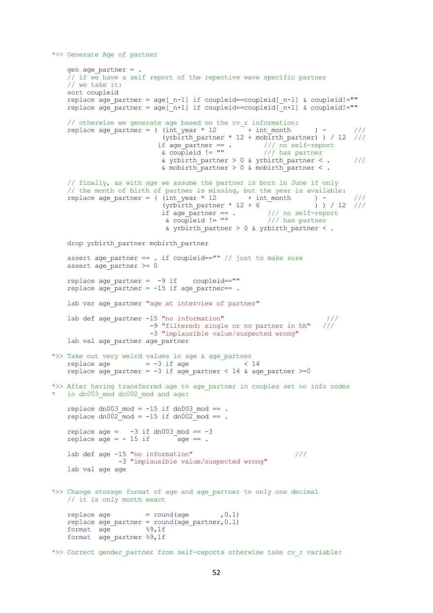```
*>> Generate Age of partner
    gen age_partner = . 
   // if we have a self report of the repective wave specific partner
    // we take it: 
    sort coupleid
   replace age partner = age[ n-1] if coupleid==coupleid[ n-1] & coupleid!=""
   replace age<sup>partner =</sup> age<sup>[n+1]</sup> if coupleid==coupleid[n+1] & coupleid!=""
   // otherwise we generate age based on the cv r information:
   replace age partner = ( (int\_year * 12 + int\_month ) - ///
                         (yrbirth partner * 12 + mobirth partner) ) / 12 ///
if age partner == . /// no self-report
 & coupleid != "" /// has partner
                         & yrbirth partner > 0 & yrbirth partner < . \frac{1}{10}& mobirth partner > 0 & mobirth partner <.
    // finally, as with age we assume the partner is born in June if only 
 // the month of birth of partner is missing, but the year is available: 
replace age partner = ( (int year * 12 + int month ) - ///
                         (yrb<sub>ir</sub>th<sub>part</sub>ner * 12 + 6 ) ) / 12 ///
if age partner == . /// no self-report
\& coupleid != "" \frac{1}{1} has partner
                          & yrbirth partner > 0 & yrbirth partner < .
   drop yrbirth partner mobirth partner
   assert age partner == . if coupleid=="" // just to make sure
   assert age partner \geq 0replace age partner = -9 if coupleid==""
   replace age partner = -15 if age partner== .
   lab var age partner "age at interview of partner"
   lab def age partner -15 "no information" ///
                       -9 "filtered: single or no partner in hh" ///
                       -3 "implausible value/suspected wrong" 
   lab val age partner age partner
*>> Take out very weird values in age & age_partner 
   replace age = -3 if age \sim 14replace age partner = -3 if age partner < 14 & age partner >=0
*>> After having transferred age to age partner in couples set no info codes
 in dn003 mod dn002 mod and age:
   replace dn003_mod = -15 if dn003_mod == .
   replace dn002 mod = -15 if dn002 mod == .
   replace age = -3 if dn003 mod == -3replace age = -15 if \qquad age == .
   lab def age -15 "no information" /// -3 "implausible value/suspected wrong" 
    lab val age age 
*>> Change storage format of age and age_partner to only one decimal 
    // it is only month exact
   replace age = round(age , 0.1)
   replace age_partner = round(age\ partner, 0.1)format age %9,1f
   format age partner %9,1f
*>> Correct gender partner from self-reports otherwise take cv r variable:
```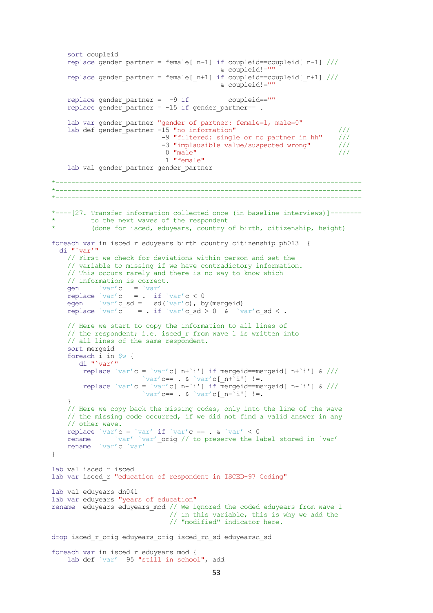```
 sort coupleid
    replace gender partner = female[ n-1] if coupleid==coupleid[ n-1] /// & coupleid!=""
    replace gender partner = female[ n+1] if coupleid==coupleid[ n+1] /// & coupleid!=""
    replace gender partner = -9 if coupleid==""
    replace gender partner = -15 if gender partner== .
    lab var gender partner "gender of partner: female=1, male=0"
    lab def gender partner -15 "no information" ///
                             -9 "filtered: single or no partner in hh" ///
                             -3 "implausible value/suspected wrong" /// 
                            0 "male" ///
                              1 "female"
    lab val gender partner gender_partner
            *------------------------------------------------------------------------------
*------------------------------------------------------------------------------
*------------------------------------------------------------------------------
*----[27. Transfer information collected once (in baseline interviews)]--------
          to the next waves of the respondent
          (done for isced, eduyears, country of birth, citizenship, height)
foreach var in isced_r eduyears birth_country citizenship ph013_ {
   di "`var'"
     // First we check for deviations within person and set the 
     // variable to missing if we have contradictory information.
     // This occurs rarely and there is no way to know which 
     // information is correct.
    gen var'c = var'replace `var'c = . if `var'c < 0
egen `var'c sd = sd(`var'c), by(mergeid)
replace `var'c = . if `var'c sd > 0 & `var'c sd < .
     // Here we start to copy the information to all lines of 
   // the respondent; i.e. isced r from wave 1 is written into
    // all lines of the same respondent.
     sort mergeid
     foreach i in $w { 
        di "`var'"
        replace `var'c = `var'c[ n+`i'] if mergeid==mergeid[_n+`i'] & ///
                       `var'c== \overline{\cdot} & `var'c[_n+`i'] !=.
       replace `var'c = `var'c[ n-`i'] if mergeid==mergeid[ n-`i'] & ///
                       `var'c== \overline{\cdot} & `var'c[_n-`i'] !=.
     }
     // Here we copy back the missing codes, only into the line of the wave 
     // the missing code occurred, if we did not find a valid answer in any
     // other wave.
    replace `var'c = `var' if `var'c == . \delta `var' < 0
    rename `var' `var' orig // to preserve the label stored in `var'
     rename `var'c `var'
}
lab val isced_r isced 
lab var isced<sup>r</sup> "education of respondent in ISCED-97 Coding"
lab val eduyears dn041
lab var eduyears "years of education"
rename eduyears eduyears_mod // We ignored the coded eduyears from wave 1 
                              // in this variable, this is why we add the
                              // "modified" indicator here.
drop isced r orig eduyears orig isced rc sd eduyearsc sd
foreach var in isced_r eduyears_mod {
     lab def `var' 95 "still in school", add
```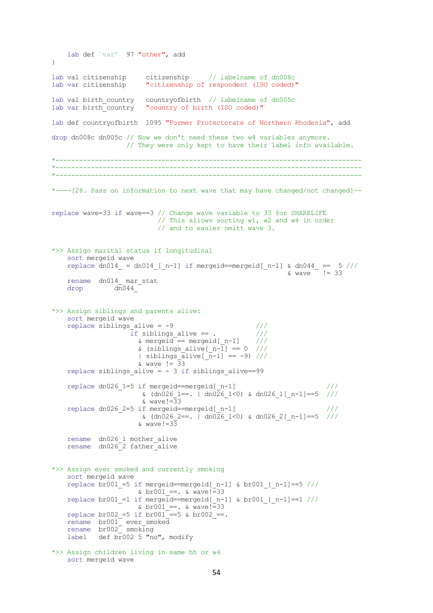```
 lab def `var' 97 "other", add
}
lab val citizenship citizenship // labelname of dn008c
lab var citizenship "citizenship of respondent (ISO coded)"
lab val birth country countryofbirth // labelname of dn005c
lab var birth_country "country of birth (ISO coded)"
lab def countryofbirth 1095 "Former Protectorate of Northern Rhodesia", add 
drop dn008c dn005c // Now we don't need these two w4 variables anymore.
                    // They were only kept to have their label info available.
*------------------------------------------------------------------------------
*------------------------------------------------------------------------------
*------------------------------------------------------------------------------
*----[28. Pass on information to next wave that may have changed/not changed]--
replace wave=33 if wave==3 // Change wave variable to 33 for SHARELIFE
                            // This allows sorting w1, w2 and w4 in order
                           // and to easier omitt wave 3.
*>> Assign marital status if longitudinal 
     sort mergeid wave
replace dn014 = dn014 [ n-1] if mergeid==mergeid[ n-1] & dn044 == 5 ///
\& wave != 33
     rename dn014_ mar_stat
    drop d\overline{n}044*>> Assign siblings and parents alive:
     sort mergeid wave
    replace siblings_alive = -9 \frac{1}{1} ///<br>if siblings alive == . \frac{1}{1} ///
                    if siblings_alive == . \frac{77}{6}<br> mergeid == mergeid[ n-1] ///
                      % mergeid == mergeid [n-1]& (siblings alive[ n-\overline{1}] == 0 ///
| siblings alive[n-1] == -9) ///
& \text{wave} := \overline{3}3replace siblings alive = -3 if siblings alive==99
 replace dn026_1=5 if mergeid==mergeid[_n-1] ///
\& \text{ (dn026 1==. } | \text{ dn026 1<0) } \& \text{ dn026 1} [n-1] == 5 \quad \text{///}& \text{wave}!=\frac{1}{3}3replace dn026 2=5 if mergeid==mergeid[ n-1]
                       & (dn026 2==. | dn026 1<0) & dn026 2[n-1]==5 ///
                      & wave! = 33
     rename dn026_1 mother_alive
     rename dn026_2 father_alive
*>> Assign ever smoked and currently smoking
     sort mergeid wave
    replace br001 =5 if mergeid==mergeid[n-1] & br001 [n-1]==5 ///
                      \&\text{ br}001 ==. \&\text{ wave}!=33replace br001 =1 if mergeid==mergeid[ n-1] & br001 [ n-1]==1 ///
                      \& \text{ b} \times 001 ==. \& \text{ wave}!=33
    replace br002 =5 if br001<sup>-==5</sup> & br002 ==.
    rename br001<sup>-</sup> ever smoked
     rename br002_ smoking
    label def br002 5 "no", modify
*>> Assign children living in same hh or w4
     sort mergeid wave
```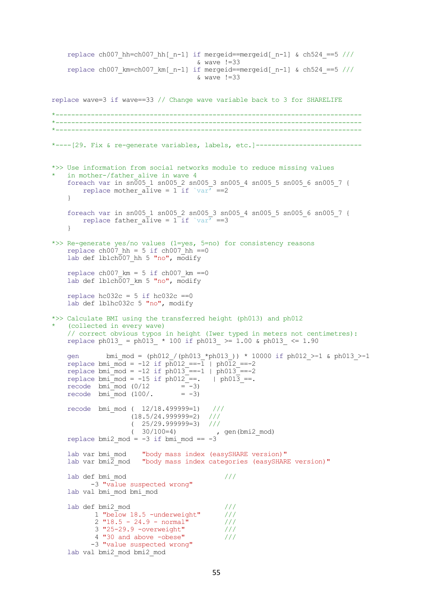```
replace ch007 hh=ch007 hh[n-1] if mergeid==mergeid[n-1] & ch524 ==5 ///
                                       & wave !=33
    replace ch007 km=ch007 km[ n-1] if mergeid==mergeid[ n-1] & ch524 ==5 ///
                                       & wave !=33
replace wave=3 if wave==33 // Change wave variable back to 3 for SHARELIFE
    *------------------------------------------------------------------------------
*------------------------------------------------------------------------------
*------------------------------------------------------------------------------
*----[29. Fix & re-generate variables, labels, etc.]---------------------------
*>> Use information from social networks module to reduce missing values
    in mother-/father alive in wave 4
    foreach var in sn\overline{0}05 1 sn005 2 sn005 3 sn005 4 sn005 5 sn005 6 sn005 7 {
        replace mother alive = 1 if `var' ==2
     }
 foreach var in sn005_1 sn005_2 sn005_3 sn005_4 sn005_5 sn005_6 sn005_7 {
replace father alive = 1 if `var' ==3
 }
*>> Re-generate yes/no values (1=yes, 5=no) for consistency reasons
    replace ch007 hh = 5 if ch007 hh ==0
    lab def lblch007 hh 5 "no", modify
    replace ch007 km = 5 if ch007 km ==0
    lab def lblch007 km 5 "no", modify
    replace hc032c = 5 if hc032c == 0 lab def lblhc032c 5 "no", modify
*>> Calculate BMI using the transferred height (ph013) and ph012 
    (collected in every wave)
     // correct obvious typos in height (Iwer typed in meters not centimetres):
    replace ph013 = ph013 * 100 if ph013 >= 1.00 & ph013 <= 1.90
 gen bmi_mod = (ph012_/(ph013_*ph013_)) * 10000 if ph012_>-1 & ph013_>-1
replace bmi mod = -12 if ph012 ==-1 | ph012 ==-2
replace bmi mod = -12 if ph013 ==-1 | ph013 ==-2
    replace bmi_mod = -15 if ph012==. | ph013_==.<br>recode bmi_mod (0/12 = -3)
    recode bm_{\text{min}} mod (0/12)recode bmimod (100/. = -3)
    recode bmi mod ( 12/18.4999999=1)
                     (12/18.499999=1) ///<br>(18.5/24.999999=2) ///
                     (25/29.999999=3) ///
                     ( 30/100=4) , gen(bmi2 mod)
replace bmi2 mod = -3 if bmi mod == -3lab var bmi_mod "body mass index (easySHARE version)"<br>lab var bmi\overline{2} mod "body mass index categories (easySHAR
                      "body mass index categories (easySHARE version)"
    \text{lab def bmi mod} ///
           -3 "value suspected wrong" 
     lab val bmi_mod bmi_mod
    lab def bmi2_mod 1 "below 18.5 -underweight" 1 ///
           1 "below 18.5 -underweight" \frac{1}{2} "18.5 - 24.9 - normal" \frac{1}{10}2 "18.5 - 24.9 - normal"
            3 "25-29.9 -overweight" ///
            4 "30 and above -obese" ///
           -3 "value suspected wrong" 
     lab val bmi2_mod bmi2_mod
```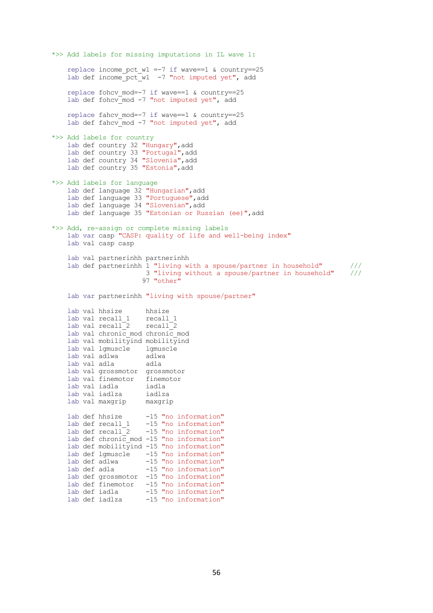\*>> Add labels for missing imputations in IL wave 1: replace income pct w1 =-7 if wave==1 & country==25 lab def income\_pct\_w1 -7 "not imputed yet", add replace fohcv  $mod=-7$  if wave==1 & country==25 lab def fohcv mod -7 "not imputed yet", add replace fahcv mod=-7 if wave==1 & country==25 lab def fahcv mod -7 "not imputed yet", add \*>> Add labels for country lab def country 32 "Hungary", add lab def country 33 "Portugal", add lab def country 34 "Slovenia", add lab def country 35 "Estonia", add \*>> Add labels for language lab def language 32 "Hungarian", add lab def language 33 "Portuguese",add lab def language 34 "Slovenian", add lab def language 35 "Estonian or Russian (ee)", add \*>> Add, re-assign or complete missing labels lab var casp "CASP: quality of life and well-being index" lab val casp casp lab val partnerinhh partnerinhh lab def partnerinhh 1 "living with a spouse/partner in household" /// 3 "living without a spouse/partner in household" /// 97 "other" lab var partnerinhh "living with spouse/partner" lab val hhsize hhsize lab val recall 1 lab val  $recall$ <sup>2</sup> lab val chronic mod chronic mod lab val mobilityind mobilityind lab val lgmuscle lgmuscle lab val adlwa lab val adla adla lab val grossmotor grossmotor lab val finemotor finemotor lab val iadla iadla lab val iadlza iadlza lab val maxgrip maxgrip lab def hhsize -15 "no information"<br>lab def recall 1 -15 "no information" lab def recall 1 -15 "no information" lab def recall 2 -15 "no information" lab def chronic mod  $-15$  "no information" lab def mobilityind  $-15$  "no information" lab def lgmuscle -15 "no information"<br>lab def adlwa -15 "no information" lab def adlwa -15 "no information"<br>lab def adla -15 "no information" -15 "no information" lab def grossmotor -15 "no information" lab def finemotor -15 "no information" lab def iadla -15 "no information"

lab def iadlza -15 "no information"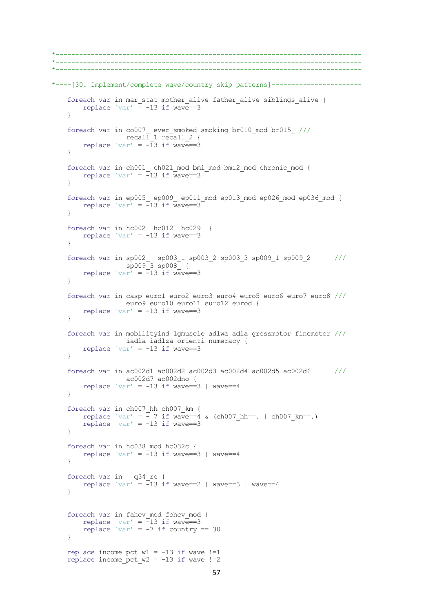```
*------------------------------------------------------------------------------
*------------------------------------------------------------------------------
*------------------------------------------------------------------------------
*----[30. Implement/complete wave/country skip patterns]-----------------------
   foreach var in mar stat mother alive father alive siblings alive {
       replace `var' \equiv -13 if wave==3
    }
 foreach var in co007_ ever_smoked smoking br010_mod br015_ ///
recall 1 recall 2 {
       replace `var' = -\overline{1}3 if wave==3
    }
 foreach var in ch001_ ch021_mod bmi_mod bmi2_mod chronic_mod {
replace \text{var}' = -13 if wave==3
     } 
    foreach var in ep005_ ep009_ ep011_mod ep013_mod ep026_mod ep036_mod {
      replace `var' = -13 if wave==3
     } 
    foreach var in hc002_ hc012_ hc029_ {
      replace `var' = -13 if wave==3 } 
    foreach var in sp002_ sp003_1 sp003_2 sp003_3 sp009_1 sp009_2 ///
                   sp009_3 sp008_ {
       replace `var' = -13 if wave==3
    }
     foreach var in casp euro1 euro2 euro3 euro4 euro5 euro6 euro7 euro8 ///
                  euro9 euro10 euro11 euro12 eurod {
       replace `var' = -13 if wave==3
     } 
    foreach var in mobilityind lgmuscle adlwa adla grossmotor finemotor ///
                  iadla iadlza orienti numeracy {
       replace \text{var}' = -13 if wave==3
     } 
    foreach var in ac002d1 ac002d2 ac002d3 ac002d4 ac002d5 ac002d6 ///
                  ac002d7 ac002dno {
       replace `var' = -13 if wave==3 | wave==4
    }
    foreach var in ch007_hh ch007_km {
replace `var' = -7 if wave==4 & (ch007 hh==. | ch007 km==.)
 replace `var' = -13 if wave==3 
     }
    foreach var in hc038_mod hc032c {
       replace `var' = -13 if wave==3 | wave==4
     } 
    foreach var in q34_re {
       replace `var' = -13 if wave==2 | wave==3 | wave==4
    } 
   foreach var in fahcv mod fohcv mod {
replace `var' = -13 if wave==3
replace `var' = -7 if country == 30
     } 
   replace income pct w1 = -13 if wave !=1replace income pct(w2 = -13 if wave !=2
```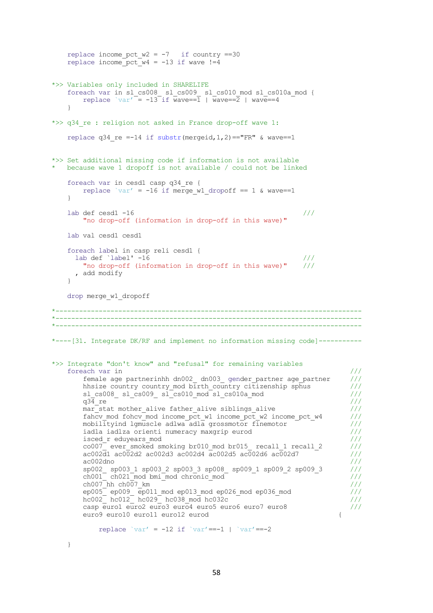```
replace income pct w2 = -7 if country ==30
    replace income pct w4 = -13 if wave !=4*>> Variables only included in SHARELIFE
     foreach var in sl_cs008_ sl_cs009_ sl_cs010_mod sl_cs010a_mod {
        replace var' = -13 if wave==1 | wave==2 | wave==4
 } 
*>> q34 re : religion not asked in France drop-off wave 1:
    replace q34 re =-14 if substr(mergeid, 1, 2) =="FR" & wave==1
*>> Set additional missing code if information is not available
  because wave 1 dropoff is not available / could not be linked
     foreach var in cesd1 casp q34_re {
        replace `var' = -16 if merge w1 dropoff == 1 & wave==1
     }
    \tag{11}lab def cesd1 -16
         "no drop-off (information in drop-off in this wave)" 
     lab val cesd1 cesd1 
     foreach label in casp reli cesd1 {
      lab def `label' -16 ///
         "no drop-off (information in drop-off in this wave)" ///
       , add modify
     }
     drop merge_w1_dropoff
*------------------------------------------------------------------------------
  \mathcal{L}^{\mathcal{L}}(\mathcal{L}^{\mathcal{L}}) is the contribution of the contribution of the contribution of the contribution
*------------------------------------------------------------------------------
*----[31. Integrate DK/RF and implement no information missing code]-----------
*>> Integrate "don't know" and "refusal" for remaining variables
    foreach var in \frac{1}{1}<br>female age partnerinhh dn002 dn003 gender partner age partner \frac{1}{1}female age partnerinhh dn002 dn003 gender partner age partner
        hhsize country country mod birth country citizenship sphus ////
        sl cs008 \overline{\phantom{0}} sl cs009 \overline{\phantom{0}} sl cs010 mod sl cs010a mod ////
q34 re \sim - - - - - - - - - - - \sim ///
        \frac{1}{\text{max\_stat}} mother_alive father_alive siblings_alive \frac{1}{\frac{1}{\sqrt{1-\frac{1}{\sqrt{1-\frac{1}{\sqrt{1-\frac{1}{\sqrt{1-\frac{1}{\sqrt{1-\frac{1}{\sqrt{1-\frac{1}{\sqrt{1-\frac{1}{\sqrt{1-\frac{1}{\sqrt{1-\frac{1}{\sqrt{1-\frac{1}{\sqrt{1-\frac{1}{\sqrt{1-\frac{1}{\sqrt{1-\frac{1}{\sqrt{1-\frac{1}{\sqrt{1-\frac{1}{\sqrt{1-\frac{1}{\sqrt{1-\frac{1}{\fahcv_mod fohcv_mod income_pct_w1 income_pct_w2 income_pct_w4 ///<br>mobilityind lgmuscle adlwa adla grossmotor finemotor ///
        mobilityind lgmuscle adlwa adla grossmotor finemotor \frac{1}{10}<br>iadla iadlza orienti numeracy maxorip eurod \frac{1}{10}iadla iadlza orienti numeracy maxgrip eurod
        isced_r eduyears_mod ///
        co007 ever smoked smoking br010 mod br015 recall 1 recall 2 ///
        a \cdot 002\overline{d}1 ac0\overline{0}2d2 ac002d3 ac002d4 \overline{a}c002d5 \overline{a}c002d6 \overline{a}c002d7 \overline{a} ///
\texttt{ac002dno} ///
 sp002_ sp003_1 sp003_2 sp003_3 sp008_ sp009_1 sp009_2 sp009_3 ///
ch001 ch021 mod bmi_mod chronic mod \sqrt{1/7}\text{ch}007\text{ h} ch007 km \text{ch}007\text{ h} \text{ch}007\text{ h} ch
ep005_ ep009_ ep011_mod ep013_mod ep026_mod ep036_mod ///
hc002<sup>-</sup> hc012<sup>-</sup> hc029<sup>-</sup> hc038 mod hc032c <sup>-</sup> ////
         casp euro1 euro2 euro3 euro4 euro5 euro6 euro7 euro8 ///
         euro9 euro10 euro11 euro12 eurod {
            replace `var' = -12 if `var' = -1 | `var' = -2
```

```
 }
```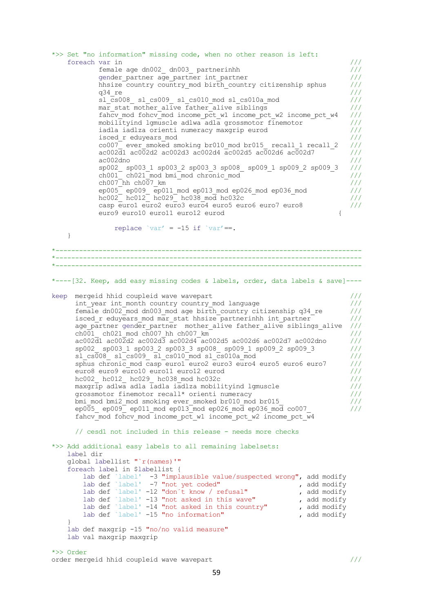\*>> Set "no information" missing code, when no other reason is left: foreach var in /// female age dn002\_ dn003\_ partnerinhh /// gender\_partner age\_partner int\_partner<br>hhsize\_country\_country\_mod\_birth\_country\_citizenship\_sphus /// hhsize country country\_mod birth\_country citizenship sphus  $\frac{1}{10}$  ///<br>g34 re  $\frac{1}{10}$ q34 re  $\sim$   $\sim$   $\sim$   $\sim$   $\sim$   $\frac{1}{2}$ sl $\overline{c}$ s008 sl $\overline{c}$ s009 sl $\overline{c}$ s010 $\overline{m}$ od sl $\overline{c}$ s010a $\overline{m}$ od ///  $\overline{\text{max}}$  stat mother alive  $\overline{\text{father}}$  alive siblings  $\frac{1}{2}$  /// fahcv\_mod fohcv\_mod income\_pct\_w1 income\_pct\_w2 income\_pct\_w4 /// mobilityind lgmuscle adlwa adla grossmotor finemotor  $\begin{array}{c} \hline \end{array}$  ///<br>iadla iadlza orienti numeracy maxgrip eurod /// iadla iadlza orienti numeracy maxgrip eurod isced\_r\_eduyears\_mod ////  $co007$  ever smoked smoking br010 mod br015 recall 1 recall 2 /// ac002d1 ac002d2 ac002d3 ac002d4 ac002d5 ac002d6 ac002d7 /// ac002dno /// sp002\_ sp003\_1 sp003\_2 sp003\_3 sp008\_ sp009\_1 sp009\_2 sp009\_3 /// ch001\_ ch021\_mod bmi\_mod chronic\_mod ///  $ch007$  hh  $ch007$  km  $\frac{1}{2}$ ep005 $^-$  ep009  $^-$ ep011 mod ep013 mod ep026 mod ep036 mod /// hc002\_ hc012\_ hc029\_ hc038\_mod hc032c /// casp euro1 euro2 euro3 euro4 euro5 euro6 euro7 euro8 /// euro9 euro10 euro11 euro12 eurod { replace `var' =  $-15$  if `var' ==. } \*------------------------------------------------------------------------------ \*------------------------------------------------------------------------------ \*----[32. Keep, add easy missing codes & labels, order, data labels & save]--- keep mergeid hhid coupleid wave wavepart /// int year int month country country mod language  $///$ female dn002 $^m$ mod dn003 mod age birth country citizenship q34 re /// isced\_r eduyears\_mod mar\_stat hhsize partnerinhh int\_partner  $\frac{1}{16}$  ///<br>age partner gender partner mother alive father alive siblings alive /// age\_partner gender\_partner mother\_alive father\_alive siblings\_alive ///<br>ch001 ch021 mod ch007 hh ch007 km  $ch001$  ch021 mod ch007 hh ch007 km  $a$ c002 $\overline{d}$ 1 ac00 $\overline{2}d$ 2 ac00 $2d\overline{3}$  ac002 $d\overline{4}$  ac002d5 ac002d6 ac002d7 ac002dno /// sp002\_ sp003\_1 sp003\_2 sp003\_3 sp008\_ sp009\_1 sp009\_2 sp009\_3 /// sl cs $\overline{0}08$  sl<sup>-</sup>cs009 sl cs010<sup>-</sup> mod sl cs010a-mod  $\overline{0}$   $\overline{0}$  /// sphus chronic mod casp euro1 euro2 euro3 euro4 euro5 euro6 euro7 /// euro8 euro9 euro10 euro11 euro12 eurod /// hc002\_ hc012\_ hc029\_ hc038\_mod hc032c /// maxgrip adlwa adla iadla iadlza mobilityind lgmuscle /// grossmotor finemotor recall\* orienti numeracy /// bmi\_mod bmi2\_mod smoking ever\_smoked br010\_mod br015\_ /// ep005\_ ep009\_ ep011\_mod ep013\_mod ep026\_mod ep036\_mod co007\_ /// fahcv mod fohcv mod income pct w1 income pct w2 income pct w4 // cesd1 not included in this release - needs more checks \*>> Add additional easy labels to all remaining labelsets: label dir global labellist "`r(names)'" foreach label in \$labellist { lab def `label' -3 "implausible value/suspected wrong", add modify lab def `label' -7 "not yet coded" , add modify lab def `label' -12 "don't know / refusal" , add modify lab def `label' -13 "not asked in this wave" , add modify lab def `label' -14 "not asked in this country" , add modify lab def `label' -15 "no information" , add modify } lab def maxgrip -15 "no/no valid measure" lab val maxgrip maxgrip \*>> Order

#### order mergeid hhid coupleid wave wavepart ///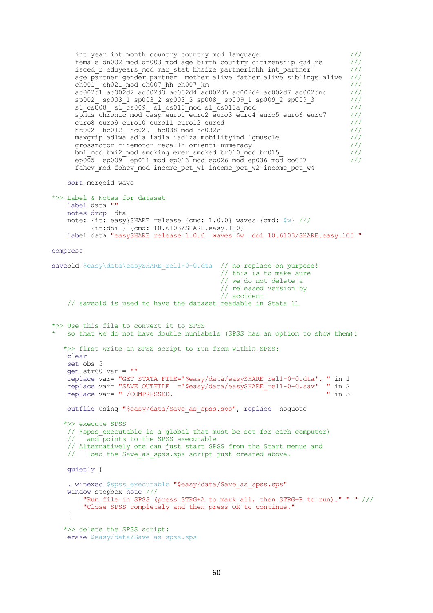```
int year int month country country mod language ///female dn002\overline{\phantom{a}} mod dn003 mod age birth country citizenship q34 re ///
      isced r eduyears mod mar stat hhsize partnerinhh int partner ////
      age_partner gender_partner mother_alive father_alive siblings_alive ///<br>ch001 ch021 mod ch007 hh ch007 km
      \frac{\text{ch}0\overline{01}}{\text{ch}02\overline{11}} ch021 mod ch007 hh ch007 km \frac{1}{\text{ch}02} = \frac{1}{\text{ch}02} ///<br>ac002d1 ac002d2 ac002d3 ac002d4 ac002d5 ac002d6 ac002d7 ac002dno ///
      ac002\bar{d}1 ac00\bar{2}d2 ac002\bar{d}3 ac002\bar{d}4 ac002\bar{d}5 ac002\bar{d}6 ac002\bar{d}7 ac002\bar{d}no sp002_ sp003_1 sp003_2 sp003_3 sp008_ sp009_1 sp009_2 sp009_3 ///
      s1_c s008_c s1_c s009_c s1_c s010_c mod s1_c s010a_mod<br>sphus chronic mod casp euro1 euro2 euro3 euro4 euro5 euro6 euro7 ///<br>euro8 euro9 euro10 euro11 euro12 eurod ///
      sphus chronic_mod casp euro1 euro2 euro3 euro4 euro5 euro6 euro7
      euro8 euro9 euro10 euro11 euro12 eurod<br>hc002 hc012 hc029 hc038 mod hc032c ////
      hc002_ hc012_ hc029_ hc038_mod hc032c ///<br>maxgrip adlwa adla iadla iadlza mobilityind lgmuscle ////
      maxgr\bar{ip} adlwa adla iadla iadlza mobilityind lgmuscle
       grossmotor finemotor recall* orienti numeracy ///
      bmi_mod bmi2_mod smoking ever_smoked br010_mod br015_<br>ep005 ep009 ep011_mod ep013_mod ep026_mod ep036_mod co007 ///
      ep005_ ep009_ ep011 mod ep013_mod ep026 mod ep036 mod co007
      fahcv mod fohcv mod income pct w1 income pct w2 income pct \overline{w}4 sort mergeid wave 
*>> Label & Notes for dataset
     label data "" 
 notes drop _dta
 note: {it: easy}SHARE release {cmd: 1.0.0} waves {cmd: $w} ///
            {it:doi } {cmd: 10.6103/SHARE.easy.100}
     label data "easySHARE release 1.0.0 waves $w doi 10.6103/SHARE.easy.100 " 
compress
saveold $easy\data\easySHARE_rel1-0-0.dta // no replace on purpose!
 // this is to make sure
 // we do not delete a 
                                                // released version by 
                                                // accident 
     // saveold is used to have the dataset readable in Stata 11 
*>> Use this file to convert it to SPSS
  so that we do not have double numlabels (SPSS has an option to show them):
    *>> first write an SPSS script to run from within SPSS:
     clear
     set obs 5
     gen str60 var = ""
     replace var= "GET STATA FILE='$easy/data/easySHARE_rel1-0-0.dta'. " in 1
    replace var= "SAVE OUTFILE ='$easy/data/easySHARE_rel1-0-0.sav' " in 2<br>replace var= " /COMPRESSED. " in 3
    replace var= " /COMPRESSED.
    outfile using "$easy/data/Save_as_spss.sps", replace noquote
    *>> execute SPSS 
    // $spss executable is a global that must be set for each computer)
     // and points to the SPSS executable
     // Alternatively one can just start SPSS from the Start menue and 
    // load the Save as spss.sps script just created above.
     quietly { 
    . winexec $spss_executable "$easy/data/Save_as_spss.sps"
     window stopbox note ///
          "Run file in SPSS (press STRG+A to mark all, then STRG+R to run)." " " ///
          "Close SPSS completely and then press OK to continue."
     }
    *>> delete the SPSS script: 
    erase $easy/data/Save as spss.sps
```